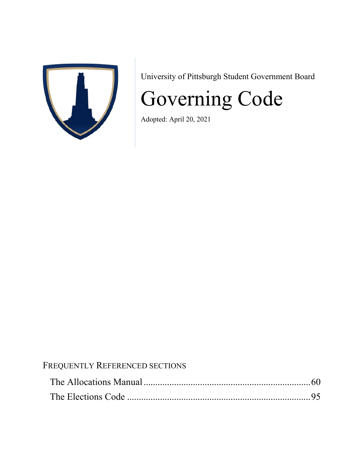

University of Pittsburgh Student Government Board

# Governing Code

Adopted: April 20, 2021

# FREQUENTLY REFERENCED SECTIONS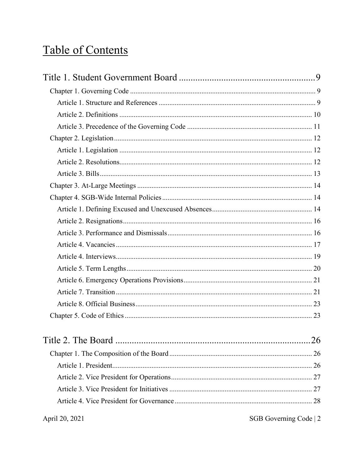# **Table of Contents**

| April 20, 2021 | $SGB$ Governing Code   2 |
|----------------|--------------------------|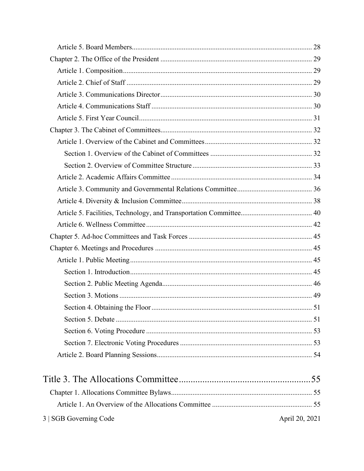| 3   SGB Governing Code | April 20, 2021 |
|------------------------|----------------|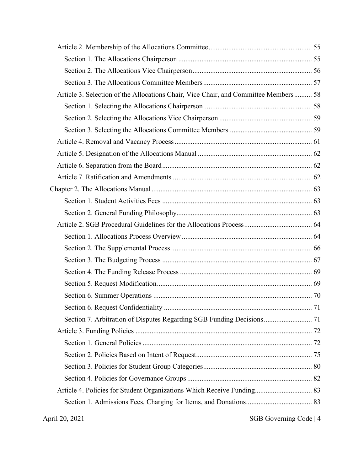| Article 3. Selection of the Allocations Chair, Vice Chair, and Committee Members 58 |  |
|-------------------------------------------------------------------------------------|--|
|                                                                                     |  |
|                                                                                     |  |
|                                                                                     |  |
|                                                                                     |  |
|                                                                                     |  |
|                                                                                     |  |
|                                                                                     |  |
|                                                                                     |  |
|                                                                                     |  |
|                                                                                     |  |
|                                                                                     |  |
|                                                                                     |  |
|                                                                                     |  |
|                                                                                     |  |
|                                                                                     |  |
|                                                                                     |  |
|                                                                                     |  |
|                                                                                     |  |
| Section 7. Arbitration of Disputes Regarding SGB Funding Decisions 71               |  |
|                                                                                     |  |
|                                                                                     |  |
|                                                                                     |  |
|                                                                                     |  |
|                                                                                     |  |
| Article 4. Policies for Student Organizations Which Receive Funding 83              |  |
|                                                                                     |  |
| April 20, 2021<br>SGB Governing Code   4                                            |  |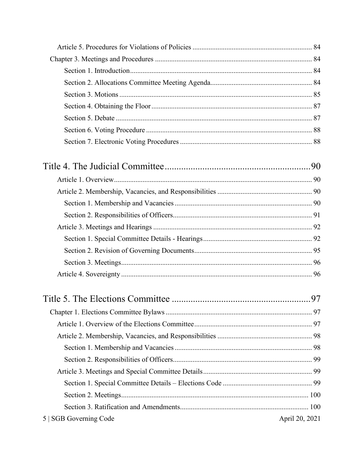| 5   SGB Governing Code | April 20, 2021 |
|------------------------|----------------|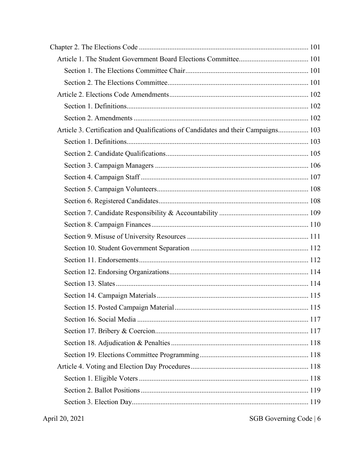| Article 3. Certification and Qualifications of Candidates and their Campaigns 103 |  |
|-----------------------------------------------------------------------------------|--|
|                                                                                   |  |
|                                                                                   |  |
|                                                                                   |  |
|                                                                                   |  |
|                                                                                   |  |
|                                                                                   |  |
|                                                                                   |  |
|                                                                                   |  |
|                                                                                   |  |
|                                                                                   |  |
|                                                                                   |  |
|                                                                                   |  |
|                                                                                   |  |
|                                                                                   |  |
|                                                                                   |  |
|                                                                                   |  |
|                                                                                   |  |
|                                                                                   |  |
|                                                                                   |  |
|                                                                                   |  |
|                                                                                   |  |
|                                                                                   |  |
|                                                                                   |  |
|                                                                                   |  |

SGB Governing Code | 6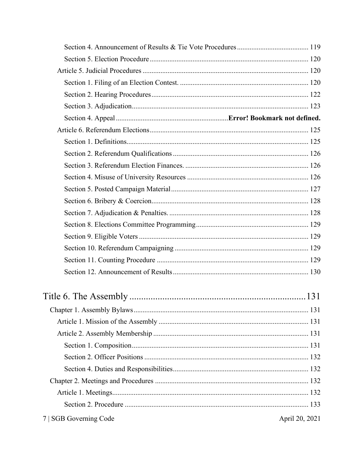| 7   SGB Governing Code | April 20, 2021 |
|------------------------|----------------|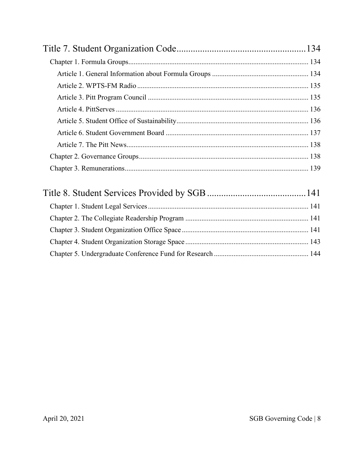| $\sim$ 1 $\sim$ 1 $\sim$ 1 $\sim$ 1 $\sim$ 1 | . |
|----------------------------------------------|---|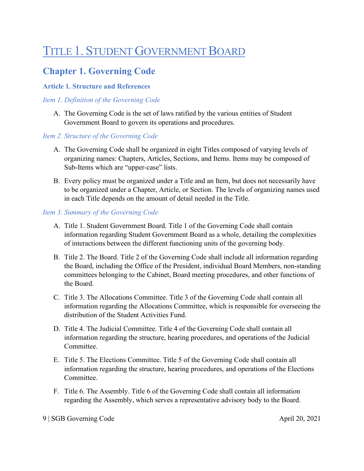# <span id="page-8-0"></span>TITLE 1. STUDENT GOVERNMENT BOARD

# <span id="page-8-1"></span>**Chapter 1. Governing Code**

#### <span id="page-8-2"></span>**Article 1. Structure and References**

#### *Item 1. Definition of the Governing Code*

A. The Governing Code is the set of laws ratified by the various entities of Student Government Board to govern its operations and procedures.

#### *Item 2. Structure of the Governing Code*

- A. The Governing Code shall be organized in eight Titles composed of varying levels of organizing names: Chapters, Articles, Sections, and Items. Items may be composed of Sub-Items which are "upper-case" lists.
- B. Every policy must be organized under a Title and an Item, but does not necessarily have to be organized under a Chapter, Article, or Section. The levels of organizing names used in each Title depends on the amount of detail needed in the Title.

#### *Item 3. Summary of the Governing Code*

- A. Title 1. Student Government Board. Title 1 of the Governing Code shall contain information regarding Student Government Board as a whole, detailing the complexities of interactions between the different functioning units of the governing body.
- B. Title 2. The Board. Title 2 of the Governing Code shall include all information regarding the Board, including the Office of the President, individual Board Members, non-standing committees belonging to the Cabinet, Board meeting procedures, and other functions of the Board.
- C. Title 3. The Allocations Committee. Title 3 of the Governing Code shall contain all information regarding the Allocations Committee, which is responsible for overseeing the distribution of the Student Activities Fund.
- D. Title 4. The Judicial Committee. Title 4 of the Governing Code shall contain all information regarding the structure, hearing procedures, and operations of the Judicial Committee.
- E. Title 5. The Elections Committee. Title 5 of the Governing Code shall contain all information regarding the structure, hearing procedures, and operations of the Elections Committee.
- F. Title 6. The Assembly. Title 6 of the Governing Code shall contain all information regarding the Assembly, which serves a representative advisory body to the Board.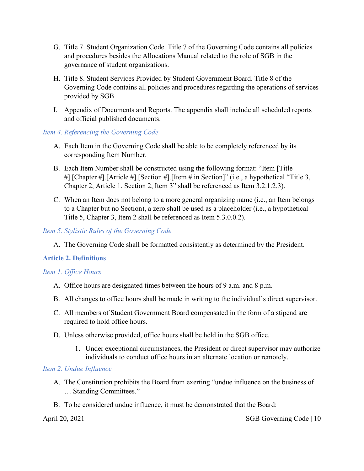- G. Title 7. Student Organization Code. Title 7 of the Governing Code contains all policies and procedures besides the Allocations Manual related to the role of SGB in the governance of student organizations.
- H. Title 8. Student Services Provided by Student Government Board. Title 8 of the Governing Code contains all policies and procedures regarding the operations of services provided by SGB.
- I. Appendix of Documents and Reports. The appendix shall include all scheduled reports and official published documents.

#### *Item 4. Referencing the Governing Code*

- A. Each Item in the Governing Code shall be able to be completely referenced by its corresponding Item Number.
- B. Each Item Number shall be constructed using the following format: "Item [Title #].[Chapter #].[Article #].[Section #].[Item # in Section]" (i.e., a hypothetical "Title 3, Chapter 2, Article 1, Section 2, Item 3" shall be referenced as Item 3.2.1.2.3).
- C. When an Item does not belong to a more general organizing name (i.e., an Item belongs to a Chapter but no Section), a zero shall be used as a placeholder (i.e., a hypothetical Title 5, Chapter 3, Item 2 shall be referenced as Item 5.3.0.0.2).

#### *Item 5. Stylistic Rules of the Governing Code*

A. The Governing Code shall be formatted consistently as determined by the President.

#### <span id="page-9-0"></span>**Article 2. Definitions**

#### *Item 1. Office Hours*

- A. Office hours are designated times between the hours of 9 a.m. and 8 p.m.
- B. All changes to office hours shall be made in writing to the individual's direct supervisor.
- C. All members of Student Government Board compensated in the form of a stipend are required to hold office hours.
- D. Unless otherwise provided, office hours shall be held in the SGB office.
	- 1. Under exceptional circumstances, the President or direct supervisor may authorize individuals to conduct office hours in an alternate location or remotely.

#### *Item 2. Undue Influence*

- A. The Constitution prohibits the Board from exerting "undue influence on the business of … Standing Committees."
- B. To be considered undue influence, it must be demonstrated that the Board:

April 20, 2021 SGB Governing Code | 10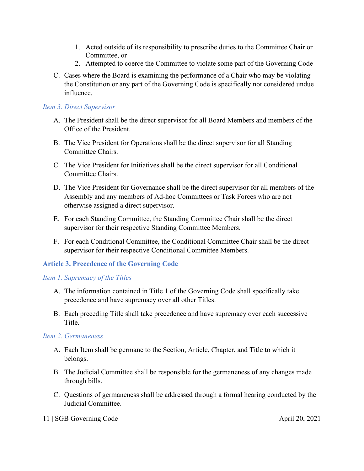- 1. Acted outside of its responsibility to prescribe duties to the Committee Chair or Committee, or
- 2. Attempted to coerce the Committee to violate some part of the Governing Code
- C. Cases where the Board is examining the performance of a Chair who may be violating the Constitution or any part of the Governing Code is specifically not considered undue influence.

#### *Item 3. Direct Supervisor*

- A. The President shall be the direct supervisor for all Board Members and members of the Office of the President.
- B. The Vice President for Operations shall be the direct supervisor for all Standing Committee Chairs.
- C. The Vice President for Initiatives shall be the direct supervisor for all Conditional Committee Chairs.
- D. The Vice President for Governance shall be the direct supervisor for all members of the Assembly and any members of Ad-hoc Committees or Task Forces who are not otherwise assigned a direct supervisor.
- E. For each Standing Committee, the Standing Committee Chair shall be the direct supervisor for their respective Standing Committee Members.
- F. For each Conditional Committee, the Conditional Committee Chair shall be the direct supervisor for their respective Conditional Committee Members.

#### <span id="page-10-0"></span>**Article 3. Precedence of the Governing Code**

#### *Item 1. Supremacy of the Titles*

- A. The information contained in Title 1 of the Governing Code shall specifically take precedence and have supremacy over all other Titles.
- B. Each preceding Title shall take precedence and have supremacy over each successive Title.

#### *Item 2. Germaneness*

- A. Each Item shall be germane to the Section, Article, Chapter, and Title to which it belongs.
- B. The Judicial Committee shall be responsible for the germaneness of any changes made through bills.
- C. Questions of germaneness shall be addressed through a formal hearing conducted by the Judicial Committee.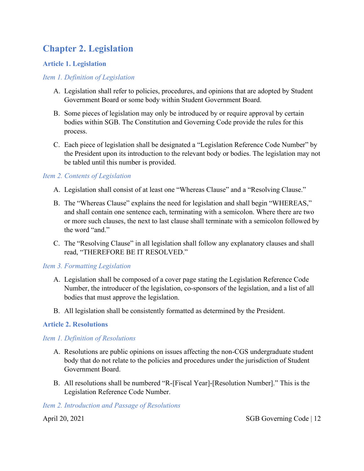# <span id="page-11-0"></span>**Chapter 2. Legislation**

#### <span id="page-11-1"></span>**Article 1. Legislation**

#### *Item 1. Definition of Legislation*

- A. Legislation shall refer to policies, procedures, and opinions that are adopted by Student Government Board or some body within Student Government Board.
- B. Some pieces of legislation may only be introduced by or require approval by certain bodies within SGB. The Constitution and Governing Code provide the rules for this process.
- C. Each piece of legislation shall be designated a "Legislation Reference Code Number" by the President upon its introduction to the relevant body or bodies. The legislation may not be tabled until this number is provided.

#### *Item 2. Contents of Legislation*

- A. Legislation shall consist of at least one "Whereas Clause" and a "Resolving Clause."
- B. The "Whereas Clause" explains the need for legislation and shall begin "WHEREAS," and shall contain one sentence each, terminating with a semicolon. Where there are two or more such clauses, the next to last clause shall terminate with a semicolon followed by the word "and."
- C. The "Resolving Clause" in all legislation shall follow any explanatory clauses and shall read, "THEREFORE BE IT RESOLVED."

#### *Item 3. Formatting Legislation*

- A. Legislation shall be composed of a cover page stating the Legislation Reference Code Number, the introducer of the legislation, co-sponsors of the legislation, and a list of all bodies that must approve the legislation.
- B. All legislation shall be consistently formatted as determined by the President.

#### <span id="page-11-2"></span>**Article 2. Resolutions**

#### *Item 1. Definition of Resolutions*

- A. Resolutions are public opinions on issues affecting the non-CGS undergraduate student body that do not relate to the policies and procedures under the jurisdiction of Student Government Board.
- B. All resolutions shall be numbered "R-[Fiscal Year]-[Resolution Number]." This is the Legislation Reference Code Number.

#### *Item 2. Introduction and Passage of Resolutions*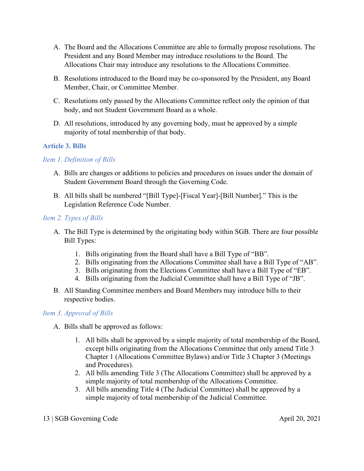- A. The Board and the Allocations Committee are able to formally propose resolutions. The President and any Board Member may introduce resolutions to the Board. The Allocations Chair may introduce any resolutions to the Allocations Committee.
- B. Resolutions introduced to the Board may be co-sponsored by the President, any Board Member, Chair, or Committee Member.
- C. Resolutions only passed by the Allocations Committee reflect only the opinion of that body, and not Student Government Board as a whole.
- D. All resolutions, introduced by any governing body, must be approved by a simple majority of total membership of that body.

#### <span id="page-12-0"></span>**Article 3. Bills**

#### *Item 1. Definition of Bills*

- A. Bills are changes or additions to policies and procedures on issues under the domain of Student Government Board through the Governing Code.
- B. All bills shall be numbered "[Bill Type]-[Fiscal Year]-[Bill Number]." This is the Legislation Reference Code Number.

#### *Item 2. Types of Bills*

- A. The Bill Type is determined by the originating body within SGB. There are four possible Bill Types:
	- 1. Bills originating from the Board shall have a Bill Type of "BB".
	- 2. Bills originating from the Allocations Committee shall have a Bill Type of "AB".
	- 3. Bills originating from the Elections Committee shall have a Bill Type of "EB".
	- 4. Bills originating from the Judicial Committee shall have a Bill Type of "JB".
- B. All Standing Committee members and Board Members may introduce bills to their respective bodies.

#### *Item 3. Approval of Bills*

- A. Bills shall be approved as follows:
	- 1. All bills shall be approved by a simple majority of total membership of the Board, except bills originating from the Allocations Committee that only amend Title 3 Chapter 1 (Allocations Committee Bylaws) and/or Title 3 Chapter 3 (Meetings and Procedures).
	- 2. All bills amending Title 3 (The Allocations Committee) shall be approved by a simple majority of total membership of the Allocations Committee.
	- 3. All bills amending Title 4 (The Judicial Committee) shall be approved by a simple majority of total membership of the Judicial Committee.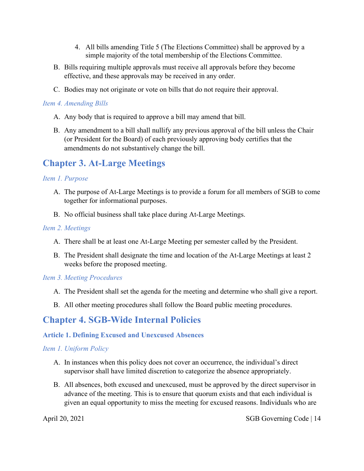- 4. All bills amending Title 5 (The Elections Committee) shall be approved by a simple majority of the total membership of the Elections Committee.
- B. Bills requiring multiple approvals must receive all approvals before they become effective, and these approvals may be received in any order.
- C. Bodies may not originate or vote on bills that do not require their approval.

#### *Item 4. Amending Bills*

- A. Any body that is required to approve a bill may amend that bill.
- B. Any amendment to a bill shall nullify any previous approval of the bill unless the Chair (or President for the Board) of each previously approving body certifies that the amendments do not substantively change the bill.

### <span id="page-13-0"></span>**Chapter 3. At-Large Meetings**

#### *Item 1. Purpose*

- A. The purpose of At-Large Meetings is to provide a forum for all members of SGB to come together for informational purposes.
- B. No official business shall take place during At-Large Meetings.

#### *Item 2. Meetings*

- A. There shall be at least one At-Large Meeting per semester called by the President.
- B. The President shall designate the time and location of the At-Large Meetings at least 2 weeks before the proposed meeting.

#### *Item 3. Meeting Procedures*

- A. The President shall set the agenda for the meeting and determine who shall give a report.
- B. All other meeting procedures shall follow the Board public meeting procedures.

### <span id="page-13-1"></span>**Chapter 4. SGB-Wide Internal Policies**

#### <span id="page-13-2"></span>**Article 1. Defining Excused and Unexcused Absences**

#### *Item 1. Uniform Policy*

- A. In instances when this policy does not cover an occurrence, the individual's direct supervisor shall have limited discretion to categorize the absence appropriately.
- B. All absences, both excused and unexcused, must be approved by the direct supervisor in advance of the meeting. This is to ensure that quorum exists and that each individual is given an equal opportunity to miss the meeting for excused reasons. Individuals who are

April 20, 2021 SGB Governing Code | 14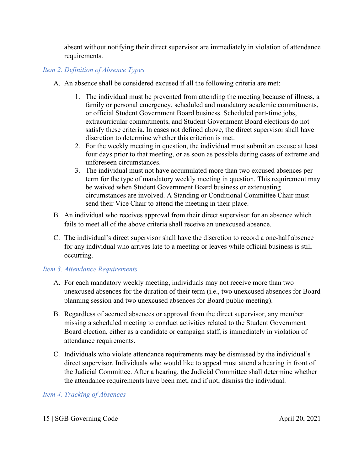absent without notifying their direct supervisor are immediately in violation of attendance requirements.

#### *Item 2. Definition of Absence Types*

- A. An absence shall be considered excused if all the following criteria are met:
	- 1. The individual must be prevented from attending the meeting because of illness, a family or personal emergency, scheduled and mandatory academic commitments, or official Student Government Board business. Scheduled part-time jobs, extracurricular commitments, and Student Government Board elections do not satisfy these criteria. In cases not defined above, the direct supervisor shall have discretion to determine whether this criterion is met.
	- 2. For the weekly meeting in question, the individual must submit an excuse at least four days prior to that meeting, or as soon as possible during cases of extreme and unforeseen circumstances.
	- 3. The individual must not have accumulated more than two excused absences per term for the type of mandatory weekly meeting in question. This requirement may be waived when Student Government Board business or extenuating circumstances are involved. A Standing or Conditional Committee Chair must send their Vice Chair to attend the meeting in their place.
- B. An individual who receives approval from their direct supervisor for an absence which fails to meet all of the above criteria shall receive an unexcused absence.
- C. The individual's direct supervisor shall have the discretion to record a one-half absence for any individual who arrives late to a meeting or leaves while official business is still occurring.

#### *Item 3. Attendance Requirements*

- A. For each mandatory weekly meeting, individuals may not receive more than two unexcused absences for the duration of their term (i.e., two unexcused absences for Board planning session and two unexcused absences for Board public meeting).
- B. Regardless of accrued absences or approval from the direct supervisor, any member missing a scheduled meeting to conduct activities related to the Student Government Board election, either as a candidate or campaign staff, is immediately in violation of attendance requirements.
- C. Individuals who violate attendance requirements may be dismissed by the individual's direct supervisor. Individuals who would like to appeal must attend a hearing in front of the Judicial Committee. After a hearing, the Judicial Committee shall determine whether the attendance requirements have been met, and if not, dismiss the individual.

#### *Item 4. Tracking of Absences*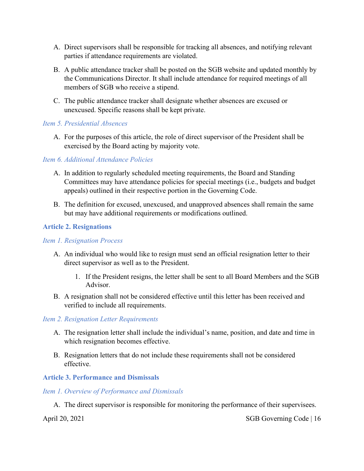- A. Direct supervisors shall be responsible for tracking all absences, and notifying relevant parties if attendance requirements are violated.
- B. A public attendance tracker shall be posted on the SGB website and updated monthly by the Communications Director. It shall include attendance for required meetings of all members of SGB who receive a stipend.
- C. The public attendance tracker shall designate whether absences are excused or unexcused. Specific reasons shall be kept private.

#### *Item 5. Presidential Absences*

A. For the purposes of this article, the role of direct supervisor of the President shall be exercised by the Board acting by majority vote.

#### *Item 6. Additional Attendance Policies*

- A. In addition to regularly scheduled meeting requirements, the Board and Standing Committees may have attendance policies for special meetings (i.e., budgets and budget appeals) outlined in their respective portion in the Governing Code.
- B. The definition for excused, unexcused, and unapproved absences shall remain the same but may have additional requirements or modifications outlined.

#### <span id="page-15-0"></span>**Article 2. Resignations**

#### *Item 1. Resignation Process*

- A. An individual who would like to resign must send an official resignation letter to their direct supervisor as well as to the President.
	- 1. If the President resigns, the letter shall be sent to all Board Members and the SGB Advisor.
- B. A resignation shall not be considered effective until this letter has been received and verified to include all requirements.

#### *Item 2. Resignation Letter Requirements*

- A. The resignation letter shall include the individual's name, position, and date and time in which resignation becomes effective.
- B. Resignation letters that do not include these requirements shall not be considered effective.

#### <span id="page-15-1"></span>**Article 3. Performance and Dismissals**

#### *Item 1. Overview of Performance and Dismissals*

A. The direct supervisor is responsible for monitoring the performance of their supervisees.

April 20, 2021 SGB Governing Code | 16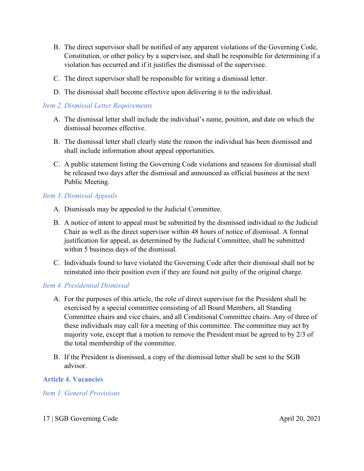- B. The direct supervisor shall be notified of any apparent violations of the Governing Code, Constitution, or other policy by a supervisee, and shall be responsible for determining if a violation has occurred and if it justifies the dismissal of the supervisee.
- C. The direct supervisor shall be responsible for writing a dismissal letter.
- D. The dismissal shall become effective upon delivering it to the individual.

#### *Item 2. Dismissal Letter Requirements*

- A. The dismissal letter shall include the individual's name, position, and date on which the dismissal becomes effective.
- B. The dismissal letter shall clearly state the reason the individual has been dismissed and shall include information about appeal opportunities.
- C. A public statement listing the Governing Code violations and reasons for dismissal shall be released two days after the dismissal and announced as official business at the next Public Meeting.

#### *Item 3. Dismissal Appeals*

- A. Dismissals may be appealed to the Judicial Committee.
- B. A notice of intent to appeal must be submitted by the dismissed individual to the Judicial Chair as well as the direct supervisor within 48 hours of notice of dismissal. A formal justification for appeal, as determined by the Judicial Committee, shall be submitted within 5 business days of the dismissal.
- C. Individuals found to have violated the Governing Code after their dismissal shall not be reinstated into their position even if they are found not guilty of the original charge.

#### *Item 4. Presidential Dismissal*

- A. For the purposes of this article, the role of direct supervisor for the President shall be exercised by a special committee consisting of all Board Members, all Standing Committee chairs and vice chairs, and all Conditional Committee chairs. Any of three of these individuals may call for a meeting of this committee. The committee may act by majority vote, except that a motion to remove the President must be agreed to by 2/3 of the total membership of the committee.
- B. If the President is dismissed, a copy of the dismissal letter shall be sent to the SGB advisor.

#### <span id="page-16-0"></span>**Article 4. Vacancies**

#### *Item 1. General Provisions*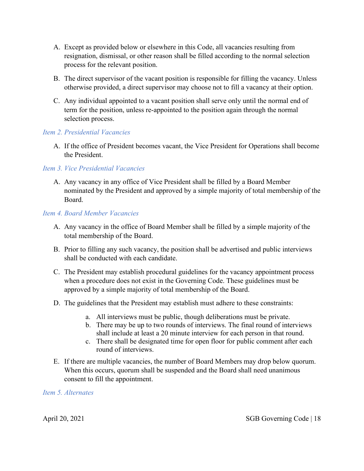- A. Except as provided below or elsewhere in this Code, all vacancies resulting from resignation, dismissal, or other reason shall be filled according to the normal selection process for the relevant position.
- B. The direct supervisor of the vacant position is responsible for filling the vacancy. Unless otherwise provided, a direct supervisor may choose not to fill a vacancy at their option.
- C. Any individual appointed to a vacant position shall serve only until the normal end of term for the position, unless re-appointed to the position again through the normal selection process.

#### *Item 2. Presidential Vacancies*

A. If the office of President becomes vacant, the Vice President for Operations shall become the President.

#### *Item 3. Vice Presidential Vacancies*

A. Any vacancy in any office of Vice President shall be filled by a Board Member nominated by the President and approved by a simple majority of total membership of the Board.

#### *Item 4. Board Member Vacancies*

- A. Any vacancy in the office of Board Member shall be filled by a simple majority of the total membership of the Board.
- B. Prior to filling any such vacancy, the position shall be advertised and public interviews shall be conducted with each candidate.
- C. The President may establish procedural guidelines for the vacancy appointment process when a procedure does not exist in the Governing Code. These guidelines must be approved by a simple majority of total membership of the Board.
- D. The guidelines that the President may establish must adhere to these constraints:
	- a. All interviews must be public, though deliberations must be private.
	- b. There may be up to two rounds of interviews. The final round of interviews shall include at least a 20 minute interview for each person in that round.
	- c. There shall be designated time for open floor for public comment after each round of interviews.
- E. If there are multiple vacancies, the number of Board Members may drop below quorum. When this occurs, quorum shall be suspended and the Board shall need unanimous consent to fill the appointment.

#### *Item 5. Alternates*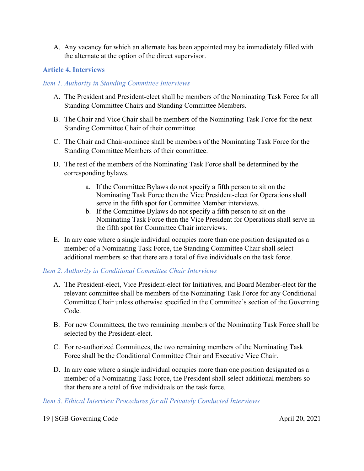A. Any vacancy for which an alternate has been appointed may be immediately filled with the alternate at the option of the direct supervisor.

#### <span id="page-18-0"></span>**Article 4. Interviews**

#### *Item 1. Authority in Standing Committee Interviews*

- A. The President and President-elect shall be members of the Nominating Task Force for all Standing Committee Chairs and Standing Committee Members.
- B. The Chair and Vice Chair shall be members of the Nominating Task Force for the next Standing Committee Chair of their committee.
- C. The Chair and Chair-nominee shall be members of the Nominating Task Force for the Standing Committee Members of their committee.
- D. The rest of the members of the Nominating Task Force shall be determined by the corresponding bylaws.
	- a. If the Committee Bylaws do not specify a fifth person to sit on the Nominating Task Force then the Vice President-elect for Operations shall serve in the fifth spot for Committee Member interviews.
	- b. If the Committee Bylaws do not specify a fifth person to sit on the Nominating Task Force then the Vice President for Operations shall serve in the fifth spot for Committee Chair interviews.
- E. In any case where a single individual occupies more than one position designated as a member of a Nominating Task Force, the Standing Committee Chair shall select additional members so that there are a total of five individuals on the task force.

#### *Item 2. Authority in Conditional Committee Chair Interviews*

- A. The President-elect, Vice President-elect for Initiatives, and Board Member-elect for the relevant committee shall be members of the Nominating Task Force for any Conditional Committee Chair unless otherwise specified in the Committee's section of the Governing Code.
- B. For new Committees, the two remaining members of the Nominating Task Force shall be selected by the President-elect.
- C. For re-authorized Committees, the two remaining members of the Nominating Task Force shall be the Conditional Committee Chair and Executive Vice Chair.
- D. In any case where a single individual occupies more than one position designated as a member of a Nominating Task Force, the President shall select additional members so that there are a total of five individuals on the task force.

#### *Item 3. Ethical Interview Procedures for all Privately Conducted Interviews*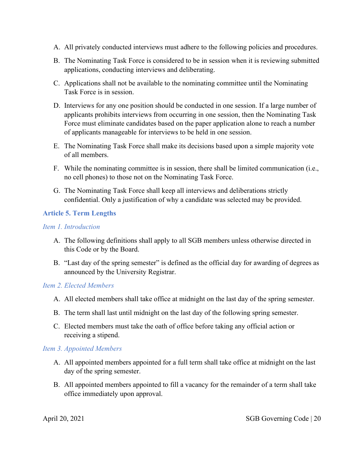- A. All privately conducted interviews must adhere to the following policies and procedures.
- B. The Nominating Task Force is considered to be in session when it is reviewing submitted applications, conducting interviews and deliberating.
- C. Applications shall not be available to the nominating committee until the Nominating Task Force is in session.
- D. Interviews for any one position should be conducted in one session. If a large number of applicants prohibits interviews from occurring in one session, then the Nominating Task Force must eliminate candidates based on the paper application alone to reach a number of applicants manageable for interviews to be held in one session.
- E. The Nominating Task Force shall make its decisions based upon a simple majority vote of all members.
- F. While the nominating committee is in session, there shall be limited communication (i.e., no cell phones) to those not on the Nominating Task Force.
- G. The Nominating Task Force shall keep all interviews and deliberations strictly confidential. Only a justification of why a candidate was selected may be provided.

#### <span id="page-19-0"></span>**Article 5. Term Lengths**

#### *Item 1. Introduction*

- A. The following definitions shall apply to all SGB members unless otherwise directed in this Code or by the Board.
- B. "Last day of the spring semester" is defined as the official day for awarding of degrees as announced by the University Registrar.

#### *Item 2. Elected Members*

- A. All elected members shall take office at midnight on the last day of the spring semester.
- B. The term shall last until midnight on the last day of the following spring semester.
- C. Elected members must take the oath of office before taking any official action or receiving a stipend.

#### *Item 3. Appointed Members*

- A. All appointed members appointed for a full term shall take office at midnight on the last day of the spring semester.
- B. All appointed members appointed to fill a vacancy for the remainder of a term shall take office immediately upon approval.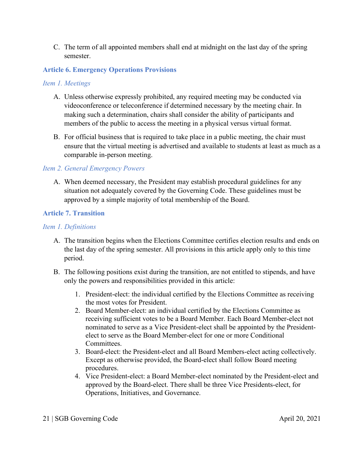C. The term of all appointed members shall end at midnight on the last day of the spring semester.

#### <span id="page-20-0"></span>**Article 6. Emergency Operations Provisions**

#### *Item 1. Meetings*

- A. Unless otherwise expressly prohibited, any required meeting may be conducted via videoconference or teleconference if determined necessary by the meeting chair. In making such a determination, chairs shall consider the ability of participants and members of the public to access the meeting in a physical versus virtual format.
- B. For official business that is required to take place in a public meeting, the chair must ensure that the virtual meeting is advertised and available to students at least as much as a comparable in-person meeting.

#### *Item 2. General Emergency Powers*

A. When deemed necessary, the President may establish procedural guidelines for any situation not adequately covered by the Governing Code. These guidelines must be approved by a simple majority of total membership of the Board.

#### <span id="page-20-1"></span>**Article 7. Transition**

#### *Item 1. Definitions*

- A. The transition begins when the Elections Committee certifies election results and ends on the last day of the spring semester. All provisions in this article apply only to this time period.
- B. The following positions exist during the transition, are not entitled to stipends, and have only the powers and responsibilities provided in this article:
	- 1. President-elect: the individual certified by the Elections Committee as receiving the most votes for President.
	- 2. Board Member-elect: an individual certified by the Elections Committee as receiving sufficient votes to be a Board Member. Each Board Member-elect not nominated to serve as a Vice President-elect shall be appointed by the Presidentelect to serve as the Board Member-elect for one or more Conditional Committees.
	- 3. Board-elect: the President-elect and all Board Members-elect acting collectively. Except as otherwise provided, the Board-elect shall follow Board meeting procedures.
	- 4. Vice President-elect: a Board Member-elect nominated by the President-elect and approved by the Board-elect. There shall be three Vice Presidents-elect, for Operations, Initiatives, and Governance.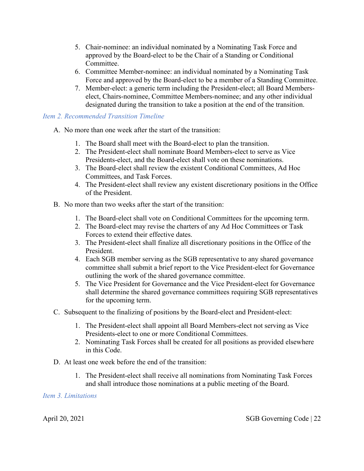- 5. Chair-nominee: an individual nominated by a Nominating Task Force and approved by the Board-elect to be the Chair of a Standing or Conditional Committee.
- 6. Committee Member-nominee: an individual nominated by a Nominating Task Force and approved by the Board-elect to be a member of a Standing Committee.
- 7. Member-elect: a generic term including the President-elect; all Board Memberselect, Chairs-nominee, Committee Members-nominee; and any other individual designated during the transition to take a position at the end of the transition.

#### *Item 2. Recommended Transition Timeline*

- A. No more than one week after the start of the transition:
	- 1. The Board shall meet with the Board-elect to plan the transition.
	- 2. The President-elect shall nominate Board Members-elect to serve as Vice Presidents-elect, and the Board-elect shall vote on these nominations.
	- 3. The Board-elect shall review the existent Conditional Committees, Ad Hoc Committees, and Task Forces.
	- 4. The President-elect shall review any existent discretionary positions in the Office of the President.
- B. No more than two weeks after the start of the transition:
	- 1. The Board-elect shall vote on Conditional Committees for the upcoming term.
	- 2. The Board-elect may revise the charters of any Ad Hoc Committees or Task Forces to extend their effective dates.
	- 3. The President-elect shall finalize all discretionary positions in the Office of the President.
	- 4. Each SGB member serving as the SGB representative to any shared governance committee shall submit a brief report to the Vice President-elect for Governance outlining the work of the shared governance committee.
	- 5. The Vice President for Governance and the Vice President-elect for Governance shall determine the shared governance committees requiring SGB representatives for the upcoming term.
- C. Subsequent to the finalizing of positions by the Board-elect and President-elect:
	- 1. The President-elect shall appoint all Board Members-elect not serving as Vice Presidents-elect to one or more Conditional Committees.
	- 2. Nominating Task Forces shall be created for all positions as provided elsewhere in this Code.
- D. At least one week before the end of the transition:
	- 1. The President-elect shall receive all nominations from Nominating Task Forces and shall introduce those nominations at a public meeting of the Board.

#### *Item 3. Limitations*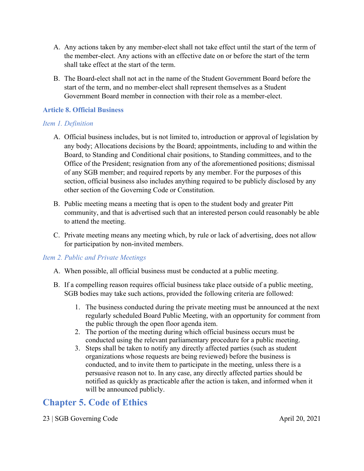- A. Any actions taken by any member-elect shall not take effect until the start of the term of the member-elect. Any actions with an effective date on or before the start of the term shall take effect at the start of the term.
- B. The Board-elect shall not act in the name of the Student Government Board before the start of the term, and no member-elect shall represent themselves as a Student Government Board member in connection with their role as a member-elect.

#### <span id="page-22-0"></span>**Article 8. Official Business**

#### *Item 1. Definition*

- A. Official business includes, but is not limited to, introduction or approval of legislation by any body; Allocations decisions by the Board; appointments, including to and within the Board, to Standing and Conditional chair positions, to Standing committees, and to the Office of the President; resignation from any of the aforementioned positions; dismissal of any SGB member; and required reports by any member. For the purposes of this section, official business also includes anything required to be publicly disclosed by any other section of the Governing Code or Constitution.
- B. Public meeting means a meeting that is open to the student body and greater Pitt community, and that is advertised such that an interested person could reasonably be able to attend the meeting.
- C. Private meeting means any meeting which, by rule or lack of advertising, does not allow for participation by non-invited members.

#### *Item 2. Public and Private Meetings*

- A. When possible, all official business must be conducted at a public meeting.
- B. If a compelling reason requires official business take place outside of a public meeting, SGB bodies may take such actions, provided the following criteria are followed:
	- 1. The business conducted during the private meeting must be announced at the next regularly scheduled Board Public Meeting, with an opportunity for comment from the public through the open floor agenda item.
	- 2. The portion of the meeting during which official business occurs must be conducted using the relevant parliamentary procedure for a public meeting.
	- 3. Steps shall be taken to notify any directly affected parties (such as student organizations whose requests are being reviewed) before the business is conducted, and to invite them to participate in the meeting, unless there is a persuasive reason not to. In any case, any directly affected parties should be notified as quickly as practicable after the action is taken, and informed when it will be announced publicly.

# <span id="page-22-1"></span>**Chapter 5. Code of Ethics**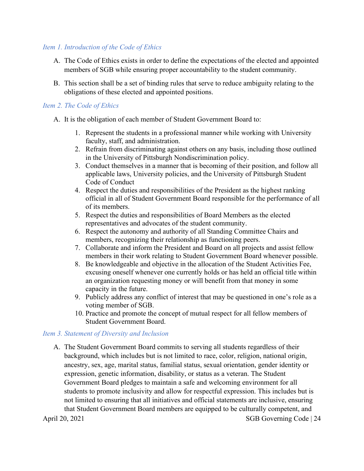#### *Item 1. Introduction of the Code of Ethics*

- A. The Code of Ethics exists in order to define the expectations of the elected and appointed members of SGB while ensuring proper accountability to the student community.
- B. This section shall be a set of binding rules that serve to reduce ambiguity relating to the obligations of these elected and appointed positions.

#### *Item 2. The Code of Ethics*

- A. It is the obligation of each member of Student Government Board to:
	- 1. Represent the students in a professional manner while working with University faculty, staff, and administration.
	- 2. Refrain from discriminating against others on any basis, including those outlined in the University of Pittsburgh Nondiscrimination policy.
	- 3. Conduct themselves in a manner that is becoming of their position, and follow all applicable laws, University policies, and the University of Pittsburgh Student Code of Conduct
	- 4. Respect the duties and responsibilities of the President as the highest ranking official in all of Student Government Board responsible for the performance of all of its members.
	- 5. Respect the duties and responsibilities of Board Members as the elected representatives and advocates of the student community.
	- 6. Respect the autonomy and authority of all Standing Committee Chairs and members, recognizing their relationship as functioning peers.
	- 7. Collaborate and inform the President and Board on all projects and assist fellow members in their work relating to Student Government Board whenever possible.
	- 8. Be knowledgeable and objective in the allocation of the Student Activities Fee, excusing oneself whenever one currently holds or has held an official title within an organization requesting money or will benefit from that money in some capacity in the future.
	- 9. Publicly address any conflict of interest that may be questioned in one's role as a voting member of SGB.
	- 10. Practice and promote the concept of mutual respect for all fellow members of Student Government Board.

#### *Item 3. Statement of Diversity and Inclusion*

April 20, 2021 SGB Governing Code | 24 A. The Student Government Board commits to serving all students regardless of their background, which includes but is not limited to race, color, religion, national origin, ancestry, sex, age, marital status, familial status, sexual orientation, gender identity or expression, genetic information, disability, or status as a veteran. The Student Government Board pledges to maintain a safe and welcoming environment for all students to promote inclusivity and allow for respectful expression. This includes but is not limited to ensuring that all initiatives and official statements are inclusive, ensuring that Student Government Board members are equipped to be culturally competent, and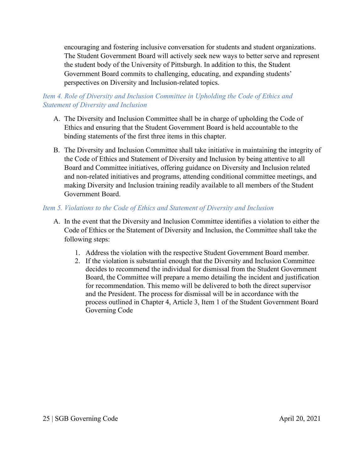encouraging and fostering inclusive conversation for students and student organizations. The Student Government Board will actively seek new ways to better serve and represent the student body of the University of Pittsburgh. In addition to this, the Student Government Board commits to challenging, educating, and expanding students' perspectives on Diversity and Inclusion-related topics.

#### *Item 4. Role of Diversity and Inclusion Committee in Upholding the Code of Ethics and Statement of Diversity and Inclusion*

- A. The Diversity and Inclusion Committee shall be in charge of upholding the Code of Ethics and ensuring that the Student Government Board is held accountable to the binding statements of the first three items in this chapter.
- B. The Diversity and Inclusion Committee shall take initiative in maintaining the integrity of the Code of Ethics and Statement of Diversity and Inclusion by being attentive to all Board and Committee initiatives, offering guidance on Diversity and Inclusion related and non-related initiatives and programs, attending conditional committee meetings, and making Diversity and Inclusion training readily available to all members of the Student Government Board.

#### *Item 5. Violations to the Code of Ethics and Statement of Diversity and Inclusion*

- A. In the event that the Diversity and Inclusion Committee identifies a violation to either the Code of Ethics or the Statement of Diversity and Inclusion, the Committee shall take the following steps:
	- 1. Address the violation with the respective Student Government Board member.
	- 2. If the violation is substantial enough that the Diversity and Inclusion Committee decides to recommend the individual for dismissal from the Student Government Board, the Committee will prepare a memo detailing the incident and justification for recommendation. This memo will be delivered to both the direct supervisor and the President. The process for dismissal will be in accordance with the process outlined in Chapter 4, Article 3, Item 1 of the Student Government Board Governing Code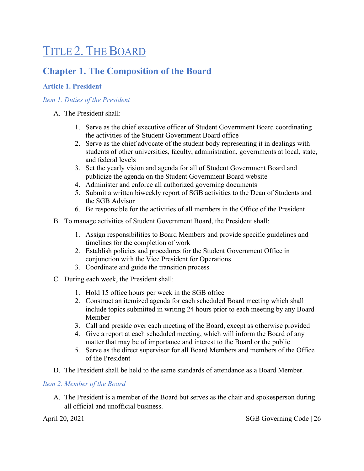# <span id="page-25-0"></span>TITLE 2. THE BOARD

## <span id="page-25-1"></span>**Chapter 1. The Composition of the Board**

#### <span id="page-25-2"></span>**Article 1. President**

#### *Item 1. Duties of the President*

#### A. The President shall:

- 1. Serve as the chief executive officer of Student Government Board coordinating the activities of the Student Government Board office
- 2. Serve as the chief advocate of the student body representing it in dealings with students of other universities, faculty, administration, governments at local, state, and federal levels
- 3. Set the yearly vision and agenda for all of Student Government Board and publicize the agenda on the Student Government Board website
- 4. Administer and enforce all authorized governing documents
- 5. Submit a written biweekly report of SGB activities to the Dean of Students and the SGB Advisor
- 6. Be responsible for the activities of all members in the Office of the President
- B. To manage activities of Student Government Board, the President shall:
	- 1. Assign responsibilities to Board Members and provide specific guidelines and timelines for the completion of work
	- 2. Establish policies and procedures for the Student Government Office in conjunction with the Vice President for Operations
	- 3. Coordinate and guide the transition process
- C. During each week, the President shall:
	- 1. Hold 15 office hours per week in the SGB office
	- 2. Construct an itemized agenda for each scheduled Board meeting which shall include topics submitted in writing 24 hours prior to each meeting by any Board Member
	- 3. Call and preside over each meeting of the Board, except as otherwise provided
	- 4. Give a report at each scheduled meeting, which will inform the Board of any matter that may be of importance and interest to the Board or the public
	- 5. Serve as the direct supervisor for all Board Members and members of the Office of the President
- D. The President shall be held to the same standards of attendance as a Board Member.

#### *Item 2. Member of the Board*

A. The President is a member of the Board but serves as the chair and spokesperson during all official and unofficial business.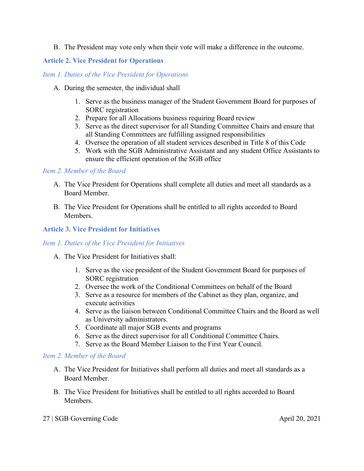#### B. The President may vote only when their vote will make a difference in the outcome.

#### <span id="page-26-0"></span>**Article 2. Vice President for Operations**

#### *Item 1. Duties of the Vice President for Operations*

- A. During the semester, the individual shall
	- 1. Serve as the business manager of the Student Government Board for purposes of SORC registration
	- 2. Prepare for all Allocations business requiring Board review
	- 3. Serve as the direct supervisor for all Standing Committee Chairs and ensure that all Standing Committees are fulfilling assigned responsibilities
	- 4. Oversee the operation of all student services described in Title 8 of this Code
	- 5. Work with the SGB Administrative Assistant and any student Office Assistants to ensure the efficient operation of the SGB office

#### *Item 2. Member of the Board*

- A. The Vice President for Operations shall complete all duties and meet all standards as a Board Member.
- B. The Vice President for Operations shall be entitled to all rights accorded to Board **Members**

#### <span id="page-26-1"></span>**Article 3. Vice President for Initiatives**

#### *Item 1. Duties of the Vice President for Initiatives*

- A. The Vice President for Initiatives shall:
	- 1. Serve as the vice president of the Student Government Board for purposes of SORC registration
	- 2. Oversee the work of the Conditional Committees on behalf of the Board
	- 3. Serve as a resource for members of the Cabinet as they plan, organize, and execute activities
	- 4. Serve as the liaison between Conditional Committee Chairs and the Board as well as University administrators.
	- 5. Coordinate all major SGB events and programs
	- 6. Serve as the direct supervisor for all Conditional Committee Chairs.
	- 7. Serve as the Board Member Liaison to the First Year Council.

#### *Item 2. Member of the Board*

- A. The Vice President for Initiatives shall perform all duties and meet all standards as a Board Member.
- B. The Vice President for Initiatives shall be entitled to all rights accorded to Board Members.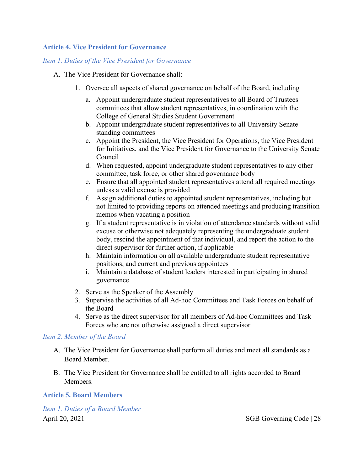#### <span id="page-27-0"></span>**Article 4. Vice President for Governance**

#### *Item 1. Duties of the Vice President for Governance*

- A. The Vice President for Governance shall:
	- 1. Oversee all aspects of shared governance on behalf of the Board, including
		- a. Appoint undergraduate student representatives to all Board of Trustees committees that allow student representatives, in coordination with the College of General Studies Student Government
		- b. Appoint undergraduate student representatives to all University Senate standing committees
		- c. Appoint the President, the Vice President for Operations, the Vice President for Initiatives, and the Vice President for Governance to the University Senate Council
		- d. When requested, appoint undergraduate student representatives to any other committee, task force, or other shared governance body
		- e. Ensure that all appointed student representatives attend all required meetings unless a valid excuse is provided
		- f. Assign additional duties to appointed student representatives, including but not limited to providing reports on attended meetings and producing transition memos when vacating a position
		- g. If a student representative is in violation of attendance standards without valid excuse or otherwise not adequately representing the undergraduate student body, rescind the appointment of that individual, and report the action to the direct supervisor for further action, if applicable
		- h. Maintain information on all available undergraduate student representative positions, and current and previous appointees
		- i. Maintain a database of student leaders interested in participating in shared governance
	- 2. Serve as the Speaker of the Assembly
	- 3. Supervise the activities of all Ad-hoc Committees and Task Forces on behalf of the Board
	- 4. Serve as the direct supervisor for all members of Ad-hoc Committees and Task Forces who are not otherwise assigned a direct supervisor

#### *Item 2. Member of the Board*

- A. The Vice President for Governance shall perform all duties and meet all standards as a Board Member.
- B. The Vice President for Governance shall be entitled to all rights accorded to Board Members.

#### <span id="page-27-1"></span>**Article 5. Board Members**

April 20, 2021 SGB Governing Code | 28 *Item 1. Duties of a Board Member*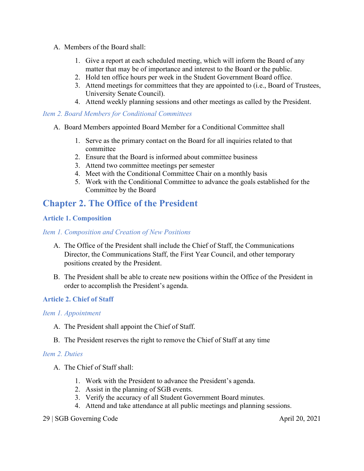- A. Members of the Board shall:
	- 1. Give a report at each scheduled meeting, which will inform the Board of any matter that may be of importance and interest to the Board or the public.
	- 2. Hold ten office hours per week in the Student Government Board office.
	- 3. Attend meetings for committees that they are appointed to (i.e., Board of Trustees, University Senate Council).
	- 4. Attend weekly planning sessions and other meetings as called by the President.

#### *Item 2. Board Members for Conditional Committees*

- A. Board Members appointed Board Member for a Conditional Committee shall
	- 1. Serve as the primary contact on the Board for all inquiries related to that committee
	- 2. Ensure that the Board is informed about committee business
	- 3. Attend two committee meetings per semester
	- 4. Meet with the Conditional Committee Chair on a monthly basis
	- 5. Work with the Conditional Committee to advance the goals established for the Committee by the Board

### <span id="page-28-0"></span>**Chapter 2. The Office of the President**

#### <span id="page-28-1"></span>**Article 1. Composition**

#### *Item 1. Composition and Creation of New Positions*

- A. The Office of the President shall include the Chief of Staff, the Communications Director, the Communications Staff, the First Year Council, and other temporary positions created by the President.
- B. The President shall be able to create new positions within the Office of the President in order to accomplish the President's agenda.

#### <span id="page-28-2"></span>**Article 2. Chief of Staff**

#### *Item 1. Appointment*

- A. The President shall appoint the Chief of Staff.
- B. The President reserves the right to remove the Chief of Staff at any time

#### *Item 2. Duties*

- A. The Chief of Staff shall:
	- 1. Work with the President to advance the President's agenda.
	- 2. Assist in the planning of SGB events.
	- 3. Verify the accuracy of all Student Government Board minutes.
	- 4. Attend and take attendance at all public meetings and planning sessions.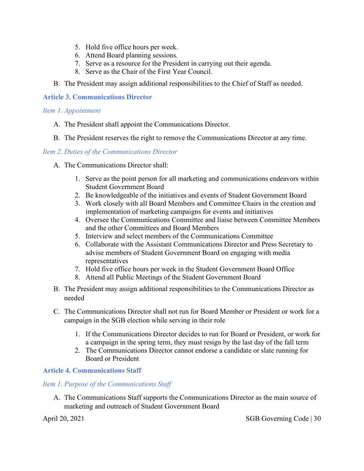- 5. Hold five office hours per week.
- 6. Attend Board planning sessions.
- 7. Serve as a resource for the President in carrying out their agenda.
- 8. Serve as the Chair of the First Year Council.
- B. The President may assign additional responsibilities to the Chief of Staff as needed.

#### <span id="page-29-0"></span>**Article 3. Communications Director**

#### *Item 1. Appointment*

- A. The President shall appoint the Communications Director.
- B. The President reserves the right to remove the Communications Director at any time.

#### *Item 2. Duties of the Communications Director*

- A. The Communications Director shall:
	- 1. Serve as the point person for all marketing and communications endeavors within Student Government Board
	- 2. Be knowledgeable of the initiatives and events of Student Government Board
	- 3. Work closely with all Board Members and Committee Chairs in the creation and implementation of marketing campaigns for events and initiatives
	- 4. Oversee the Communications Committee and liaise between Committee Members and the other Committees and Board Members
	- 5. Interview and select members of the Communications Committee
	- 6. Collaborate with the Assistant Communications Director and Press Secretary to advise members of Student Government Board on engaging with media representatives
	- 7. Hold five office hours per week in the Student Government Board Office
	- 8. Attend all Public Meetings of the Student Government Board
- B. The President may assign additional responsibilities to the Communications Director as needed
- C. The Communications Director shall not run for Board Member or President or work for a campaign in the SGB election while serving in their role
	- 1. If the Communications Director decides to run for Board or President, or work for a campaign in the spring term, they must resign by the last day of the fall term
	- 2. The Communications Director cannot endorse a candidate or slate running for Board or President

#### <span id="page-29-1"></span>**Article 4. Communications Staff**

#### *Item 1. Purpose of the Communications Staff*

A. The Communications Staff supports the Communications Director as the main source of marketing and outreach of Student Government Board

April 20, 2021 SGB Governing Code | 30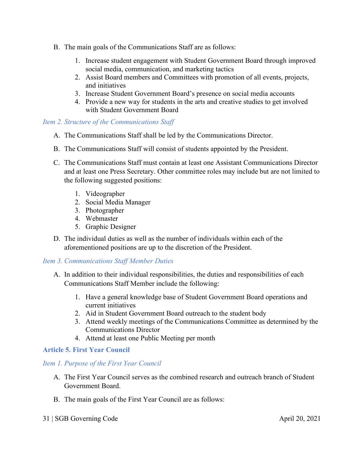- B. The main goals of the Communications Staff are as follows:
	- 1. Increase student engagement with Student Government Board through improved social media, communication, and marketing tactics
	- 2. Assist Board members and Committees with promotion of all events, projects, and initiatives
	- 3. Increase Student Government Board's presence on social media accounts
	- 4. Provide a new way for students in the arts and creative studies to get involved with Student Government Board

#### *Item 2. Structure of the Communications Staff*

- A. The Communications Staff shall be led by the Communications Director.
- B. The Communications Staff will consist of students appointed by the President.
- C. The Communications Staff must contain at least one Assistant Communications Director and at least one Press Secretary. Other committee roles may include but are not limited to the following suggested positions:
	- 1. Videographer
	- 2. Social Media Manager
	- 3. Photographer
	- 4. Webmaster
	- 5. Graphic Designer
- D. The individual duties as well as the number of individuals within each of the aforementioned positions are up to the discretion of the President.

#### *Item 3. Communications Staff Member Duties*

- A. In addition to their individual responsibilities, the duties and responsibilities of each Communications Staff Member include the following:
	- 1. Have a general knowledge base of Student Government Board operations and current initiatives
	- 2. Aid in Student Government Board outreach to the student body
	- 3. Attend weekly meetings of the Communications Committee as determined by the Communications Director
	- 4. Attend at least one Public Meeting per month

#### <span id="page-30-0"></span>**Article 5. First Year Council**

#### *Item 1. Purpose of the First Year Council*

- A. The First Year Council serves as the combined research and outreach branch of Student Government Board.
- B. The main goals of the First Year Council are as follows:
- 31 | SGB Governing Code April 20, 2021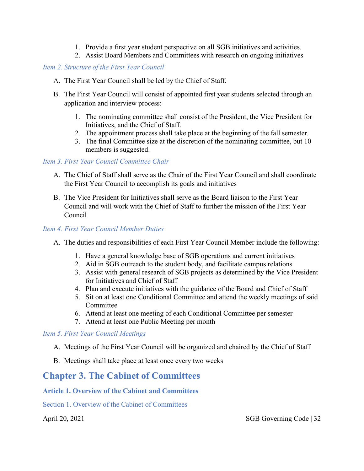- 1. Provide a first year student perspective on all SGB initiatives and activities.
- 2. Assist Board Members and Committees with research on ongoing initiatives

#### *Item 2. Structure of the First Year Council*

- A. The First Year Council shall be led by the Chief of Staff.
- B. The First Year Council will consist of appointed first year students selected through an application and interview process:
	- 1. The nominating committee shall consist of the President, the Vice President for Initiatives, and the Chief of Staff.
	- 2. The appointment process shall take place at the beginning of the fall semester.
	- 3. The final Committee size at the discretion of the nominating committee, but 10 members is suggested.

#### *Item 3. First Year Council Committee Chair*

- A. The Chief of Staff shall serve as the Chair of the First Year Council and shall coordinate the First Year Council to accomplish its goals and initiatives
- B. The Vice President for Initiatives shall serve as the Board liaison to the First Year Council and will work with the Chief of Staff to further the mission of the First Year Council

#### *Item 4. First Year Council Member Duties*

- A. The duties and responsibilities of each First Year Council Member include the following:
	- 1. Have a general knowledge base of SGB operations and current initiatives
	- 2. Aid in SGB outreach to the student body, and facilitate campus relations
	- 3. Assist with general research of SGB projects as determined by the Vice President for Initiatives and Chief of Staff
	- 4. Plan and execute initiatives with the guidance of the Board and Chief of Staff
	- 5. Sit on at least one Conditional Committee and attend the weekly meetings of said Committee
	- 6. Attend at least one meeting of each Conditional Committee per semester
	- 7. Attend at least one Public Meeting per month

#### *Item 5. First Year Council Meetings*

- A. Meetings of the First Year Council will be organized and chaired by the Chief of Staff
- B. Meetings shall take place at least once every two weeks

# <span id="page-31-0"></span>**Chapter 3. The Cabinet of Committees**

#### <span id="page-31-1"></span>**Article 1. Overview of the Cabinet and Committees**

<span id="page-31-2"></span>Section 1. Overview of the Cabinet of Committees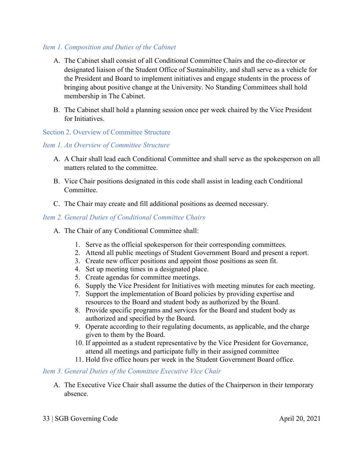#### *Item 1. Composition and Duties of the Cabinet*

- A. The Cabinet shall consist of all Conditional Committee Chairs and the co-director or designated liaison of the Student Office of Sustainability, and shall serve as a vehicle for the President and Board to implement initiatives and engage students in the process of bringing about positive change at the University. No Standing Committees shall hold membership in The Cabinet.
- B. The Cabinet shall hold a planning session once per week chaired by the Vice President for Initiatives.

#### <span id="page-32-0"></span>Section 2. Overview of Committee Structure

#### *Item 1. An Overview of Committee Structure*

- A. A Chair shall lead each Conditional Committee and shall serve as the spokesperson on all matters related to the committee.
- B. Vice Chair positions designated in this code shall assist in leading each Conditional Committee.
- C. The Chair may create and fill additional positions as deemed necessary.

#### *Item 2. General Duties of Conditional Committee Chairs*

- A. The Chair of any Conditional Committee shall:
	- 1. Serve as the official spokesperson for their corresponding committees.
	- 2. Attend all public meetings of Student Government Board and present a report.
	- 3. Create new officer positions and appoint those positions as seen fit.
	- 4. Set up meeting times in a designated place.
	- 5. Create agendas for committee meetings.
	- 6. Supply the Vice President for Initiatives with meeting minutes for each meeting.
	- 7. Support the implementation of Board policies by providing expertise and resources to the Board and student body as authorized by the Board.
	- 8. Provide specific programs and services for the Board and student body as authorized and specified by the Board.
	- 9. Operate according to their regulating documents, as applicable, and the charge given to them by the Board.
	- 10. If appointed as a student representative by the Vice President for Governance, attend all meetings and participate fully in their assigned committee
	- 11. Hold five office hours per week in the Student Government Board office.

#### *Item 3. General Duties of the Committee Executive Vice Chair*

A. The Executive Vice Chair shall assume the duties of the Chairperson in their temporary absence.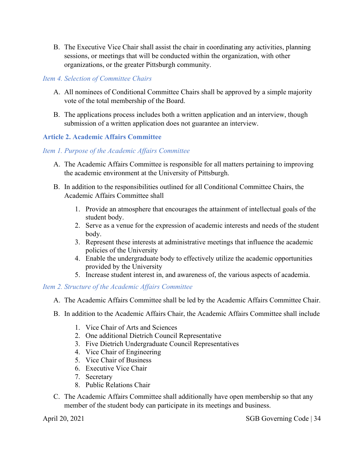B. The Executive Vice Chair shall assist the chair in coordinating any activities, planning sessions, or meetings that will be conducted within the organization, with other organizations, or the greater Pittsburgh community.

#### *Item 4. Selection of Committee Chairs*

- A. All nominees of Conditional Committee Chairs shall be approved by a simple majority vote of the total membership of the Board.
- B. The applications process includes both a written application and an interview, though submission of a written application does not guarantee an interview.

#### <span id="page-33-0"></span>**Article 2. Academic Affairs Committee**

#### *Item 1. Purpose of the Academic Affairs Committee*

- A. The Academic Affairs Committee is responsible for all matters pertaining to improving the academic environment at the University of Pittsburgh.
- B. In addition to the responsibilities outlined for all Conditional Committee Chairs, the Academic Affairs Committee shall
	- 1. Provide an atmosphere that encourages the attainment of intellectual goals of the student body.
	- 2. Serve as a venue for the expression of academic interests and needs of the student body.
	- 3. Represent these interests at administrative meetings that influence the academic policies of the University
	- 4. Enable the undergraduate body to effectively utilize the academic opportunities provided by the University
	- 5. Increase student interest in, and awareness of, the various aspects of academia.

*Item 2. Structure of the Academic Affairs Committee*

- A. The Academic Affairs Committee shall be led by the Academic Affairs Committee Chair.
- B. In addition to the Academic Affairs Chair, the Academic Affairs Committee shall include
	- 1. Vice Chair of Arts and Sciences
	- 2. One additional Dietrich Council Representative
	- 3. Five Dietrich Undergraduate Council Representatives
	- 4. Vice Chair of Engineering
	- 5. Vice Chair of Business
	- 6. Executive Vice Chair
	- 7. Secretary
	- 8. Public Relations Chair
- C. The Academic Affairs Committee shall additionally have open membership so that any member of the student body can participate in its meetings and business.

April 20, 2021 SGB Governing Code | 34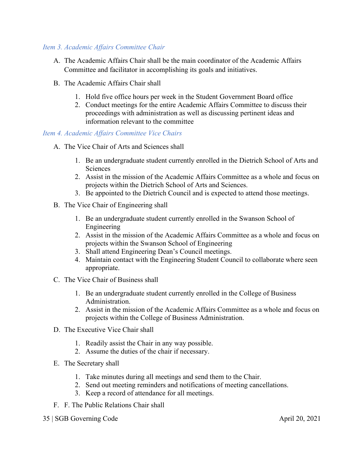#### *Item 3. Academic Affairs Committee Chair*

- A. The Academic Affairs Chair shall be the main coordinator of the Academic Affairs Committee and facilitator in accomplishing its goals and initiatives.
- B. The Academic Affairs Chair shall
	- 1. Hold five office hours per week in the Student Government Board office
	- 2. Conduct meetings for the entire Academic Affairs Committee to discuss their proceedings with administration as well as discussing pertinent ideas and information relevant to the committee

#### *Item 4. Academic Affairs Committee Vice Chairs*

- A. The Vice Chair of Arts and Sciences shall
	- 1. Be an undergraduate student currently enrolled in the Dietrich School of Arts and **Sciences**
	- 2. Assist in the mission of the Academic Affairs Committee as a whole and focus on projects within the Dietrich School of Arts and Sciences.
	- 3. Be appointed to the Dietrich Council and is expected to attend those meetings.
- B. The Vice Chair of Engineering shall
	- 1. Be an undergraduate student currently enrolled in the Swanson School of Engineering
	- 2. Assist in the mission of the Academic Affairs Committee as a whole and focus on projects within the Swanson School of Engineering
	- 3. Shall attend Engineering Dean's Council meetings.
	- 4. Maintain contact with the Engineering Student Council to collaborate where seen appropriate.
- C. The Vice Chair of Business shall
	- 1. Be an undergraduate student currently enrolled in the College of Business Administration.
	- 2. Assist in the mission of the Academic Affairs Committee as a whole and focus on projects within the College of Business Administration.
- D. The Executive Vice Chair shall
	- 1. Readily assist the Chair in any way possible.
	- 2. Assume the duties of the chair if necessary.
- E. The Secretary shall
	- 1. Take minutes during all meetings and send them to the Chair.
	- 2. Send out meeting reminders and notifications of meeting cancellations.
	- 3. Keep a record of attendance for all meetings.
- F. F. The Public Relations Chair shall
- 35 | SGB Governing Code April 20, 2021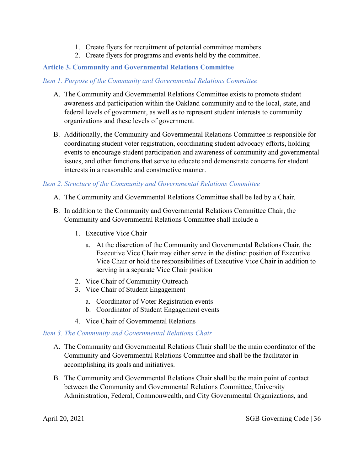- 1. Create flyers for recruitment of potential committee members.
- 2. Create flyers for programs and events held by the committee.

#### <span id="page-35-0"></span>**Article 3. Community and Governmental Relations Committee**

#### *Item 1. Purpose of the Community and Governmental Relations Committee*

- A. The Community and Governmental Relations Committee exists to promote student awareness and participation within the Oakland community and to the local, state, and federal levels of government, as well as to represent student interests to community organizations and these levels of government.
- B. Additionally, the Community and Governmental Relations Committee is responsible for coordinating student voter registration, coordinating student advocacy efforts, holding events to encourage student participation and awareness of community and governmental issues, and other functions that serve to educate and demonstrate concerns for student interests in a reasonable and constructive manner.

#### *Item 2. Structure of the Community and Governmental Relations Committee*

- A. The Community and Governmental Relations Committee shall be led by a Chair.
- B. In addition to the Community and Governmental Relations Committee Chair, the Community and Governmental Relations Committee shall include a
	- 1. Executive Vice Chair
		- a. At the discretion of the Community and Governmental Relations Chair, the Executive Vice Chair may either serve in the distinct position of Executive Vice Chair or hold the responsibilities of Executive Vice Chair in addition to serving in a separate Vice Chair position
	- 2. Vice Chair of Community Outreach
	- 3. Vice Chair of Student Engagement
		- a. Coordinator of Voter Registration events
		- b. Coordinator of Student Engagement events
	- 4. Vice Chair of Governmental Relations

#### *Item 3. The Community and Governmental Relations Chair*

- A. The Community and Governmental Relations Chair shall be the main coordinator of the Community and Governmental Relations Committee and shall be the facilitator in accomplishing its goals and initiatives.
- B. The Community and Governmental Relations Chair shall be the main point of contact between the Community and Governmental Relations Committee, University Administration, Federal, Commonwealth, and City Governmental Organizations, and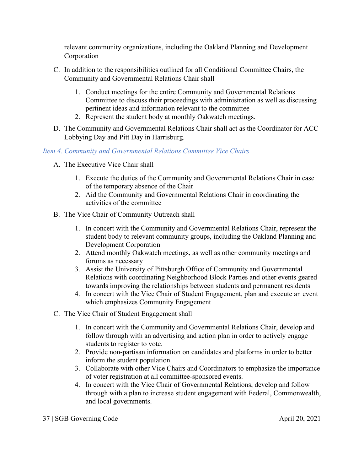relevant community organizations, including the Oakland Planning and Development Corporation

- C. In addition to the responsibilities outlined for all Conditional Committee Chairs, the Community and Governmental Relations Chair shall
	- 1. Conduct meetings for the entire Community and Governmental Relations Committee to discuss their proceedings with administration as well as discussing pertinent ideas and information relevant to the committee
	- 2. Represent the student body at monthly Oakwatch meetings.
- D. The Community and Governmental Relations Chair shall act as the Coordinator for ACC Lobbying Day and Pitt Day in Harrisburg.

## *Item 4. Community and Governmental Relations Committee Vice Chairs*

- A. The Executive Vice Chair shall
	- 1. Execute the duties of the Community and Governmental Relations Chair in case of the temporary absence of the Chair
	- 2. Aid the Community and Governmental Relations Chair in coordinating the activities of the committee
- B. The Vice Chair of Community Outreach shall
	- 1. In concert with the Community and Governmental Relations Chair, represent the student body to relevant community groups, including the Oakland Planning and Development Corporation
	- 2. Attend monthly Oakwatch meetings, as well as other community meetings and forums as necessary
	- 3. Assist the University of Pittsburgh Office of Community and Governmental Relations with coordinating Neighborhood Block Parties and other events geared towards improving the relationships between students and permanent residents
	- 4. In concert with the Vice Chair of Student Engagement, plan and execute an event which emphasizes Community Engagement
- C. The Vice Chair of Student Engagement shall
	- 1. In concert with the Community and Governmental Relations Chair, develop and follow through with an advertising and action plan in order to actively engage students to register to vote.
	- 2. Provide non-partisan information on candidates and platforms in order to better inform the student population.
	- 3. Collaborate with other Vice Chairs and Coordinators to emphasize the importance of voter registration at all committee-sponsored events.
	- 4. In concert with the Vice Chair of Governmental Relations, develop and follow through with a plan to increase student engagement with Federal, Commonwealth, and local governments.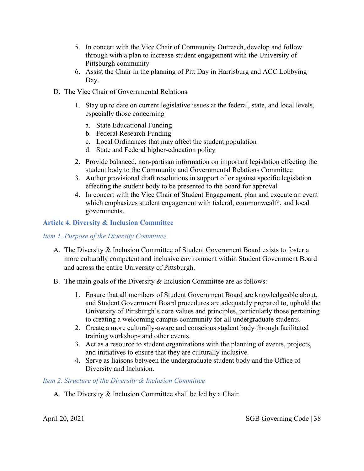- 5. In concert with the Vice Chair of Community Outreach, develop and follow through with a plan to increase student engagement with the University of Pittsburgh community
- 6. Assist the Chair in the planning of Pitt Day in Harrisburg and ACC Lobbying Day.
- D. The Vice Chair of Governmental Relations
	- 1. Stay up to date on current legislative issues at the federal, state, and local levels, especially those concerning
		- a. State Educational Funding
		- b. Federal Research Funding
		- c. Local Ordinances that may affect the student population
		- d. State and Federal higher-education policy
	- 2. Provide balanced, non-partisan information on important legislation effecting the student body to the Community and Governmental Relations Committee
	- 3. Author provisional draft resolutions in support of or against specific legislation effecting the student body to be presented to the board for approval
	- 4. In concert with the Vice Chair of Student Engagement, plan and execute an event which emphasizes student engagement with federal, commonwealth, and local governments.

## **Article 4. Diversity & Inclusion Committee**

#### *Item 1. Purpose of the Diversity Committee*

- A. The Diversity & Inclusion Committee of Student Government Board exists to foster a more culturally competent and inclusive environment within Student Government Board and across the entire University of Pittsburgh.
- B. The main goals of the Diversity & Inclusion Committee are as follows:
	- 1. Ensure that all members of Student Government Board are knowledgeable about, and Student Government Board procedures are adequately prepared to, uphold the University of Pittsburgh's core values and principles, particularly those pertaining to creating a welcoming campus community for all undergraduate students.
	- 2. Create a more culturally-aware and conscious student body through facilitated training workshops and other events.
	- 3. Act as a resource to student organizations with the planning of events, projects, and initiatives to ensure that they are culturally inclusive.
	- 4. Serve as liaisons between the undergraduate student body and the Office of Diversity and Inclusion.

#### *Item 2. Structure of the Diversity & Inclusion Committee*

A. The Diversity & Inclusion Committee shall be led by a Chair.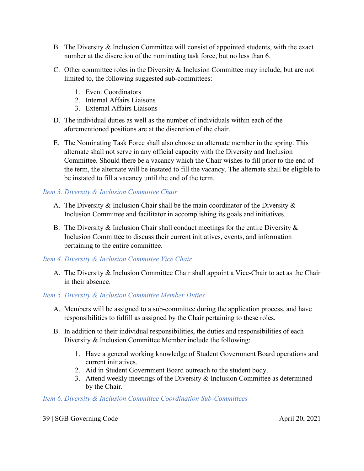- B. The Diversity & Inclusion Committee will consist of appointed students, with the exact number at the discretion of the nominating task force, but no less than 6.
- C. Other committee roles in the Diversity & Inclusion Committee may include, but are not limited to, the following suggested sub-committees:
	- 1. Event Coordinators
	- 2. Internal Affairs Liaisons
	- 3. External Affairs Liaisons
- D. The individual duties as well as the number of individuals within each of the aforementioned positions are at the discretion of the chair.
- E. The Nominating Task Force shall also choose an alternate member in the spring. This alternate shall not serve in any official capacity with the Diversity and Inclusion Committee. Should there be a vacancy which the Chair wishes to fill prior to the end of the term, the alternate will be instated to fill the vacancy. The alternate shall be eligible to be instated to fill a vacancy until the end of the term.

# *Item 3. Diversity & Inclusion Committee Chair*

- A. The Diversity  $\&$  Inclusion Chair shall be the main coordinator of the Diversity  $\&$ Inclusion Committee and facilitator in accomplishing its goals and initiatives.
- B. The Diversity  $\&$  Inclusion Chair shall conduct meetings for the entire Diversity  $\&$ Inclusion Committee to discuss their current initiatives, events, and information pertaining to the entire committee.

#### *Item 4. Diversity & Inclusion Committee Vice Chair*

A. The Diversity & Inclusion Committee Chair shall appoint a Vice-Chair to act as the Chair in their absence.

#### *Item 5. Diversity & Inclusion Committee Member Duties*

- A. Members will be assigned to a sub-committee during the application process, and have responsibilities to fulfill as assigned by the Chair pertaining to these roles.
- B. In addition to their individual responsibilities, the duties and responsibilities of each Diversity & Inclusion Committee Member include the following:
	- 1. Have a general working knowledge of Student Government Board operations and current initiatives.
	- 2. Aid in Student Government Board outreach to the student body.
	- 3. Attend weekly meetings of the Diversity & Inclusion Committee as determined by the Chair.

#### *Item 6. Diversity & Inclusion Committee Coordination Sub-Committees*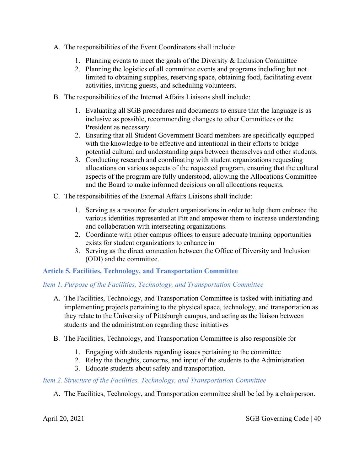- A. The responsibilities of the Event Coordinators shall include:
	- 1. Planning events to meet the goals of the Diversity & Inclusion Committee
	- 2. Planning the logistics of all committee events and programs including but not limited to obtaining supplies, reserving space, obtaining food, facilitating event activities, inviting guests, and scheduling volunteers.
- B. The responsibilities of the Internal Affairs Liaisons shall include:
	- 1. Evaluating all SGB procedures and documents to ensure that the language is as inclusive as possible, recommending changes to other Committees or the President as necessary.
	- 2. Ensuring that all Student Government Board members are specifically equipped with the knowledge to be effective and intentional in their efforts to bridge potential cultural and understanding gaps between themselves and other students.
	- 3. Conducting research and coordinating with student organizations requesting allocations on various aspects of the requested program, ensuring that the cultural aspects of the program are fully understood, allowing the Allocations Committee and the Board to make informed decisions on all allocations requests.
- C. The responsibilities of the External Affairs Liaisons shall include:
	- 1. Serving as a resource for student organizations in order to help them embrace the various identities represented at Pitt and empower them to increase understanding and collaboration with intersecting organizations.
	- 2. Coordinate with other campus offices to ensure adequate training opportunities exists for student organizations to enhance in
	- 3. Serving as the direct connection between the Office of Diversity and Inclusion (ODI) and the committee.

# **Article 5. Facilities, Technology, and Transportation Committee**

# *Item 1. Purpose of the Facilities, Technology, and Transportation Committee*

- A. The Facilities, Technology, and Transportation Committee is tasked with initiating and implementing projects pertaining to the physical space, technology, and transportation as they relate to the University of Pittsburgh campus, and acting as the liaison between students and the administration regarding these initiatives
- B. The Facilities, Technology, and Transportation Committee is also responsible for
	- 1. Engaging with students regarding issues pertaining to the committee
	- 2. Relay the thoughts, concerns, and input of the students to the Administration
	- 3. Educate students about safety and transportation.

# *Item 2. Structure of the Facilities, Technology, and Transportation Committee*

A. The Facilities, Technology, and Transportation committee shall be led by a chairperson.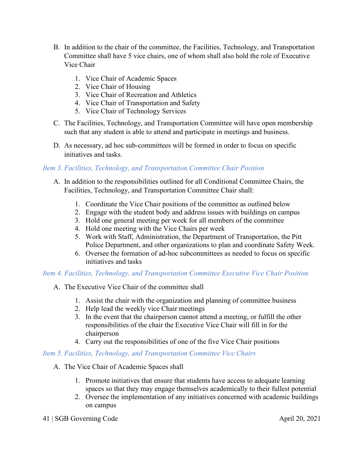- B. In addition to the chair of the committee, the Facilities, Technology, and Transportation Committee shall have 5 vice chairs, one of whom shall also hold the role of Executive Vice Chair
	- 1. Vice Chair of Academic Spaces
	- 2. Vice Chair of Housing
	- 3. Vice Chair of Recreation and Athletics
	- 4. Vice Chair of Transportation and Safety
	- 5. Vice Chair of Technology Services
- C. The Facilities, Technology, and Transportation Committee will have open membership such that any student is able to attend and participate in meetings and business.
- D. As necessary, ad hoc sub-committees will be formed in order to focus on specific initiatives and tasks.

## *Item 3. Facilities, Technology, and Transportation Committee Chair Position*

- A. In addition to the responsibilities outlined for all Conditional Committee Chairs, the Facilities, Technology, and Transportation Committee Chair shall:
	- 1. Coordinate the Vice Chair positions of the committee as outlined below
	- 2. Engage with the student body and address issues with buildings on campus
	- 3. Hold one general meeting per week for all members of the committee
	- 4. Hold one meeting with the Vice Chairs per week
	- 5. Work with Staff, Administration, the Department of Transportation, the Pitt Police Department, and other organizations to plan and coordinate Safety Week.
	- 6. Oversee the formation of ad-hoc subcommittees as needed to focus on specific initiatives and tasks

# *Item 4. Facilities, Technology, and Transportation Committee Executive Vice Chair Position*

- A. The Executive Vice Chair of the committee shall
	- 1. Assist the chair with the organization and planning of committee business
	- 2. Help lead the weekly vice Chair meetings
	- 3. In the event that the chairperson cannot attend a meeting, or fulfill the other responsibilities of the chair the Executive Vice Chair will fill in for the chairperson
	- 4. Carry out the responsibilities of one of the five Vice Chair positions

#### *Item 5. Facilities, Technology, and Transportation Committee Vice Chairs*

- A. The Vice Chair of Academic Spaces shall
	- 1. Promote initiatives that ensure that students have access to adequate learning spaces so that they may engage themselves academically to their fullest potential
	- 2. Oversee the implementation of any initiatives concerned with academic buildings on campus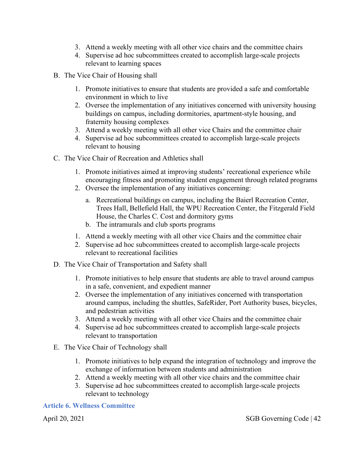- 3. Attend a weekly meeting with all other vice chairs and the committee chairs
- 4. Supervise ad hoc subcommittees created to accomplish large-scale projects relevant to learning spaces
- B. The Vice Chair of Housing shall
	- 1. Promote initiatives to ensure that students are provided a safe and comfortable environment in which to live
	- 2. Oversee the implementation of any initiatives concerned with university housing buildings on campus, including dormitories, apartment-style housing, and fraternity housing complexes
	- 3. Attend a weekly meeting with all other vice Chairs and the committee chair
	- 4. Supervise ad hoc subcommittees created to accomplish large-scale projects relevant to housing
- C. The Vice Chair of Recreation and Athletics shall
	- 1. Promote initiatives aimed at improving students' recreational experience while encouraging fitness and promoting student engagement through related programs
	- 2. Oversee the implementation of any initiatives concerning:
		- a. Recreational buildings on campus, including the Baierl Recreation Center, Trees Hall, Bellefield Hall, the WPU Recreation Center, the Fitzgerald Field House, the Charles C. Cost and dormitory gyms
		- b. The intramurals and club sports programs
	- 1. Attend a weekly meeting with all other vice Chairs and the committee chair
	- 2. Supervise ad hoc subcommittees created to accomplish large-scale projects relevant to recreational facilities
- D. The Vice Chair of Transportation and Safety shall
	- 1. Promote initiatives to help ensure that students are able to travel around campus in a safe, convenient, and expedient manner
	- 2. Oversee the implementation of any initiatives concerned with transportation around campus, including the shuttles, SafeRider, Port Authority buses, bicycles, and pedestrian activities
	- 3. Attend a weekly meeting with all other vice Chairs and the committee chair
	- 4. Supervise ad hoc subcommittees created to accomplish large-scale projects relevant to transportation
- E. The Vice Chair of Technology shall
	- 1. Promote initiatives to help expand the integration of technology and improve the exchange of information between students and administration
	- 2. Attend a weekly meeting with all other vice chairs and the committee chair
	- 3. Supervise ad hoc subcommittees created to accomplish large-scale projects relevant to technology

#### **Article 6. Wellness Committee**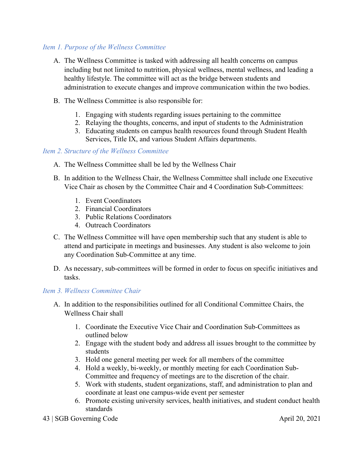#### *Item 1. Purpose of the Wellness Committee*

- A. The Wellness Committee is tasked with addressing all health concerns on campus including but not limited to nutrition, physical wellness, mental wellness, and leading a healthy lifestyle. The committee will act as the bridge between students and administration to execute changes and improve communication within the two bodies.
- B. The Wellness Committee is also responsible for:
	- 1. Engaging with students regarding issues pertaining to the committee
	- 2. Relaying the thoughts, concerns, and input of students to the Administration
	- 3. Educating students on campus health resources found through Student Health Services, Title IX, and various Student Affairs departments.

## *Item 2. Structure of the Wellness Committee*

- A. The Wellness Committee shall be led by the Wellness Chair
- B. In addition to the Wellness Chair, the Wellness Committee shall include one Executive Vice Chair as chosen by the Committee Chair and 4 Coordination Sub-Committees:
	- 1. Event Coordinators
	- 2. Financial Coordinators
	- 3. Public Relations Coordinators
	- 4. Outreach Coordinators
- C. The Wellness Committee will have open membership such that any student is able to attend and participate in meetings and businesses. Any student is also welcome to join any Coordination Sub-Committee at any time.
- D. As necessary, sub-committees will be formed in order to focus on specific initiatives and tasks.

# *Item 3. Wellness Committee Chair*

- A. In addition to the responsibilities outlined for all Conditional Committee Chairs, the Wellness Chair shall
	- 1. Coordinate the Executive Vice Chair and Coordination Sub-Committees as outlined below
	- 2. Engage with the student body and address all issues brought to the committee by students
	- 3. Hold one general meeting per week for all members of the committee
	- 4. Hold a weekly, bi-weekly, or monthly meeting for each Coordination Sub-Committee and frequency of meetings are to the discretion of the chair.
	- 5. Work with students, student organizations, staff, and administration to plan and coordinate at least one campus-wide event per semester
	- 6. Promote existing university services, health initiatives, and student conduct health standards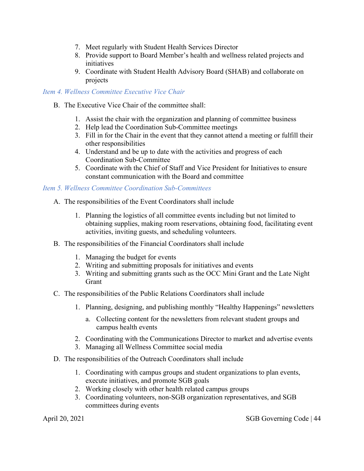- 7. Meet regularly with Student Health Services Director
- 8. Provide support to Board Member's health and wellness related projects and initiatives
- 9. Coordinate with Student Health Advisory Board (SHAB) and collaborate on projects

#### *Item 4. Wellness Committee Executive Vice Chair*

- B. The Executive Vice Chair of the committee shall:
	- 1. Assist the chair with the organization and planning of committee business
	- 2. Help lead the Coordination Sub-Committee meetings
	- 3. Fill in for the Chair in the event that they cannot attend a meeting or fulfill their other responsibilities
	- 4. Understand and be up to date with the activities and progress of each Coordination Sub-Committee
	- 5. Coordinate with the Chief of Staff and Vice President for Initiatives to ensure constant communication with the Board and committee

#### *Item 5. Wellness Committee Coordination Sub-Committees*

- A. The responsibilities of the Event Coordinators shall include
	- 1. Planning the logistics of all committee events including but not limited to obtaining supplies, making room reservations, obtaining food, facilitating event activities, inviting guests, and scheduling volunteers.
- B. The responsibilities of the Financial Coordinators shall include
	- 1. Managing the budget for events
	- 2. Writing and submitting proposals for initiatives and events
	- 3. Writing and submitting grants such as the OCC Mini Grant and the Late Night Grant
- C. The responsibilities of the Public Relations Coordinators shall include
	- 1. Planning, designing, and publishing monthly "Healthy Happenings" newsletters
		- a. Collecting content for the newsletters from relevant student groups and campus health events
	- 2. Coordinating with the Communications Director to market and advertise events
	- 3. Managing all Wellness Committee social media
- D. The responsibilities of the Outreach Coordinators shall include
	- 1. Coordinating with campus groups and student organizations to plan events, execute initiatives, and promote SGB goals
	- 2. Working closely with other health related campus groups
	- 3. Coordinating volunteers, non-SGB organization representatives, and SGB committees during events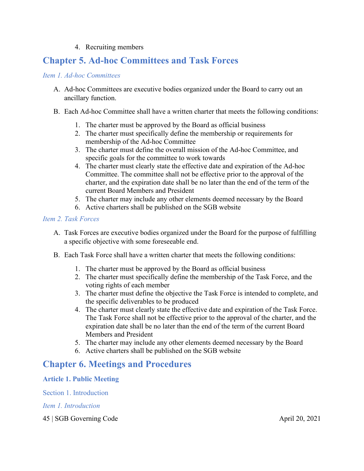#### 4. Recruiting members

# **Chapter 5. Ad-hoc Committees and Task Forces**

#### *Item 1. Ad-hoc Committees*

- A. Ad-hoc Committees are executive bodies organized under the Board to carry out an ancillary function.
- B. Each Ad-hoc Committee shall have a written charter that meets the following conditions:
	- 1. The charter must be approved by the Board as official business
	- 2. The charter must specifically define the membership or requirements for membership of the Ad-hoc Committee
	- 3. The charter must define the overall mission of the Ad-hoc Committee, and specific goals for the committee to work towards
	- 4. The charter must clearly state the effective date and expiration of the Ad-hoc Committee. The committee shall not be effective prior to the approval of the charter, and the expiration date shall be no later than the end of the term of the current Board Members and President
	- 5. The charter may include any other elements deemed necessary by the Board
	- 6. Active charters shall be published on the SGB website

#### *Item 2. Task Forces*

- A. Task Forces are executive bodies organized under the Board for the purpose of fulfilling a specific objective with some foreseeable end.
- B. Each Task Force shall have a written charter that meets the following conditions:
	- 1. The charter must be approved by the Board as official business
	- 2. The charter must specifically define the membership of the Task Force, and the voting rights of each member
	- 3. The charter must define the objective the Task Force is intended to complete, and the specific deliverables to be produced
	- 4. The charter must clearly state the effective date and expiration of the Task Force. The Task Force shall not be effective prior to the approval of the charter, and the expiration date shall be no later than the end of the term of the current Board Members and President
	- 5. The charter may include any other elements deemed necessary by the Board
	- 6. Active charters shall be published on the SGB website

# **Chapter 6. Meetings and Procedures**

#### **Article 1. Public Meeting**

Section 1. Introduction

*Item 1. Introduction*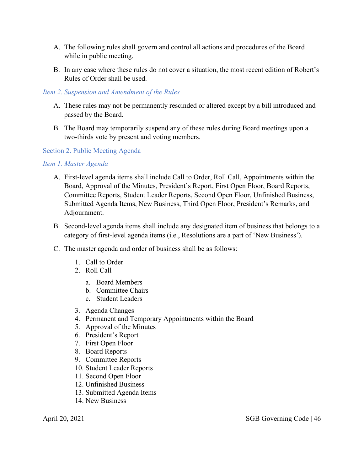- A. The following rules shall govern and control all actions and procedures of the Board while in public meeting.
- B. In any case where these rules do not cover a situation, the most recent edition of Robert's Rules of Order shall be used.

#### *Item 2. Suspension and Amendment of the Rules*

- A. These rules may not be permanently rescinded or altered except by a bill introduced and passed by the Board.
- B. The Board may temporarily suspend any of these rules during Board meetings upon a two-thirds vote by present and voting members.

#### Section 2. Public Meeting Agenda

#### *Item 1. Master Agenda*

- A. First-level agenda items shall include Call to Order, Roll Call, Appointments within the Board, Approval of the Minutes, President's Report, First Open Floor, Board Reports, Committee Reports, Student Leader Reports, Second Open Floor, Unfinished Business, Submitted Agenda Items, New Business, Third Open Floor, President's Remarks, and Adjournment.
- B. Second-level agenda items shall include any designated item of business that belongs to a category of first-level agenda items (i.e., Resolutions are a part of 'New Business').
- C. The master agenda and order of business shall be as follows:
	- 1. Call to Order
	- 2. Roll Call
		- a. Board Members
		- b. Committee Chairs
		- c. Student Leaders
	- 3. Agenda Changes
	- 4. Permanent and Temporary Appointments within the Board
	- 5. Approval of the Minutes
	- 6. President's Report
	- 7. First Open Floor
	- 8. Board Reports
	- 9. Committee Reports
	- 10. Student Leader Reports
	- 11. Second Open Floor
	- 12. Unfinished Business
	- 13. Submitted Agenda Items
	- 14. New Business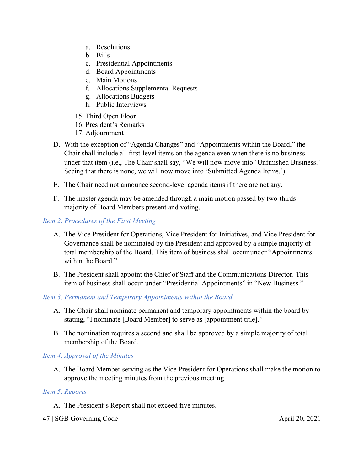- a. Resolutions
- b. Bills
- c. Presidential Appointments
- d. Board Appointments
- e. Main Motions
- f. Allocations Supplemental Requests
- g. Allocations Budgets
- h. Public Interviews
- 15. Third Open Floor
- 16. President's Remarks
- 17. Adjournment
- D. With the exception of "Agenda Changes" and "Appointments within the Board," the Chair shall include all first-level items on the agenda even when there is no business under that item (i.e., The Chair shall say, "We will now move into 'Unfinished Business.' Seeing that there is none, we will now move into 'Submitted Agenda Items.').
- E. The Chair need not announce second-level agenda items if there are not any.
- F. The master agenda may be amended through a main motion passed by two-thirds majority of Board Members present and voting.

#### *Item 2. Procedures of the First Meeting*

- A. The Vice President for Operations, Vice President for Initiatives, and Vice President for Governance shall be nominated by the President and approved by a simple majority of total membership of the Board. This item of business shall occur under "Appointments within the Board."
- B. The President shall appoint the Chief of Staff and the Communications Director. This item of business shall occur under "Presidential Appointments" in "New Business."

#### *Item 3. Permanent and Temporary Appointments within the Board*

- A. The Chair shall nominate permanent and temporary appointments within the board by stating, "I nominate [Board Member] to serve as [appointment title]."
- B. The nomination requires a second and shall be approved by a simple majority of total membership of the Board.

# *Item 4. Approval of the Minutes*

A. The Board Member serving as the Vice President for Operations shall make the motion to approve the meeting minutes from the previous meeting.

#### *Item 5. Reports*

A. The President's Report shall not exceed five minutes.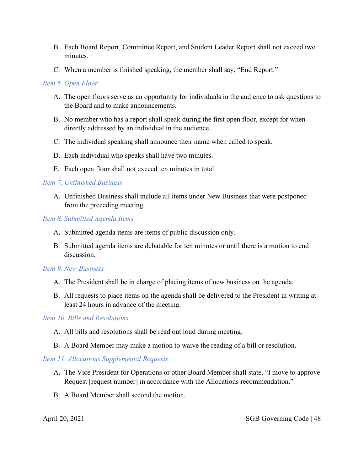- B. Each Board Report, Committee Report, and Student Leader Report shall not exceed two minutes.
- C. When a member is finished speaking, the member shall say, "End Report."

# *Item 6. Open Floor*

- A. The open floors serve as an opportunity for individuals in the audience to ask questions to the Board and to make announcements.
- B. No member who has a report shall speak during the first open floor, except for when directly addressed by an individual in the audience.
- C. The individual speaking shall announce their name when called to speak.
- D. Each individual who speaks shall have two minutes.
- E. Each open floor shall not exceed ten minutes in total.

## *Item 7. Unfinished Business*

A. Unfinished Business shall include all items under New Business that were postponed from the preceding meeting.

#### *Item 8. Submitted Agenda Items*

- A. Submitted agenda items are items of public discussion only.
- B. Submitted agenda items are debatable for ten minutes or until there is a motion to end discussion.

#### *Item 9. New Business*

- A. The President shall be in charge of placing items of new business on the agenda.
- B. All requests to place items on the agenda shall be delivered to the President in writing at least 24 hours in advance of the meeting.

# *Item 10. Bills and Resolutions*

- A. All bills and resolutions shall be read out loud during meeting.
- B. A Board Member may make a motion to waive the reading of a bill or resolution.

# *Item 11. Allocations Supplemental Requests*

- A. The Vice President for Operations or other Board Member shall state, "I move to approve Request [request number] in accordance with the Allocations recommendation."
- B. A Board Member shall second the motion.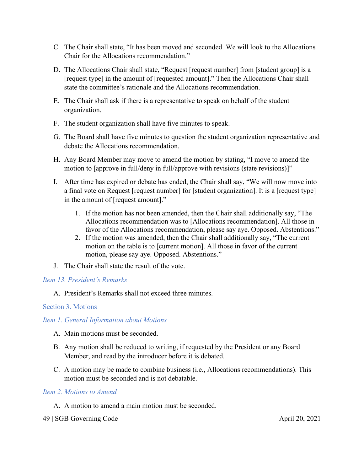- C. The Chair shall state, "It has been moved and seconded. We will look to the Allocations Chair for the Allocations recommendation."
- D. The Allocations Chair shall state, "Request [request number] from [student group] is a [request type] in the amount of [requested amount]." Then the Allocations Chair shall state the committee's rationale and the Allocations recommendation.
- E. The Chair shall ask if there is a representative to speak on behalf of the student organization.
- F. The student organization shall have five minutes to speak.
- G. The Board shall have five minutes to question the student organization representative and debate the Allocations recommendation.
- H. Any Board Member may move to amend the motion by stating, "I move to amend the motion to [approve in full/deny in full/approve with revisions (state revisions)]"
- I. After time has expired or debate has ended, the Chair shall say, "We will now move into a final vote on Request [request number] for [student organization]. It is a [request type] in the amount of [request amount]."
	- 1. If the motion has not been amended, then the Chair shall additionally say, "The Allocations recommendation was to [Allocations recommendation]. All those in favor of the Allocations recommendation, please say aye. Opposed. Abstentions."
	- 2. If the motion was amended, then the Chair shall additionally say, "The current motion on the table is to [current motion]. All those in favor of the current motion, please say aye. Opposed. Abstentions."
- J. The Chair shall state the result of the vote.

#### *Item 13. President's Remarks*

A. President's Remarks shall not exceed three minutes.

#### Section 3. Motions

#### *Item 1. General Information about Motions*

- A. Main motions must be seconded.
- B. Any motion shall be reduced to writing, if requested by the President or any Board Member, and read by the introducer before it is debated.
- C. A motion may be made to combine business (i.e., Allocations recommendations). This motion must be seconded and is not debatable.

#### *Item 2. Motions to Amend*

- A. A motion to amend a main motion must be seconded.
- 49 | SGB Governing Code April 20, 2021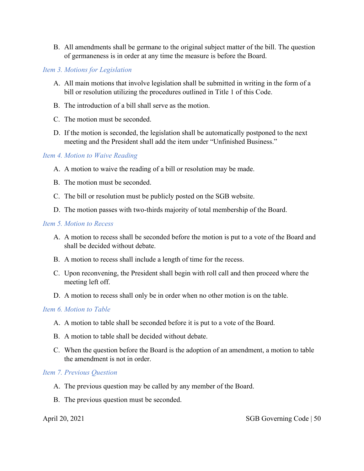B. All amendments shall be germane to the original subject matter of the bill. The question of germaneness is in order at any time the measure is before the Board.

#### *Item 3. Motions for Legislation*

- A. All main motions that involve legislation shall be submitted in writing in the form of a bill or resolution utilizing the procedures outlined in Title 1 of this Code.
- B. The introduction of a bill shall serve as the motion.
- C. The motion must be seconded.
- D. If the motion is seconded, the legislation shall be automatically postponed to the next meeting and the President shall add the item under "Unfinished Business."

#### *Item 4. Motion to Waive Reading*

- A. A motion to waive the reading of a bill or resolution may be made.
- B. The motion must be seconded.
- C. The bill or resolution must be publicly posted on the SGB website.
- D. The motion passes with two-thirds majority of total membership of the Board.

#### *Item 5. Motion to Recess*

- A. A motion to recess shall be seconded before the motion is put to a vote of the Board and shall be decided without debate.
- B. A motion to recess shall include a length of time for the recess.
- C. Upon reconvening, the President shall begin with roll call and then proceed where the meeting left off.
- D. A motion to recess shall only be in order when no other motion is on the table.

#### *Item 6. Motion to Table*

- A. A motion to table shall be seconded before it is put to a vote of the Board.
- B. A motion to table shall be decided without debate.
- C. When the question before the Board is the adoption of an amendment, a motion to table the amendment is not in order.

#### *Item 7. Previous Question*

- A. The previous question may be called by any member of the Board.
- B. The previous question must be seconded.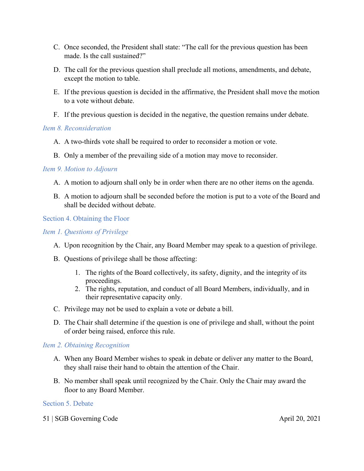- C. Once seconded, the President shall state: "The call for the previous question has been made. Is the call sustained?"
- D. The call for the previous question shall preclude all motions, amendments, and debate, except the motion to table.
- E. If the previous question is decided in the affirmative, the President shall move the motion to a vote without debate.
- F. If the previous question is decided in the negative, the question remains under debate.

## *Item 8. Reconsideration*

- A. A two-thirds vote shall be required to order to reconsider a motion or vote.
- B. Only a member of the prevailing side of a motion may move to reconsider.

## *Item 9. Motion to Adjourn*

- A. A motion to adjourn shall only be in order when there are no other items on the agenda.
- B. A motion to adjourn shall be seconded before the motion is put to a vote of the Board and shall be decided without debate.

## Section 4. Obtaining the Floor

# *Item 1. Questions of Privilege*

- A. Upon recognition by the Chair, any Board Member may speak to a question of privilege.
- B. Questions of privilege shall be those affecting:
	- 1. The rights of the Board collectively, its safety, dignity, and the integrity of its proceedings.
	- 2. The rights, reputation, and conduct of all Board Members, individually, and in their representative capacity only.
- C. Privilege may not be used to explain a vote or debate a bill.
- D. The Chair shall determine if the question is one of privilege and shall, without the point of order being raised, enforce this rule.

# *Item 2. Obtaining Recognition*

- A. When any Board Member wishes to speak in debate or deliver any matter to the Board, they shall raise their hand to obtain the attention of the Chair.
- B. No member shall speak until recognized by the Chair. Only the Chair may award the floor to any Board Member.

#### Section 5. Debate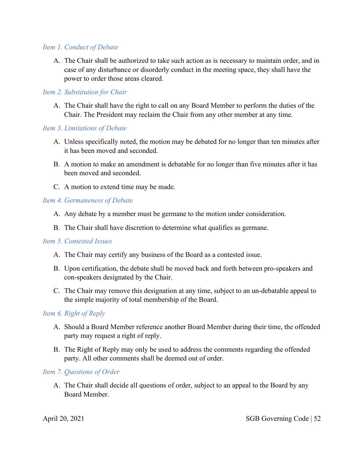#### *Item 1. Conduct of Debate*

A. The Chair shall be authorized to take such action as is necessary to maintain order, and in case of any disturbance or disorderly conduct in the meeting space, they shall have the power to order those areas cleared.

#### *Item 2. Substitution for Chair*

A. The Chair shall have the right to call on any Board Member to perform the duties of the Chair. The President may reclaim the Chair from any other member at any time.

#### *Item 3. Limitations of Debate*

- A. Unless specifically noted, the motion may be debated for no longer than ten minutes after it has been moved and seconded.
- B. A motion to make an amendment is debatable for no longer than five minutes after it has been moved and seconded.
- C. A motion to extend time may be made.

#### *Item 4. Germaneness of Debate*

- A. Any debate by a member must be germane to the motion under consideration.
- B. The Chair shall have discretion to determine what qualifies as germane.

#### *Item 5. Contested Issues*

- A. The Chair may certify any business of the Board as a contested issue.
- B. Upon certification, the debate shall be moved back and forth between pro-speakers and con-speakers designated by the Chair.
- C. The Chair may remove this designation at any time, subject to an un-debatable appeal to the simple majority of total membership of the Board.

#### *Item 6. Right of Reply*

- A. Should a Board Member reference another Board Member during their time, the offended party may request a right of reply.
- B. The Right of Reply may only be used to address the comments regarding the offended party. All other comments shall be deemed out of order.

#### *Item 7. Questions of Order*

A. The Chair shall decide all questions of order, subject to an appeal to the Board by any Board Member.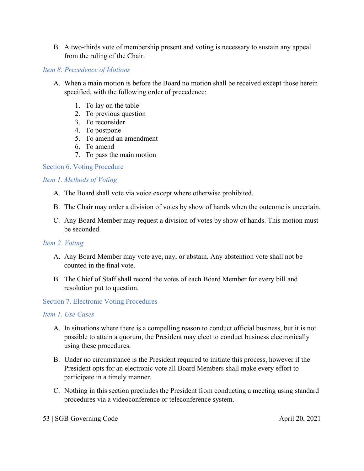B. A two-thirds vote of membership present and voting is necessary to sustain any appeal from the ruling of the Chair.

#### *Item 8. Precedence of Motions*

- A. When a main motion is before the Board no motion shall be received except those herein specified, with the following order of precedence:
	- 1. To lay on the table
	- 2. To previous question
	- 3. To reconsider
	- 4. To postpone
	- 5. To amend an amendment
	- 6. To amend
	- 7. To pass the main motion

# Section 6. Voting Procedure

## *Item 1. Methods of Voting*

- A. The Board shall vote via voice except where otherwise prohibited.
- B. The Chair may order a division of votes by show of hands when the outcome is uncertain.
- C. Any Board Member may request a division of votes by show of hands. This motion must be seconded.

# *Item 2. Voting*

- A. Any Board Member may vote aye, nay, or abstain. Any abstention vote shall not be counted in the final vote.
- B. The Chief of Staff shall record the votes of each Board Member for every bill and resolution put to question.

#### Section 7. Electronic Voting Procedures

#### *Item 1. Use Cases*

- A. In situations where there is a compelling reason to conduct official business, but it is not possible to attain a quorum, the President may elect to conduct business electronically using these procedures.
- B. Under no circumstance is the President required to initiate this process, however if the President opts for an electronic vote all Board Members shall make every effort to participate in a timely manner.
- C. Nothing in this section precludes the President from conducting a meeting using standard procedures via a videoconference or teleconference system.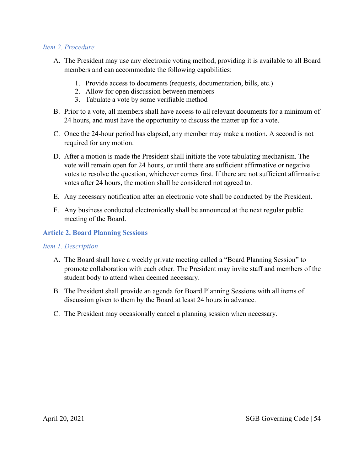#### *Item 2. Procedure*

- A. The President may use any electronic voting method, providing it is available to all Board members and can accommodate the following capabilities:
	- 1. Provide access to documents (requests, documentation, bills, etc.)
	- 2. Allow for open discussion between members
	- 3. Tabulate a vote by some verifiable method
- B. Prior to a vote, all members shall have access to all relevant documents for a minimum of 24 hours, and must have the opportunity to discuss the matter up for a vote.
- C. Once the 24-hour period has elapsed, any member may make a motion. A second is not required for any motion.
- D. After a motion is made the President shall initiate the vote tabulating mechanism. The vote will remain open for 24 hours, or until there are sufficient affirmative or negative votes to resolve the question, whichever comes first. If there are not sufficient affirmative votes after 24 hours, the motion shall be considered not agreed to.
- E. Any necessary notification after an electronic vote shall be conducted by the President.
- F. Any business conducted electronically shall be announced at the next regular public meeting of the Board.

#### **Article 2. Board Planning Sessions**

#### *Item 1. Description*

- A. The Board shall have a weekly private meeting called a "Board Planning Session" to promote collaboration with each other. The President may invite staff and members of the student body to attend when deemed necessary.
- B. The President shall provide an agenda for Board Planning Sessions with all items of discussion given to them by the Board at least 24 hours in advance.
- C. The President may occasionally cancel a planning session when necessary.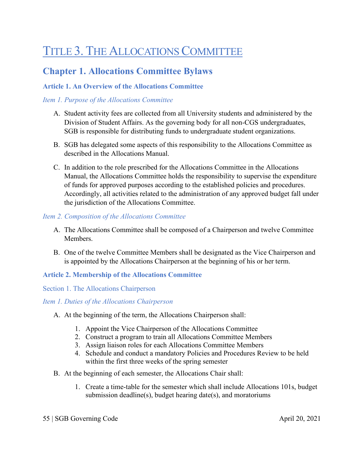# TITLE 3. THE ALLOCATIONS COMMITTEE

# **Chapter 1. Allocations Committee Bylaws**

# **Article 1. An Overview of the Allocations Committee**

# *Item 1. Purpose of the Allocations Committee*

- A. Student activity fees are collected from all University students and administered by the Division of Student Affairs. As the governing body for all non-CGS undergraduates, SGB is responsible for distributing funds to undergraduate student organizations.
- B. SGB has delegated some aspects of this responsibility to the Allocations Committee as described in the Allocations Manual.
- C. In addition to the role prescribed for the Allocations Committee in the Allocations Manual, the Allocations Committee holds the responsibility to supervise the expenditure of funds for approved purposes according to the established policies and procedures. Accordingly, all activities related to the administration of any approved budget fall under the jurisdiction of the Allocations Committee.

## *Item 2. Composition of the Allocations Committee*

- A. The Allocations Committee shall be composed of a Chairperson and twelve Committee Members.
- B. One of the twelve Committee Members shall be designated as the Vice Chairperson and is appointed by the Allocations Chairperson at the beginning of his or her term.

# **Article 2. Membership of the Allocations Committee**

#### Section 1. The Allocations Chairperson

#### *Item 1. Duties of the Allocations Chairperson*

- A. At the beginning of the term, the Allocations Chairperson shall:
	- 1. Appoint the Vice Chairperson of the Allocations Committee
	- 2. Construct a program to train all Allocations Committee Members
	- 3. Assign liaison roles for each Allocations Committee Members
	- 4. Schedule and conduct a mandatory Policies and Procedures Review to be held within the first three weeks of the spring semester
- B. At the beginning of each semester, the Allocations Chair shall:
	- 1. Create a time-table for the semester which shall include Allocations 101s, budget submission deadline(s), budget hearing date(s), and moratoriums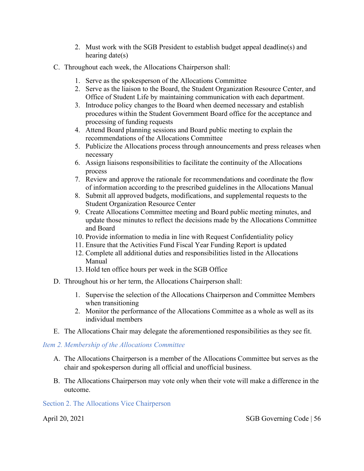- 2. Must work with the SGB President to establish budget appeal deadline(s) and hearing date(s)
- C. Throughout each week, the Allocations Chairperson shall:
	- 1. Serve as the spokesperson of the Allocations Committee
	- 2. Serve as the liaison to the Board, the Student Organization Resource Center, and Office of Student Life by maintaining communication with each department.
	- 3. Introduce policy changes to the Board when deemed necessary and establish procedures within the Student Government Board office for the acceptance and processing of funding requests
	- 4. Attend Board planning sessions and Board public meeting to explain the recommendations of the Allocations Committee
	- 5. Publicize the Allocations process through announcements and press releases when necessary
	- 6. Assign liaisons responsibilities to facilitate the continuity of the Allocations process
	- 7. Review and approve the rationale for recommendations and coordinate the flow of information according to the prescribed guidelines in the Allocations Manual
	- 8. Submit all approved budgets, modifications, and supplemental requests to the Student Organization Resource Center
	- 9. Create Allocations Committee meeting and Board public meeting minutes, and update those minutes to reflect the decisions made by the Allocations Committee and Board
	- 10. Provide information to media in line with Request Confidentiality policy
	- 11. Ensure that the Activities Fund Fiscal Year Funding Report is updated
	- 12. Complete all additional duties and responsibilities listed in the Allocations Manual
	- 13. Hold ten office hours per week in the SGB Office
- D. Throughout his or her term, the Allocations Chairperson shall:
	- 1. Supervise the selection of the Allocations Chairperson and Committee Members when transitioning
	- 2. Monitor the performance of the Allocations Committee as a whole as well as its individual members
- E. The Allocations Chair may delegate the aforementioned responsibilities as they see fit.

#### *Item 2. Membership of the Allocations Committee*

- A. The Allocations Chairperson is a member of the Allocations Committee but serves as the chair and spokesperson during all official and unofficial business.
- B. The Allocations Chairperson may vote only when their vote will make a difference in the outcome.

#### Section 2. The Allocations Vice Chairperson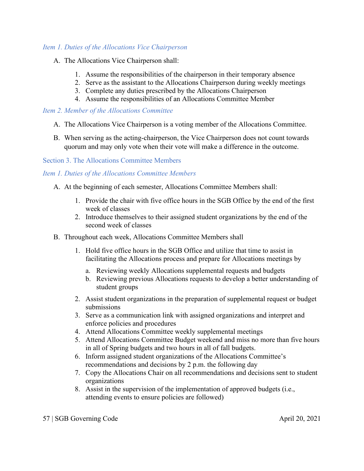#### *Item 1. Duties of the Allocations Vice Chairperson*

- A. The Allocations Vice Chairperson shall:
	- 1. Assume the responsibilities of the chairperson in their temporary absence
	- 2. Serve as the assistant to the Allocations Chairperson during weekly meetings
	- 3. Complete any duties prescribed by the Allocations Chairperson
	- 4. Assume the responsibilities of an Allocations Committee Member

#### *Item 2. Member of the Allocations Committee*

- A. The Allocations Vice Chairperson is a voting member of the Allocations Committee.
- B. When serving as the acting-chairperson, the Vice Chairperson does not count towards quorum and may only vote when their vote will make a difference in the outcome.

Section 3. The Allocations Committee Members

# *Item 1. Duties of the Allocations Committee Members*

- A. At the beginning of each semester, Allocations Committee Members shall:
	- 1. Provide the chair with five office hours in the SGB Office by the end of the first week of classes
	- 2. Introduce themselves to their assigned student organizations by the end of the second week of classes
- B. Throughout each week, Allocations Committee Members shall
	- 1. Hold five office hours in the SGB Office and utilize that time to assist in facilitating the Allocations process and prepare for Allocations meetings by
		- a. Reviewing weekly Allocations supplemental requests and budgets
		- b. Reviewing previous Allocations requests to develop a better understanding of student groups
	- 2. Assist student organizations in the preparation of supplemental request or budget submissions
	- 3. Serve as a communication link with assigned organizations and interpret and enforce policies and procedures
	- 4. Attend Allocations Committee weekly supplemental meetings
	- 5. Attend Allocations Committee Budget weekend and miss no more than five hours in all of Spring budgets and two hours in all of fall budgets.
	- 6. Inform assigned student organizations of the Allocations Committee's recommendations and decisions by 2 p.m. the following day
	- 7. Copy the Allocations Chair on all recommendations and decisions sent to student organizations
	- 8. Assist in the supervision of the implementation of approved budgets (i.e., attending events to ensure policies are followed)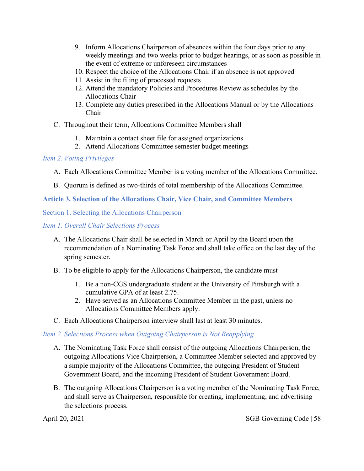- 9. Inform Allocations Chairperson of absences within the four days prior to any weekly meetings and two weeks prior to budget hearings, or as soon as possible in the event of extreme or unforeseen circumstances
- 10. Respect the choice of the Allocations Chair if an absence is not approved
- 11. Assist in the filing of processed requests
- 12. Attend the mandatory Policies and Procedures Review as schedules by the Allocations Chair
- 13. Complete any duties prescribed in the Allocations Manual or by the Allocations Chair
- C. Throughout their term, Allocations Committee Members shall
	- 1. Maintain a contact sheet file for assigned organizations
	- 2. Attend Allocations Committee semester budget meetings

#### *Item 2. Voting Privileges*

- A. Each Allocations Committee Member is a voting member of the Allocations Committee.
- B. Quorum is defined as two-thirds of total membership of the Allocations Committee.

#### **Article 3. Selection of the Allocations Chair, Vice Chair, and Committee Members**

Section 1. Selecting the Allocations Chairperson

*Item 1. Overall Chair Selections Process*

- A. The Allocations Chair shall be selected in March or April by the Board upon the recommendation of a Nominating Task Force and shall take office on the last day of the spring semester.
- B. To be eligible to apply for the Allocations Chairperson, the candidate must
	- 1. Be a non-CGS undergraduate student at the University of Pittsburgh with a cumulative GPA of at least 2.75.
	- 2. Have served as an Allocations Committee Member in the past, unless no Allocations Committee Members apply.
- C. Each Allocations Chairperson interview shall last at least 30 minutes.

#### *Item 2. Selections Process when Outgoing Chairperson is Not Reapplying*

- A. The Nominating Task Force shall consist of the outgoing Allocations Chairperson, the outgoing Allocations Vice Chairperson, a Committee Member selected and approved by a simple majority of the Allocations Committee, the outgoing President of Student Government Board, and the incoming President of Student Government Board.
- B. The outgoing Allocations Chairperson is a voting member of the Nominating Task Force, and shall serve as Chairperson, responsible for creating, implementing, and advertising the selections process.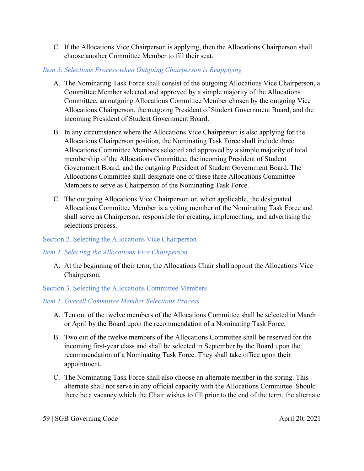C. If the Allocations Vice Chairperson is applying, then the Allocations Chairperson shall choose another Committee Member to fill their seat.

## *Item 3. Selections Process when Outgoing Chairperson is Reapplying*

- A. The Nominating Task Force shall consist of the outgoing Allocations Vice Chairperson, a Committee Member selected and approved by a simple majority of the Allocations Committee, an outgoing Allocations Committee Member chosen by the outgoing Vice Allocations Chairperson, the outgoing President of Student Government Board, and the incoming President of Student Government Board.
- B. In any circumstance where the Allocations Vice Chairperson is also applying for the Allocations Chairperson position, the Nominating Task Force shall include three Allocations Committee Members selected and approved by a simple majority of total membership of the Allocations Committee, the incoming President of Student Government Board, and the outgoing President of Student Government Board. The Allocations Committee shall designate one of these three Allocations Committee Members to serve as Chairperson of the Nominating Task Force.
- C. The outgoing Allocations Vice Chairperson or, when applicable, the designated Allocations Committee Member is a voting member of the Nominating Task Force and shall serve as Chairperson, responsible for creating, implementing, and advertising the selections process.

# Section 2. Selecting the Allocations Vice Chairperson

# *Item 1. Selecting the Allocations Vice Chairperson*

A. At the beginning of their term, the Allocations Chair shall appoint the Allocations Vice Chairperson.

Section 3. Selecting the Allocations Committee Members

# *Item 1. Overall Committee Member Selections Process*

- A. Ten out of the twelve members of the Allocations Committee shall be selected in March or April by the Board upon the recommendation of a Nominating Task Force.
- B. Two out of the twelve members of the Allocations Committee shall be reserved for the incoming first-year class and shall be selected in September by the Board upon the recommendation of a Nominating Task Force. They shall take office upon their appointment.
- C. The Nominating Task Force shall also choose an alternate member in the spring. This alternate shall not serve in any official capacity with the Allocations Committee. Should there be a vacancy which the Chair wishes to fill prior to the end of the term, the alternate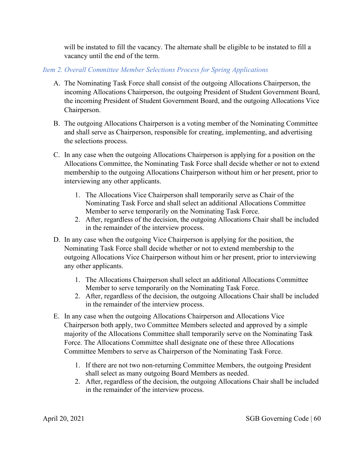will be instated to fill the vacancy. The alternate shall be eligible to be instated to fill a vacancy until the end of the term.

## *Item 2. Overall Committee Member Selections Process for Spring Applications*

- A. The Nominating Task Force shall consist of the outgoing Allocations Chairperson, the incoming Allocations Chairperson, the outgoing President of Student Government Board, the incoming President of Student Government Board, and the outgoing Allocations Vice Chairperson.
- B. The outgoing Allocations Chairperson is a voting member of the Nominating Committee and shall serve as Chairperson, responsible for creating, implementing, and advertising the selections process.
- C. In any case when the outgoing Allocations Chairperson is applying for a position on the Allocations Committee, the Nominating Task Force shall decide whether or not to extend membership to the outgoing Allocations Chairperson without him or her present, prior to interviewing any other applicants.
	- 1. The Allocations Vice Chairperson shall temporarily serve as Chair of the Nominating Task Force and shall select an additional Allocations Committee Member to serve temporarily on the Nominating Task Force.
	- 2. After, regardless of the decision, the outgoing Allocations Chair shall be included in the remainder of the interview process.
- D. In any case when the outgoing Vice Chairperson is applying for the position, the Nominating Task Force shall decide whether or not to extend membership to the outgoing Allocations Vice Chairperson without him or her present, prior to interviewing any other applicants.
	- 1. The Allocations Chairperson shall select an additional Allocations Committee Member to serve temporarily on the Nominating Task Force.
	- 2. After, regardless of the decision, the outgoing Allocations Chair shall be included in the remainder of the interview process.
- E. In any case when the outgoing Allocations Chairperson and Allocations Vice Chairperson both apply, two Committee Members selected and approved by a simple majority of the Allocations Committee shall temporarily serve on the Nominating Task Force. The Allocations Committee shall designate one of these three Allocations Committee Members to serve as Chairperson of the Nominating Task Force.
	- 1. If there are not two non-returning Committee Members, the outgoing President shall select as many outgoing Board Members as needed.
	- 2. After, regardless of the decision, the outgoing Allocations Chair shall be included in the remainder of the interview process.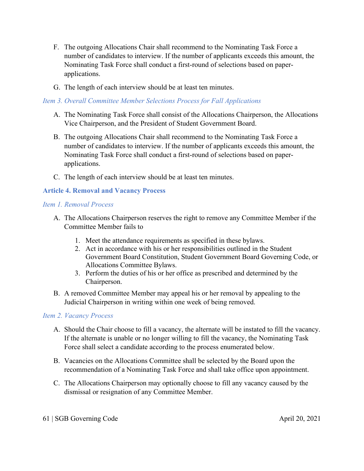- F. The outgoing Allocations Chair shall recommend to the Nominating Task Force a number of candidates to interview. If the number of applicants exceeds this amount, the Nominating Task Force shall conduct a first-round of selections based on paperapplications.
- G. The length of each interview should be at least ten minutes.

#### *Item 3. Overall Committee Member Selections Process for Fall Applications*

- A. The Nominating Task Force shall consist of the Allocations Chairperson, the Allocations Vice Chairperson, and the President of Student Government Board.
- B. The outgoing Allocations Chair shall recommend to the Nominating Task Force a number of candidates to interview. If the number of applicants exceeds this amount, the Nominating Task Force shall conduct a first-round of selections based on paperapplications.
- C. The length of each interview should be at least ten minutes.

## **Article 4. Removal and Vacancy Process**

#### *Item 1. Removal Process*

- A. The Allocations Chairperson reserves the right to remove any Committee Member if the Committee Member fails to
	- 1. Meet the attendance requirements as specified in these bylaws.
	- 2. Act in accordance with his or her responsibilities outlined in the Student Government Board Constitution, Student Government Board Governing Code, or Allocations Committee Bylaws.
	- 3. Perform the duties of his or her office as prescribed and determined by the Chairperson.
- B. A removed Committee Member may appeal his or her removal by appealing to the Judicial Chairperson in writing within one week of being removed.

#### *Item 2. Vacancy Process*

- A. Should the Chair choose to fill a vacancy, the alternate will be instated to fill the vacancy. If the alternate is unable or no longer willing to fill the vacancy, the Nominating Task Force shall select a candidate according to the process enumerated below.
- B. Vacancies on the Allocations Committee shall be selected by the Board upon the recommendation of a Nominating Task Force and shall take office upon appointment.
- C. The Allocations Chairperson may optionally choose to fill any vacancy caused by the dismissal or resignation of any Committee Member.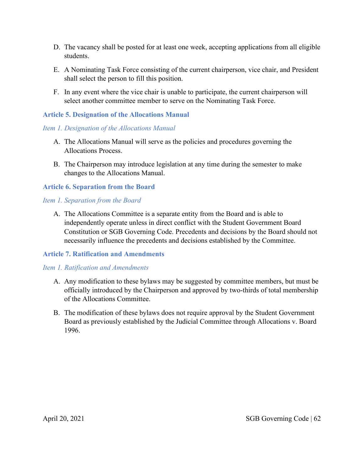- D. The vacancy shall be posted for at least one week, accepting applications from all eligible students.
- E. A Nominating Task Force consisting of the current chairperson, vice chair, and President shall select the person to fill this position.
- F. In any event where the vice chair is unable to participate, the current chairperson will select another committee member to serve on the Nominating Task Force.

#### **Article 5. Designation of the Allocations Manual**

#### *Item 1. Designation of the Allocations Manual*

- A. The Allocations Manual will serve as the policies and procedures governing the Allocations Process.
- B. The Chairperson may introduce legislation at any time during the semester to make changes to the Allocations Manual.

#### **Article 6. Separation from the Board**

#### *Item 1. Separation from the Board*

A. The Allocations Committee is a separate entity from the Board and is able to independently operate unless in direct conflict with the Student Government Board Constitution or SGB Governing Code. Precedents and decisions by the Board should not necessarily influence the precedents and decisions established by the Committee.

#### **Article 7. Ratification and Amendments**

#### *Item 1. Ratification and Amendments*

- A. Any modification to these bylaws may be suggested by committee members, but must be officially introduced by the Chairperson and approved by two-thirds of total membership of the Allocations Committee.
- B. The modification of these bylaws does not require approval by the Student Government Board as previously established by the Judicial Committee through Allocations v. Board 1996.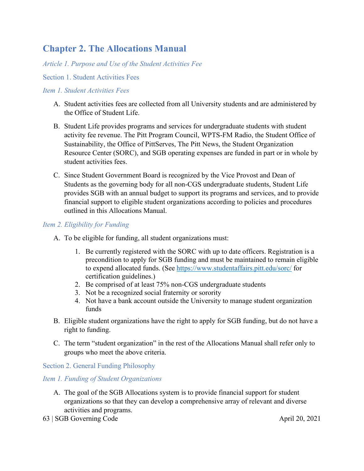# **Chapter 2. The Allocations Manual**

*Article 1. Purpose and Use of the Student Activities Fee*

#### Section 1. Student Activities Fees

#### *Item 1. Student Activities Fees*

- A. Student activities fees are collected from all University students and are administered by the Office of Student Life.
- B. Student Life provides programs and services for undergraduate students with student activity fee revenue. The Pitt Program Council, WPTS-FM Radio, the Student Office of Sustainability, the Office of PittServes, The Pitt News, the Student Organization Resource Center (SORC), and SGB operating expenses are funded in part or in whole by student activities fees.
- C. Since Student Government Board is recognized by the Vice Provost and Dean of Students as the governing body for all non-CGS undergraduate students, Student Life provides SGB with an annual budget to support its programs and services, and to provide financial support to eligible student organizations according to policies and procedures outlined in this Allocations Manual.

## *Item 2. Eligibility for Funding*

- A. To be eligible for funding, all student organizations must:
	- 1. Be currently registered with the SORC with up to date officers. Registration is a precondition to apply for SGB funding and must be maintained to remain eligible to expend allocated funds. (See<https://www.studentaffairs.pitt.edu/sorc/> for certification guidelines.)
	- 2. Be comprised of at least 75% non-CGS undergraduate students
	- 3. Not be a recognized social fraternity or sorority
	- 4. Not have a bank account outside the University to manage student organization funds
- B. Eligible student organizations have the right to apply for SGB funding, but do not have a right to funding.
- C. The term "student organization" in the rest of the Allocations Manual shall refer only to groups who meet the above criteria.

Section 2. General Funding Philosophy

#### *Item 1. Funding of Student Organizations*

- A. The goal of the SGB Allocations system is to provide financial support for student organizations so that they can develop a comprehensive array of relevant and diverse activities and programs.
- 63 | SGB Governing Code April 20, 2021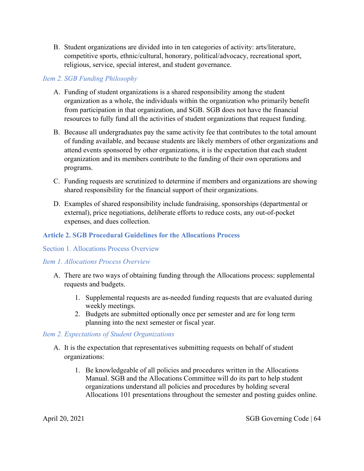B. Student organizations are divided into in ten categories of activity: arts/literature, competitive sports, ethnic/cultural, honorary, political/advocacy, recreational sport, religious, service, special interest, and student governance.

#### *Item 2. SGB Funding Philosophy*

- A. Funding of student organizations is a shared responsibility among the student organization as a whole, the individuals within the organization who primarily benefit from participation in that organization, and SGB. SGB does not have the financial resources to fully fund all the activities of student organizations that request funding.
- B. Because all undergraduates pay the same activity fee that contributes to the total amount of funding available, and because students are likely members of other organizations and attend events sponsored by other organizations, it is the expectation that each student organization and its members contribute to the funding of their own operations and programs.
- C. Funding requests are scrutinized to determine if members and organizations are showing shared responsibility for the financial support of their organizations.
- D. Examples of shared responsibility include fundraising, sponsorships (departmental or external), price negotiations, deliberate efforts to reduce costs, any out-of-pocket expenses, and dues collection.

# **Article 2. SGB Procedural Guidelines for the Allocations Process**

#### Section 1. Allocations Process Overview

#### *Item 1. Allocations Process Overview*

- A. There are two ways of obtaining funding through the Allocations process: supplemental requests and budgets.
	- 1. Supplemental requests are as-needed funding requests that are evaluated during weekly meetings.
	- 2. Budgets are submitted optionally once per semester and are for long term planning into the next semester or fiscal year.

#### *Item 2. Expectations of Student Organizations*

- A. It is the expectation that representatives submitting requests on behalf of student organizations:
	- 1. Be knowledgeable of all policies and procedures written in the Allocations Manual. SGB and the Allocations Committee will do its part to help student organizations understand all policies and procedures by holding several Allocations 101 presentations throughout the semester and posting guides online.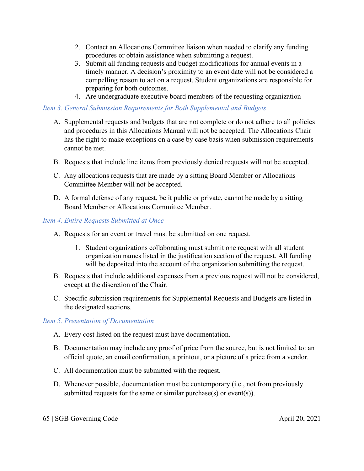- 2. Contact an Allocations Committee liaison when needed to clarify any funding procedures or obtain assistance when submitting a request.
- 3. Submit all funding requests and budget modifications for annual events in a timely manner. A decision's proximity to an event date will not be considered a compelling reason to act on a request. Student organizations are responsible for preparing for both outcomes.
- 4. Are undergraduate executive board members of the requesting organization

# *Item 3. General Submission Requirements for Both Supplemental and Budgets*

- A. Supplemental requests and budgets that are not complete or do not adhere to all policies and procedures in this Allocations Manual will not be accepted. The Allocations Chair has the right to make exceptions on a case by case basis when submission requirements cannot be met.
- B. Requests that include line items from previously denied requests will not be accepted.
- C. Any allocations requests that are made by a sitting Board Member or Allocations Committee Member will not be accepted.
- D. A formal defense of any request, be it public or private, cannot be made by a sitting Board Member or Allocations Committee Member.

## *Item 4. Entire Requests Submitted at Once*

- A. Requests for an event or travel must be submitted on one request.
	- 1. Student organizations collaborating must submit one request with all student organization names listed in the justification section of the request. All funding will be deposited into the account of the organization submitting the request.
- B. Requests that include additional expenses from a previous request will not be considered, except at the discretion of the Chair.
- C. Specific submission requirements for Supplemental Requests and Budgets are listed in the designated sections.

# *Item 5. Presentation of Documentation*

- A. Every cost listed on the request must have documentation.
- B. Documentation may include any proof of price from the source, but is not limited to: an official quote, an email confirmation, a printout, or a picture of a price from a vendor.
- C. All documentation must be submitted with the request.
- D. Whenever possible, documentation must be contemporary (i.e., not from previously submitted requests for the same or similar purchase(s) or event(s)).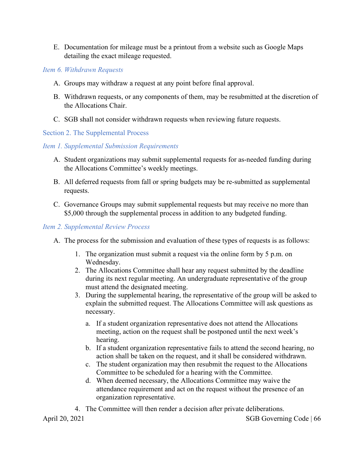E. Documentation for mileage must be a printout from a website such as Google Maps detailing the exact mileage requested.

*Item 6. Withdrawn Requests*

- A. Groups may withdraw a request at any point before final approval.
- B. Withdrawn requests, or any components of them, may be resubmitted at the discretion of the Allocations Chair.
- C. SGB shall not consider withdrawn requests when reviewing future requests.

#### Section 2. The Supplemental Process

#### *Item 1. Supplemental Submission Requirements*

- A. Student organizations may submit supplemental requests for as-needed funding during the Allocations Committee's weekly meetings.
- B. All deferred requests from fall or spring budgets may be re-submitted as supplemental requests.
- C. Governance Groups may submit supplemental requests but may receive no more than \$5,000 through the supplemental process in addition to any budgeted funding.

#### *Item 2. Supplemental Review Process*

- A. The process for the submission and evaluation of these types of requests is as follows:
	- 1. The organization must submit a request via the online form by 5 p.m. on Wednesday.
	- 2. The Allocations Committee shall hear any request submitted by the deadline during its next regular meeting. An undergraduate representative of the group must attend the designated meeting.
	- 3. During the supplemental hearing, the representative of the group will be asked to explain the submitted request. The Allocations Committee will ask questions as necessary.
		- a. If a student organization representative does not attend the Allocations meeting, action on the request shall be postponed until the next week's hearing.
		- b. If a student organization representative fails to attend the second hearing, no action shall be taken on the request, and it shall be considered withdrawn.
		- c. The student organization may then resubmit the request to the Allocations Committee to be scheduled for a hearing with the Committee.
		- d. When deemed necessary, the Allocations Committee may waive the attendance requirement and act on the request without the presence of an organization representative.

April 20, 2021 SGB Governing Code | 66 4. The Committee will then render a decision after private deliberations.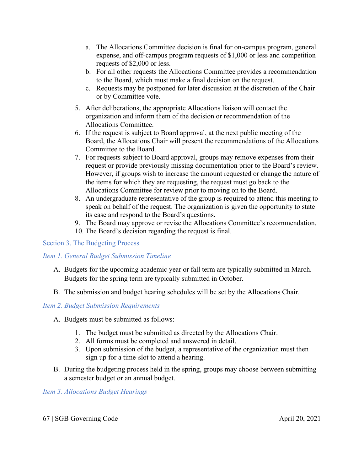- a. The Allocations Committee decision is final for on-campus program, general expense, and off-campus program requests of \$1,000 or less and competition requests of \$2,000 or less.
- b. For all other requests the Allocations Committee provides a recommendation to the Board, which must make a final decision on the request.
- c. Requests may be postponed for later discussion at the discretion of the Chair or by Committee vote.
- 5. After deliberations, the appropriate Allocations liaison will contact the organization and inform them of the decision or recommendation of the Allocations Committee.
- 6. If the request is subject to Board approval, at the next public meeting of the Board, the Allocations Chair will present the recommendations of the Allocations Committee to the Board.
- 7. For requests subject to Board approval, groups may remove expenses from their request or provide previously missing documentation prior to the Board's review. However, if groups wish to increase the amount requested or change the nature of the items for which they are requesting, the request must go back to the Allocations Committee for review prior to moving on to the Board.
- 8. An undergraduate representative of the group is required to attend this meeting to speak on behalf of the request. The organization is given the opportunity to state its case and respond to the Board's questions.
- 9. The Board may approve or revise the Allocations Committee's recommendation.
- 10. The Board's decision regarding the request is final.

#### Section 3. The Budgeting Process

# *Item 1. General Budget Submission Timeline*

- A. Budgets for the upcoming academic year or fall term are typically submitted in March. Budgets for the spring term are typically submitted in October.
- B. The submission and budget hearing schedules will be set by the Allocations Chair.

#### *Item 2. Budget Submission Requirements*

- A. Budgets must be submitted as follows:
	- 1. The budget must be submitted as directed by the Allocations Chair.
	- 2. All forms must be completed and answered in detail.
	- 3. Upon submission of the budget, a representative of the organization must then sign up for a time-slot to attend a hearing.
- B. During the budgeting process held in the spring, groups may choose between submitting a semester budget or an annual budget.

# *Item 3. Allocations Budget Hearings*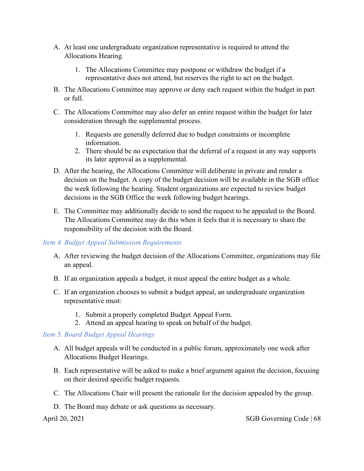- A. At least one undergraduate organization representative is required to attend the Allocations Hearing.
	- 1. The Allocations Committee may postpone or withdraw the budget if a representative does not attend, but reserves the right to act on the budget.
- B. The Allocations Committee may approve or deny each request within the budget in part or full.
- C. The Allocations Committee may also defer an entire request within the budget for later consideration through the supplemental process.
	- 1. Requests are generally deferred due to budget constraints or incomplete information.
	- 2. There should be no expectation that the deferral of a request in any way supports its later approval as a supplemental.
- D. After the hearing, the Allocations Committee will deliberate in private and render a decision on the budget. A copy of the budget decision will be available in the SGB office the week following the hearing. Student organizations are expected to review budget decisions in the SGB Office the week following budget hearings.
- E. The Committee may additionally decide to send the request to be appealed to the Board. The Allocations Committee may do this when it feels that it is necessary to share the responsibility of the decision with the Board.

# *Item 4. Budget Appeal Submission Requirements*

- A. After reviewing the budget decision of the Allocations Committee, organizations may file an appeal.
- B. If an organization appeals a budget, it must appeal the entire budget as a whole.
- C. If an organization chooses to submit a budget appeal, an undergraduate organization representative must:
	- 1. Submit a properly completed Budget Appeal Form.
	- 2. Attend an appeal hearing to speak on behalf of the budget.

# *Item 5. Board Budget Appeal Hearings*

- A. All budget appeals will be conducted in a public forum, approximately one week after Allocations Budget Hearings.
- B. Each representative will be asked to make a brief argument against the decision, focusing on their desired specific budget requests.
- C. The Allocations Chair will present the rationale for the decision appealed by the group.
- D. The Board may debate or ask questions as necessary.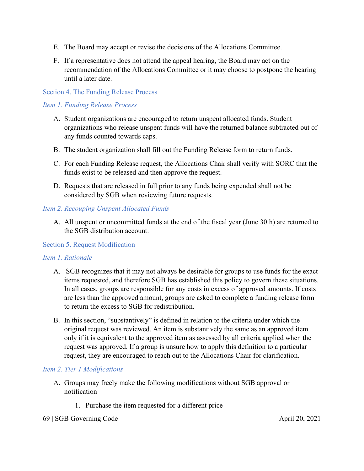- E. The Board may accept or revise the decisions of the Allocations Committee.
- F. If a representative does not attend the appeal hearing, the Board may act on the recommendation of the Allocations Committee or it may choose to postpone the hearing until a later date.

#### Section 4. The Funding Release Process

#### *Item 1. Funding Release Process*

- A. Student organizations are encouraged to return unspent allocated funds. Student organizations who release unspent funds will have the returned balance subtracted out of any funds counted towards caps.
- B. The student organization shall fill out the Funding Release form to return funds.
- C. For each Funding Release request, the Allocations Chair shall verify with SORC that the funds exist to be released and then approve the request.
- D. Requests that are released in full prior to any funds being expended shall not be considered by SGB when reviewing future requests.

#### *Item 2. Recouping Unspent Allocated Funds*

A. All unspent or uncommitted funds at the end of the fiscal year (June 30th) are returned to the SGB distribution account.

#### Section 5. Request Modification

#### *Item 1. Rationale*

- A. SGB recognizes that it may not always be desirable for groups to use funds for the exact items requested, and therefore SGB has established this policy to govern these situations. In all cases, groups are responsible for any costs in excess of approved amounts. If costs are less than the approved amount, groups are asked to complete a funding release form to return the excess to SGB for redistribution.
- B. In this section, "substantively" is defined in relation to the criteria under which the original request was reviewed. An item is substantively the same as an approved item only if it is equivalent to the approved item as assessed by all criteria applied when the request was approved. If a group is unsure how to apply this definition to a particular request, they are encouraged to reach out to the Allocations Chair for clarification.

#### *Item 2. Tier 1 Modifications*

- A. Groups may freely make the following modifications without SGB approval or notification
	- 1. Purchase the item requested for a different price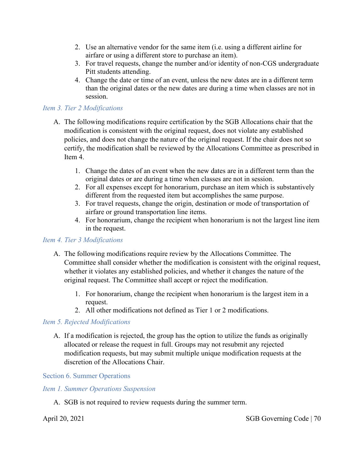- 2. Use an alternative vendor for the same item (i.e. using a different airline for airfare or using a different store to purchase an item).
- 3. For travel requests, change the number and/or identity of non-CGS undergraduate Pitt students attending.
- 4. Change the date or time of an event, unless the new dates are in a different term than the original dates or the new dates are during a time when classes are not in session.

#### *Item 3. Tier 2 Modifications*

- A. The following modifications require certification by the SGB Allocations chair that the modification is consistent with the original request, does not violate any established policies, and does not change the nature of the original request. If the chair does not so certify, the modification shall be reviewed by the Allocations Committee as prescribed in Item 4.
	- 1. Change the dates of an event when the new dates are in a different term than the original dates or are during a time when classes are not in session.
	- 2. For all expenses except for honorarium, purchase an item which is substantively different from the requested item but accomplishes the same purpose.
	- 3. For travel requests, change the origin, destination or mode of transportation of airfare or ground transportation line items.
	- 4. For honorarium, change the recipient when honorarium is not the largest line item in the request.

#### *Item 4. Tier 3 Modifications*

- A. The following modifications require review by the Allocations Committee. The Committee shall consider whether the modification is consistent with the original request, whether it violates any established policies, and whether it changes the nature of the original request. The Committee shall accept or reject the modification.
	- 1. For honorarium, change the recipient when honorarium is the largest item in a request.
	- 2. All other modifications not defined as Tier 1 or 2 modifications.

#### *Item 5. Rejected Modifications*

A. If a modification is rejected, the group has the option to utilize the funds as originally allocated or release the request in full. Groups may not resubmit any rejected modification requests, but may submit multiple unique modification requests at the discretion of the Allocations Chair.

Section 6. Summer Operations

#### *Item 1. Summer Operations Suspension*

A. SGB is not required to review requests during the summer term.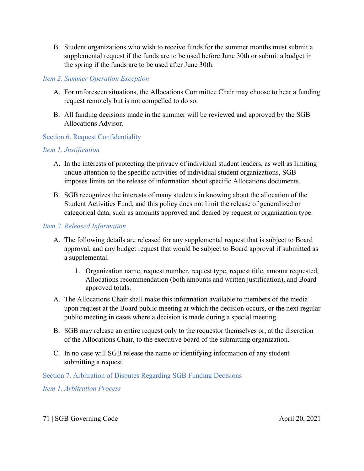B. Student organizations who wish to receive funds for the summer months must submit a supplemental request if the funds are to be used before June 30th or submit a budget in the spring if the funds are to be used after June 30th.

#### *Item 2. Summer Operation Exception*

- A. For unforeseen situations, the Allocations Committee Chair may choose to hear a funding request remotely but is not compelled to do so.
- B. All funding decisions made in the summer will be reviewed and approved by the SGB Allocations Advisor.

## Section 6. Request Confidentiality

## *Item 1. Justification*

- A. In the interests of protecting the privacy of individual student leaders, as well as limiting undue attention to the specific activities of individual student organizations, SGB imposes limits on the release of information about specific Allocations documents.
- B. SGB recognizes the interests of many students in knowing about the allocation of the Student Activities Fund, and this policy does not limit the release of generalized or categorical data, such as amounts approved and denied by request or organization type.

## *Item 2. Released Information*

- A. The following details are released for any supplemental request that is subject to Board approval, and any budget request that would be subject to Board approval if submitted as a supplemental.
	- 1. Organization name, request number, request type, request title, amount requested, Allocations recommendation (both amounts and written justification), and Board approved totals.
- A. The Allocations Chair shall make this information available to members of the media upon request at the Board public meeting at which the decision occurs, or the next regular public meeting in cases where a decision is made during a special meeting.
- B. SGB may release an entire request only to the requestor themselves or, at the discretion of the Allocations Chair, to the executive board of the submitting organization.
- C. In no case will SGB release the name or identifying information of any student submitting a request.

Section 7. Arbitration of Disputes Regarding SGB Funding Decisions

*Item 1. Arbitration Process*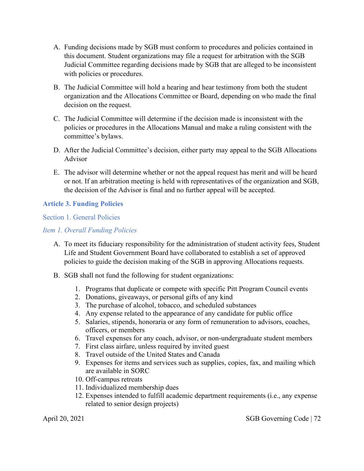- A. Funding decisions made by SGB must conform to procedures and policies contained in this document. Student organizations may file a request for arbitration with the SGB Judicial Committee regarding decisions made by SGB that are alleged to be inconsistent with policies or procedures.
- B. The Judicial Committee will hold a hearing and hear testimony from both the student organization and the Allocations Committee or Board, depending on who made the final decision on the request.
- C. The Judicial Committee will determine if the decision made is inconsistent with the policies or procedures in the Allocations Manual and make a ruling consistent with the committee's bylaws.
- D. After the Judicial Committee's decision, either party may appeal to the SGB Allocations Advisor
- E. The advisor will determine whether or not the appeal request has merit and will be heard or not. If an arbitration meeting is held with representatives of the organization and SGB, the decision of the Advisor is final and no further appeal will be accepted.

## **Article 3. Funding Policies**

#### Section 1. General Policies

## *Item 1. Overall Funding Policies*

- A. To meet its fiduciary responsibility for the administration of student activity fees, Student Life and Student Government Board have collaborated to establish a set of approved policies to guide the decision making of the SGB in approving Allocations requests.
- B. SGB shall not fund the following for student organizations:
	- 1. Programs that duplicate or compete with specific Pitt Program Council events
	- 2. Donations, giveaways, or personal gifts of any kind
	- 3. The purchase of alcohol, tobacco, and scheduled substances
	- 4. Any expense related to the appearance of any candidate for public office
	- 5. Salaries, stipends, honoraria or any form of remuneration to advisors, coaches, officers, or members
	- 6. Travel expenses for any coach, advisor, or non-undergraduate student members
	- 7. First class airfare, unless required by invited guest
	- 8. Travel outside of the United States and Canada
	- 9. Expenses for items and services such as supplies, copies, fax, and mailing which are available in SORC
	- 10. Off-campus retreats
	- 11. Individualized membership dues
	- 12. Expenses intended to fulfill academic department requirements (i.e., any expense related to senior design projects)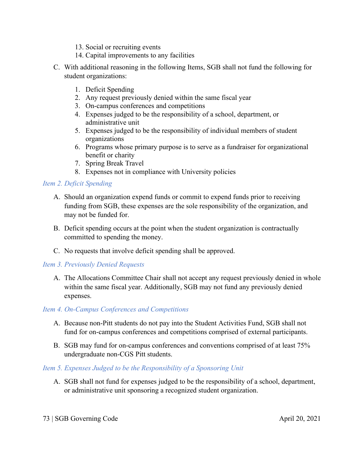- 13. Social or recruiting events
- 14. Capital improvements to any facilities
- C. With additional reasoning in the following Items, SGB shall not fund the following for student organizations:
	- 1. Deficit Spending
	- 2. Any request previously denied within the same fiscal year
	- 3. On-campus conferences and competitions
	- 4. Expenses judged to be the responsibility of a school, department, or administrative unit
	- 5. Expenses judged to be the responsibility of individual members of student organizations
	- 6. Programs whose primary purpose is to serve as a fundraiser for organizational benefit or charity
	- 7. Spring Break Travel
	- 8. Expenses not in compliance with University policies

## *Item 2. Deficit Spending*

- A. Should an organization expend funds or commit to expend funds prior to receiving funding from SGB, these expenses are the sole responsibility of the organization, and may not be funded for.
- B. Deficit spending occurs at the point when the student organization is contractually committed to spending the money.
- C. No requests that involve deficit spending shall be approved.

## *Item 3. Previously Denied Requests*

A. The Allocations Committee Chair shall not accept any request previously denied in whole within the same fiscal year. Additionally, SGB may not fund any previously denied expenses.

## *Item 4. On-Campus Conferences and Competitions*

- A. Because non-Pitt students do not pay into the Student Activities Fund, SGB shall not fund for on-campus conferences and competitions comprised of external participants.
- B. SGB may fund for on-campus conferences and conventions comprised of at least 75% undergraduate non-CGS Pitt students.

## *Item 5. Expenses Judged to be the Responsibility of a Sponsoring Unit*

A. SGB shall not fund for expenses judged to be the responsibility of a school, department, or administrative unit sponsoring a recognized student organization.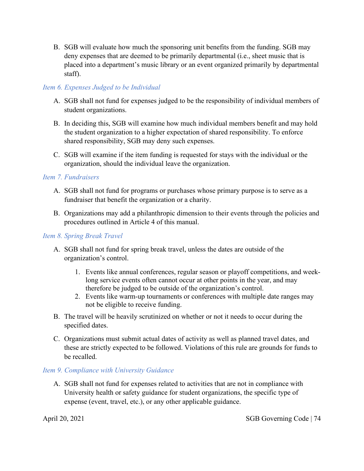B. SGB will evaluate how much the sponsoring unit benefits from the funding. SGB may deny expenses that are deemed to be primarily departmental (i.e., sheet music that is placed into a department's music library or an event organized primarily by departmental staff).

## *Item 6. Expenses Judged to be Individual*

- A. SGB shall not fund for expenses judged to be the responsibility of individual members of student organizations.
- B. In deciding this, SGB will examine how much individual members benefit and may hold the student organization to a higher expectation of shared responsibility. To enforce shared responsibility, SGB may deny such expenses.
- C. SGB will examine if the item funding is requested for stays with the individual or the organization, should the individual leave the organization.

## *Item 7. Fundraisers*

- A. SGB shall not fund for programs or purchases whose primary purpose is to serve as a fundraiser that benefit the organization or a charity.
- B. Organizations may add a philanthropic dimension to their events through the policies and procedures outlined in Article 4 of this manual.

### *Item 8. Spring Break Travel*

- A. SGB shall not fund for spring break travel, unless the dates are outside of the organization's control.
	- 1. Events like annual conferences, regular season or playoff competitions, and weeklong service events often cannot occur at other points in the year, and may therefore be judged to be outside of the organization's control.
	- 2. Events like warm-up tournaments or conferences with multiple date ranges may not be eligible to receive funding.
- B. The travel will be heavily scrutinized on whether or not it needs to occur during the specified dates.
- C. Organizations must submit actual dates of activity as well as planned travel dates, and these are strictly expected to be followed. Violations of this rule are grounds for funds to be recalled.

## *Item 9. Compliance with University Guidance*

A. SGB shall not fund for expenses related to activities that are not in compliance with University health or safety guidance for student organizations, the specific type of expense (event, travel, etc.), or any other applicable guidance.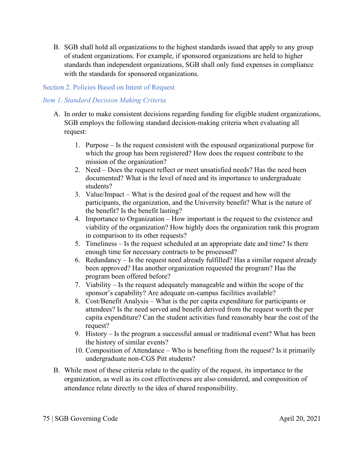B. SGB shall hold all organizations to the highest standards issued that apply to any group of student organizations. For example, if sponsored organizations are held to higher standards than independent organizations, SGB shall only fund expenses in compliance with the standards for sponsored organizations.

## Section 2. Policies Based on Intent of Request

## *Item 1. Standard Decision Making Criteria*

- A. In order to make consistent decisions regarding funding for eligible student organizations, SGB employs the following standard decision-making criteria when evaluating all request:
	- 1. Purpose Is the request consistent with the espoused organizational purpose for which the group has been registered? How does the request contribute to the mission of the organization?
	- 2. Need Does the request reflect or meet unsatisfied needs? Has the need been documented? What is the level of need and its importance to undergraduate students?
	- 3. Value/Impact What is the desired goal of the request and how will the participants, the organization, and the University benefit? What is the nature of the benefit? Is the benefit lasting?
	- 4. Importance to Organization How important is the request to the existence and viability of the organization? How highly does the organization rank this program in comparison to its other requests?
	- 5. Timeliness Is the request scheduled at an appropriate date and time? Is there enough time for necessary contracts to be processed?
	- 6. Redundancy Is the request need already fulfilled? Has a similar request already been approved? Has another organization requested the program? Has the program been offered before?
	- 7. Viability Is the request adequately manageable and within the scope of the sponsor's capability? Are adequate on-campus facilities available?
	- 8. Cost/Benefit Analysis What is the per capita expenditure for participants or attendees? Is the need served and benefit derived from the request worth the per capita expenditure? Can the student activities fund reasonably bear the cost of the request?
	- 9. History Is the program a successful annual or traditional event? What has been the history of similar events?
	- 10. Composition of Attendance Who is benefiting from the request? Is it primarily undergraduate non-CGS Pitt students?
- B. While most of these criteria relate to the quality of the request, its importance to the organization, as well as its cost effectiveness are also considered, and composition of attendance relate directly to the idea of shared responsibility.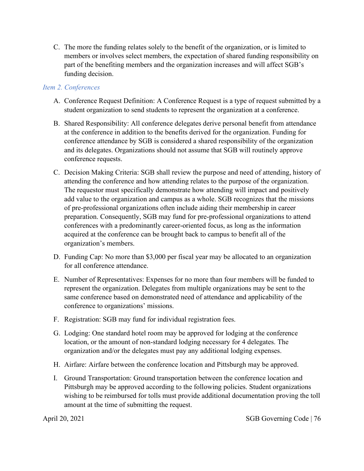C. The more the funding relates solely to the benefit of the organization, or is limited to members or involves select members, the expectation of shared funding responsibility on part of the benefiting members and the organization increases and will affect SGB's funding decision.

## *Item 2. Conferences*

- A. Conference Request Definition: A Conference Request is a type of request submitted by a student organization to send students to represent the organization at a conference.
- B. Shared Responsibility: All conference delegates derive personal benefit from attendance at the conference in addition to the benefits derived for the organization. Funding for conference attendance by SGB is considered a shared responsibility of the organization and its delegates. Organizations should not assume that SGB will routinely approve conference requests.
- C. Decision Making Criteria: SGB shall review the purpose and need of attending, history of attending the conference and how attending relates to the purpose of the organization. The requestor must specifically demonstrate how attending will impact and positively add value to the organization and campus as a whole. SGB recognizes that the missions of pre-professional organizations often include aiding their membership in career preparation. Consequently, SGB may fund for pre-professional organizations to attend conferences with a predominantly career-oriented focus, as long as the information acquired at the conference can be brought back to campus to benefit all of the organization's members.
- D. Funding Cap: No more than \$3,000 per fiscal year may be allocated to an organization for all conference attendance.
- E. Number of Representatives: Expenses for no more than four members will be funded to represent the organization. Delegates from multiple organizations may be sent to the same conference based on demonstrated need of attendance and applicability of the conference to organizations' missions.
- F. Registration: SGB may fund for individual registration fees.
- G. Lodging: One standard hotel room may be approved for lodging at the conference location, or the amount of non-standard lodging necessary for 4 delegates. The organization and/or the delegates must pay any additional lodging expenses.
- H. Airfare: Airfare between the conference location and Pittsburgh may be approved.
- I. Ground Transportation: Ground transportation between the conference location and Pittsburgh may be approved according to the following policies. Student organizations wishing to be reimbursed for tolls must provide additional documentation proving the toll amount at the time of submitting the request.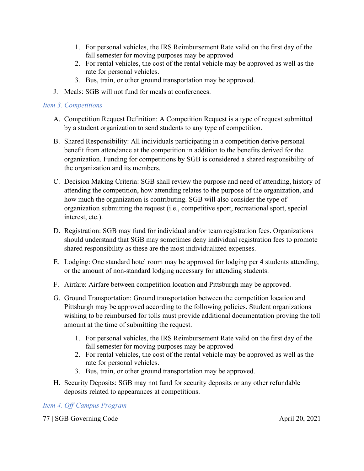- 1. For personal vehicles, the IRS Reimbursement Rate valid on the first day of the fall semester for moving purposes may be approved
- 2. For rental vehicles, the cost of the rental vehicle may be approved as well as the rate for personal vehicles.
- 3. Bus, train, or other ground transportation may be approved.
- J. Meals: SGB will not fund for meals at conferences.

## *Item 3. Competitions*

- A. Competition Request Definition: A Competition Request is a type of request submitted by a student organization to send students to any type of competition.
- B. Shared Responsibility: All individuals participating in a competition derive personal benefit from attendance at the competition in addition to the benefits derived for the organization. Funding for competitions by SGB is considered a shared responsibility of the organization and its members.
- C. Decision Making Criteria: SGB shall review the purpose and need of attending, history of attending the competition, how attending relates to the purpose of the organization, and how much the organization is contributing. SGB will also consider the type of organization submitting the request (i.e., competitive sport, recreational sport, special interest, etc.).
- D. Registration: SGB may fund for individual and/or team registration fees. Organizations should understand that SGB may sometimes deny individual registration fees to promote shared responsibility as these are the most individualized expenses.
- E. Lodging: One standard hotel room may be approved for lodging per 4 students attending, or the amount of non-standard lodging necessary for attending students.
- F. Airfare: Airfare between competition location and Pittsburgh may be approved.
- G. Ground Transportation: Ground transportation between the competition location and Pittsburgh may be approved according to the following policies. Student organizations wishing to be reimbursed for tolls must provide additional documentation proving the toll amount at the time of submitting the request.
	- 1. For personal vehicles, the IRS Reimbursement Rate valid on the first day of the fall semester for moving purposes may be approved
	- 2. For rental vehicles, the cost of the rental vehicle may be approved as well as the rate for personal vehicles.
	- 3. Bus, train, or other ground transportation may be approved.
- H. Security Deposits: SGB may not fund for security deposits or any other refundable deposits related to appearances at competitions.

## *Item 4. Off-Campus Program*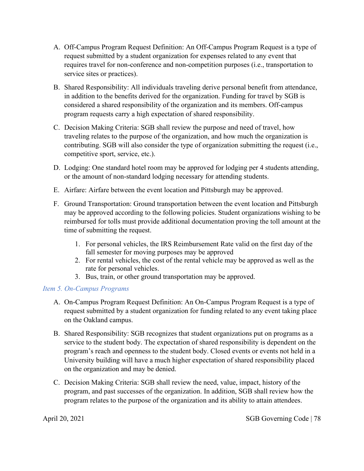- A. Off-Campus Program Request Definition: An Off-Campus Program Request is a type of request submitted by a student organization for expenses related to any event that requires travel for non-conference and non-competition purposes (i.e., transportation to service sites or practices).
- B. Shared Responsibility: All individuals traveling derive personal benefit from attendance, in addition to the benefits derived for the organization. Funding for travel by SGB is considered a shared responsibility of the organization and its members. Off-campus program requests carry a high expectation of shared responsibility.
- C. Decision Making Criteria: SGB shall review the purpose and need of travel, how traveling relates to the purpose of the organization, and how much the organization is contributing. SGB will also consider the type of organization submitting the request (i.e., competitive sport, service, etc.).
- D. Lodging: One standard hotel room may be approved for lodging per 4 students attending, or the amount of non-standard lodging necessary for attending students.
- E. Airfare: Airfare between the event location and Pittsburgh may be approved.
- F. Ground Transportation: Ground transportation between the event location and Pittsburgh may be approved according to the following policies. Student organizations wishing to be reimbursed for tolls must provide additional documentation proving the toll amount at the time of submitting the request.
	- 1. For personal vehicles, the IRS Reimbursement Rate valid on the first day of the fall semester for moving purposes may be approved
	- 2. For rental vehicles, the cost of the rental vehicle may be approved as well as the rate for personal vehicles.
	- 3. Bus, train, or other ground transportation may be approved.

## *Item 5. On-Campus Programs*

- A. On-Campus Program Request Definition: An On-Campus Program Request is a type of request submitted by a student organization for funding related to any event taking place on the Oakland campus.
- B. Shared Responsibility: SGB recognizes that student organizations put on programs as a service to the student body. The expectation of shared responsibility is dependent on the program's reach and openness to the student body. Closed events or events not held in a University building will have a much higher expectation of shared responsibility placed on the organization and may be denied.
- C. Decision Making Criteria: SGB shall review the need, value, impact, history of the program, and past successes of the organization. In addition, SGB shall review how the program relates to the purpose of the organization and its ability to attain attendees.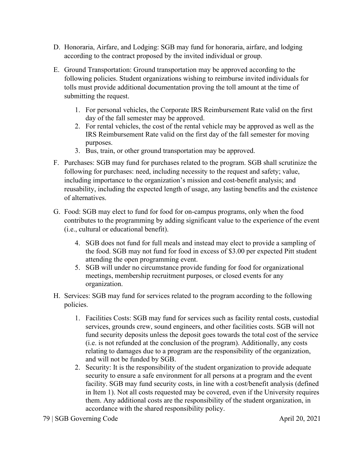- D. Honoraria, Airfare, and Lodging: SGB may fund for honoraria, airfare, and lodging according to the contract proposed by the invited individual or group.
- E. Ground Transportation: Ground transportation may be approved according to the following policies. Student organizations wishing to reimburse invited individuals for tolls must provide additional documentation proving the toll amount at the time of submitting the request.
	- 1. For personal vehicles, the Corporate IRS Reimbursement Rate valid on the first day of the fall semester may be approved.
	- 2. For rental vehicles, the cost of the rental vehicle may be approved as well as the IRS Reimbursement Rate valid on the first day of the fall semester for moving purposes.
	- 3. Bus, train, or other ground transportation may be approved.
- F. Purchases: SGB may fund for purchases related to the program. SGB shall scrutinize the following for purchases: need, including necessity to the request and safety; value, including importance to the organization's mission and cost-benefit analysis; and reusability, including the expected length of usage, any lasting benefits and the existence of alternatives.
- G. Food: SGB may elect to fund for food for on-campus programs, only when the food contributes to the programming by adding significant value to the experience of the event (i.e., cultural or educational benefit).
	- 4. SGB does not fund for full meals and instead may elect to provide a sampling of the food. SGB may not fund for food in excess of \$3.00 per expected Pitt student attending the open programming event.
	- 5. SGB will under no circumstance provide funding for food for organizational meetings, membership recruitment purposes, or closed events for any organization.
- H. Services: SGB may fund for services related to the program according to the following policies.
	- 1. Facilities Costs: SGB may fund for services such as facility rental costs, custodial services, grounds crew, sound engineers, and other facilities costs. SGB will not fund security deposits unless the deposit goes towards the total cost of the service (i.e. is not refunded at the conclusion of the program). Additionally, any costs relating to damages due to a program are the responsibility of the organization, and will not be funded by SGB.
	- 2. Security: It is the responsibility of the student organization to provide adequate security to ensure a safe environment for all persons at a program and the event facility. SGB may fund security costs, in line with a cost/benefit analysis (defined in Item 1). Not all costs requested may be covered, even if the University requires them. Any additional costs are the responsibility of the student organization, in accordance with the shared responsibility policy.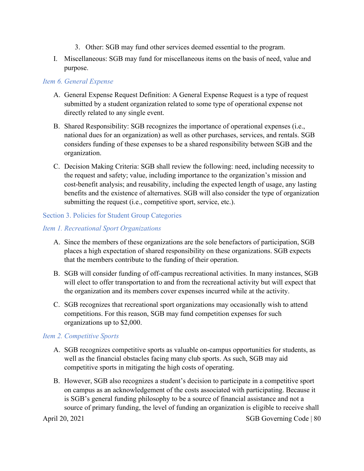- 3. Other: SGB may fund other services deemed essential to the program.
- I. Miscellaneous: SGB may fund for miscellaneous items on the basis of need, value and purpose.

## *Item 6. General Expense*

- A. General Expense Request Definition: A General Expense Request is a type of request submitted by a student organization related to some type of operational expense not directly related to any single event.
- B. Shared Responsibility: SGB recognizes the importance of operational expenses (i.e., national dues for an organization) as well as other purchases, services, and rentals. SGB considers funding of these expenses to be a shared responsibility between SGB and the organization.
- C. Decision Making Criteria: SGB shall review the following: need, including necessity to the request and safety; value, including importance to the organization's mission and cost-benefit analysis; and reusability, including the expected length of usage, any lasting benefits and the existence of alternatives. SGB will also consider the type of organization submitting the request (i.e., competitive sport, service, etc.).

## Section 3. Policies for Student Group Categories

## *Item 1. Recreational Sport Organizations*

- A. Since the members of these organizations are the sole benefactors of participation, SGB places a high expectation of shared responsibility on these organizations. SGB expects that the members contribute to the funding of their operation.
- B. SGB will consider funding of off-campus recreational activities. In many instances, SGB will elect to offer transportation to and from the recreational activity but will expect that the organization and its members cover expenses incurred while at the activity.
- C. SGB recognizes that recreational sport organizations may occasionally wish to attend competitions. For this reason, SGB may fund competition expenses for such organizations up to \$2,000.

## *Item 2. Competitive Sports*

- A. SGB recognizes competitive sports as valuable on-campus opportunities for students, as well as the financial obstacles facing many club sports. As such, SGB may aid competitive sports in mitigating the high costs of operating.
- B. However, SGB also recognizes a student's decision to participate in a competitive sport on campus as an acknowledgement of the costs associated with participating. Because it is SGB's general funding philosophy to be a source of financial assistance and not a source of primary funding, the level of funding an organization is eligible to receive shall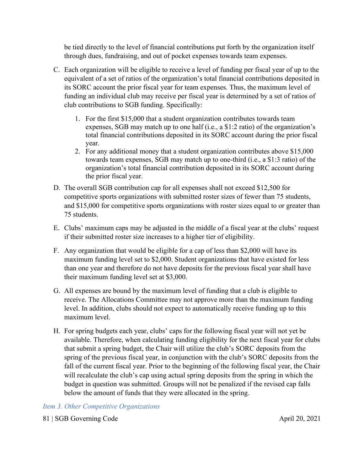be tied directly to the level of financial contributions put forth by the organization itself through dues, fundraising, and out of pocket expenses towards team expenses.

- C. Each organization will be eligible to receive a level of funding per fiscal year of up to the equivalent of a set of ratios of the organization's total financial contributions deposited in its SORC account the prior fiscal year for team expenses. Thus, the maximum level of funding an individual club may receive per fiscal year is determined by a set of ratios of club contributions to SGB funding. Specifically:
	- 1. For the first \$15,000 that a student organization contributes towards team expenses, SGB may match up to one half (i.e., a \$1:2 ratio) of the organization's total financial contributions deposited in its SORC account during the prior fiscal year.
	- 2. For any additional money that a student organization contributes above \$15,000 towards team expenses, SGB may match up to one-third (i.e., a \$1:3 ratio) of the organization's total financial contribution deposited in its SORC account during the prior fiscal year.
- D. The overall SGB contribution cap for all expenses shall not exceed \$12,500 for competitive sports organizations with submitted roster sizes of fewer than 75 students, and \$15,000 for competitive sports organizations with roster sizes equal to or greater than 75 students.
- E. Clubs' maximum caps may be adjusted in the middle of a fiscal year at the clubs' request if their submitted roster size increases to a higher tier of eligibility.
- F. Any organization that would be eligible for a cap of less than \$2,000 will have its maximum funding level set to \$2,000. Student organizations that have existed for less than one year and therefore do not have deposits for the previous fiscal year shall have their maximum funding level set at \$3,000.
- G. All expenses are bound by the maximum level of funding that a club is eligible to receive. The Allocations Committee may not approve more than the maximum funding level. In addition, clubs should not expect to automatically receive funding up to this maximum level.
- H. For spring budgets each year, clubs' caps for the following fiscal year will not yet be available. Therefore, when calculating funding eligibility for the next fiscal year for clubs that submit a spring budget, the Chair will utilize the club's SORC deposits from the spring of the previous fiscal year, in conjunction with the club's SORC deposits from the fall of the current fiscal year. Prior to the beginning of the following fiscal year, the Chair will recalculate the club's cap using actual spring deposits from the spring in which the budget in question was submitted. Groups will not be penalized if the revised cap falls below the amount of funds that they were allocated in the spring.

## *Item 3. Other Competitive Organizations*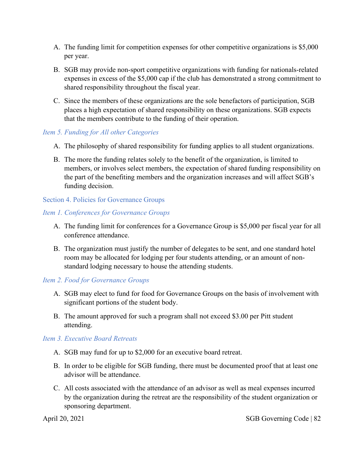- A. The funding limit for competition expenses for other competitive organizations is \$5,000 per year.
- B. SGB may provide non-sport competitive organizations with funding for nationals-related expenses in excess of the \$5,000 cap if the club has demonstrated a strong commitment to shared responsibility throughout the fiscal year.
- C. Since the members of these organizations are the sole benefactors of participation, SGB places a high expectation of shared responsibility on these organizations. SGB expects that the members contribute to the funding of their operation.

## *Item 5. Funding for All other Categories*

- A. The philosophy of shared responsibility for funding applies to all student organizations.
- B. The more the funding relates solely to the benefit of the organization, is limited to members, or involves select members, the expectation of shared funding responsibility on the part of the benefiting members and the organization increases and will affect SGB's funding decision.

## Section 4. Policies for Governance Groups

## *Item 1. Conferences for Governance Groups*

- A. The funding limit for conferences for a Governance Group is \$5,000 per fiscal year for all conference attendance.
- B. The organization must justify the number of delegates to be sent, and one standard hotel room may be allocated for lodging per four students attending, or an amount of nonstandard lodging necessary to house the attending students.

## *Item 2. Food for Governance Groups*

- A. SGB may elect to fund for food for Governance Groups on the basis of involvement with significant portions of the student body.
- B. The amount approved for such a program shall not exceed \$3.00 per Pitt student attending.

## *Item 3. Executive Board Retreats*

- A. SGB may fund for up to \$2,000 for an executive board retreat.
- B. In order to be eligible for SGB funding, there must be documented proof that at least one advisor will be attendance.
- C. All costs associated with the attendance of an advisor as well as meal expenses incurred by the organization during the retreat are the responsibility of the student organization or sponsoring department.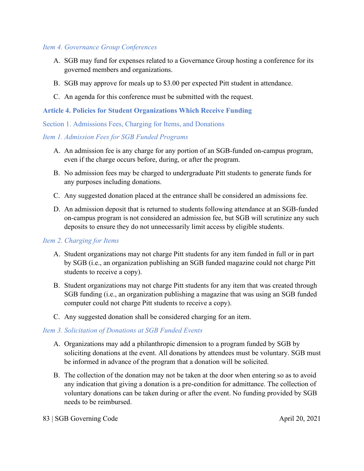## *Item 4. Governance Group Conferences*

- A. SGB may fund for expenses related to a Governance Group hosting a conference for its governed members and organizations.
- B. SGB may approve for meals up to \$3.00 per expected Pitt student in attendance.
- C. An agenda for this conference must be submitted with the request.

## **Article 4. Policies for Student Organizations Which Receive Funding**

## Section 1. Admissions Fees, Charging for Items, and Donations

## *Item 1. Admission Fees for SGB Funded Programs*

- A. An admission fee is any charge for any portion of an SGB-funded on-campus program, even if the charge occurs before, during, or after the program.
- B. No admission fees may be charged to undergraduate Pitt students to generate funds for any purposes including donations.
- C. Any suggested donation placed at the entrance shall be considered an admissions fee.
- D. An admission deposit that is returned to students following attendance at an SGB-funded on-campus program is not considered an admission fee, but SGB will scrutinize any such deposits to ensure they do not unnecessarily limit access by eligible students.

## *Item 2. Charging for Items*

- A. Student organizations may not charge Pitt students for any item funded in full or in part by SGB (i.e., an organization publishing an SGB funded magazine could not charge Pitt students to receive a copy).
- B. Student organizations may not charge Pitt students for any item that was created through SGB funding (i.e., an organization publishing a magazine that was using an SGB funded computer could not charge Pitt students to receive a copy).
- C. Any suggested donation shall be considered charging for an item.

## *Item 3. Solicitation of Donations at SGB Funded Events*

- A. Organizations may add a philanthropic dimension to a program funded by SGB by soliciting donations at the event. All donations by attendees must be voluntary. SGB must be informed in advance of the program that a donation will be solicited.
- B. The collection of the donation may not be taken at the door when entering so as to avoid any indication that giving a donation is a pre-condition for admittance. The collection of voluntary donations can be taken during or after the event. No funding provided by SGB needs to be reimbursed.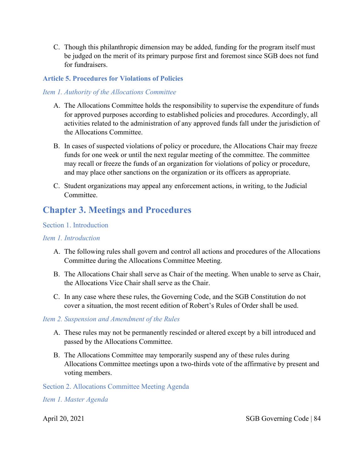C. Though this philanthropic dimension may be added, funding for the program itself must be judged on the merit of its primary purpose first and foremost since SGB does not fund for fundraisers.

## **Article 5. Procedures for Violations of Policies**

## *Item 1. Authority of the Allocations Committee*

- A. The Allocations Committee holds the responsibility to supervise the expenditure of funds for approved purposes according to established policies and procedures. Accordingly, all activities related to the administration of any approved funds fall under the jurisdiction of the Allocations Committee.
- B. In cases of suspected violations of policy or procedure, the Allocations Chair may freeze funds for one week or until the next regular meeting of the committee. The committee may recall or freeze the funds of an organization for violations of policy or procedure, and may place other sanctions on the organization or its officers as appropriate.
- C. Student organizations may appeal any enforcement actions, in writing, to the Judicial Committee.

## **Chapter 3. Meetings and Procedures**

## Section 1. Introduction

### *Item 1. Introduction*

- A. The following rules shall govern and control all actions and procedures of the Allocations Committee during the Allocations Committee Meeting.
- B. The Allocations Chair shall serve as Chair of the meeting. When unable to serve as Chair, the Allocations Vice Chair shall serve as the Chair.
- C. In any case where these rules, the Governing Code, and the SGB Constitution do not cover a situation, the most recent edition of Robert's Rules of Order shall be used.

## *Item 2. Suspension and Amendment of the Rules*

- A. These rules may not be permanently rescinded or altered except by a bill introduced and passed by the Allocations Committee.
- B. The Allocations Committee may temporarily suspend any of these rules during Allocations Committee meetings upon a two-thirds vote of the affirmative by present and voting members.

Section 2. Allocations Committee Meeting Agenda

*Item 1. Master Agenda*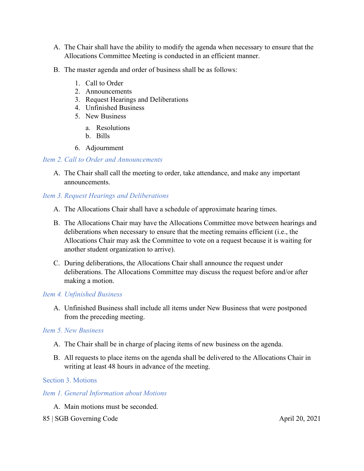- A. The Chair shall have the ability to modify the agenda when necessary to ensure that the Allocations Committee Meeting is conducted in an efficient manner.
- B. The master agenda and order of business shall be as follows:
	- 1. Call to Order
	- 2. Announcements
	- 3. Request Hearings and Deliberations
	- 4. Unfinished Business
	- 5. New Business
		- a. Resolutions
		- b. Bills
	- 6. Adjournment

## *Item 2. Call to Order and Announcements*

A. The Chair shall call the meeting to order, take attendance, and make any important announcements.

## *Item 3. Request Hearings and Deliberations*

- A. The Allocations Chair shall have a schedule of approximate hearing times.
- B. The Allocations Chair may have the Allocations Committee move between hearings and deliberations when necessary to ensure that the meeting remains efficient (i.e., the Allocations Chair may ask the Committee to vote on a request because it is waiting for another student organization to arrive).
- C. During deliberations, the Allocations Chair shall announce the request under deliberations. The Allocations Committee may discuss the request before and/or after making a motion.

## *Item 4. Unfinished Business*

A. Unfinished Business shall include all items under New Business that were postponed from the preceding meeting.

#### *Item 5. New Business*

- A. The Chair shall be in charge of placing items of new business on the agenda.
- B. All requests to place items on the agenda shall be delivered to the Allocations Chair in writing at least 48 hours in advance of the meeting.

#### Section 3. Motions

## *Item 1. General Information about Motions*

- A. Main motions must be seconded.
- 85 | SGB Governing Code April 20, 2021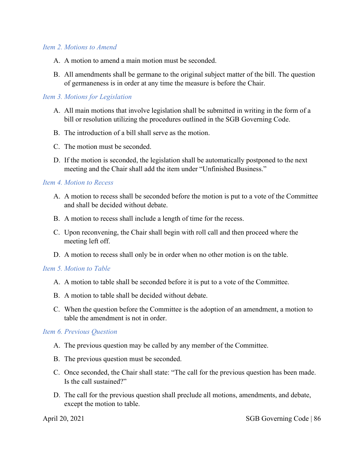#### *Item 2. Motions to Amend*

- A. A motion to amend a main motion must be seconded.
- B. All amendments shall be germane to the original subject matter of the bill. The question of germaneness is in order at any time the measure is before the Chair.

## *Item 3. Motions for Legislation*

- A. All main motions that involve legislation shall be submitted in writing in the form of a bill or resolution utilizing the procedures outlined in the SGB Governing Code.
- B. The introduction of a bill shall serve as the motion.
- C. The motion must be seconded.
- D. If the motion is seconded, the legislation shall be automatically postponed to the next meeting and the Chair shall add the item under "Unfinished Business."

#### *Item 4. Motion to Recess*

- A. A motion to recess shall be seconded before the motion is put to a vote of the Committee and shall be decided without debate.
- B. A motion to recess shall include a length of time for the recess.
- C. Upon reconvening, the Chair shall begin with roll call and then proceed where the meeting left off.
- D. A motion to recess shall only be in order when no other motion is on the table.

#### *Item 5. Motion to Table*

- A. A motion to table shall be seconded before it is put to a vote of the Committee.
- B. A motion to table shall be decided without debate.
- C. When the question before the Committee is the adoption of an amendment, a motion to table the amendment is not in order.

#### *Item 6. Previous Question*

- A. The previous question may be called by any member of the Committee.
- B. The previous question must be seconded.
- C. Once seconded, the Chair shall state: "The call for the previous question has been made. Is the call sustained?"
- D. The call for the previous question shall preclude all motions, amendments, and debate, except the motion to table.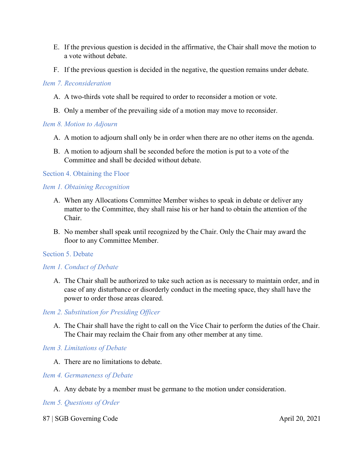- E. If the previous question is decided in the affirmative, the Chair shall move the motion to a vote without debate.
- F. If the previous question is decided in the negative, the question remains under debate.

## *Item 7. Reconsideration*

- A. A two-thirds vote shall be required to order to reconsider a motion or vote.
- B. Only a member of the prevailing side of a motion may move to reconsider.

## *Item 8. Motion to Adjourn*

- A. A motion to adjourn shall only be in order when there are no other items on the agenda.
- B. A motion to adjourn shall be seconded before the motion is put to a vote of the Committee and shall be decided without debate.

## Section 4. Obtaining the Floor

## *Item 1. Obtaining Recognition*

- A. When any Allocations Committee Member wishes to speak in debate or deliver any matter to the Committee, they shall raise his or her hand to obtain the attention of the Chair.
- B. No member shall speak until recognized by the Chair. Only the Chair may award the floor to any Committee Member.

## Section 5. Debate

## *Item 1. Conduct of Debate*

A. The Chair shall be authorized to take such action as is necessary to maintain order, and in case of any disturbance or disorderly conduct in the meeting space, they shall have the power to order those areas cleared.

## *Item 2. Substitution for Presiding Officer*

A. The Chair shall have the right to call on the Vice Chair to perform the duties of the Chair. The Chair may reclaim the Chair from any other member at any time.

## *Item 3. Limitations of Debate*

A. There are no limitations to debate.

## *Item 4. Germaneness of Debate*

A. Any debate by a member must be germane to the motion under consideration.

## *Item 5. Questions of Order*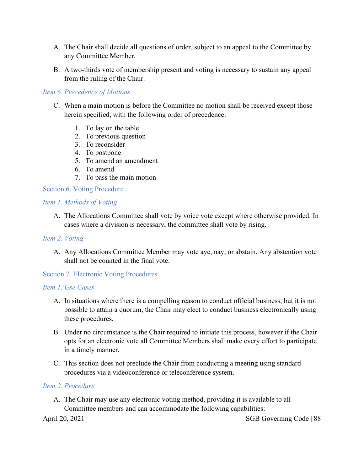- A. The Chair shall decide all questions of order, subject to an appeal to the Committee by any Committee Member.
- B. A two-thirds vote of membership present and voting is necessary to sustain any appeal from the ruling of the Chair.

#### *Item 6. Precedence of Motions*

- C. When a main motion is before the Committee no motion shall be received except those herein specified, with the following order of precedence:
	- 1. To lay on the table
	- 2. To previous question
	- 3. To reconsider
	- 4. To postpone
	- 5. To amend an amendment
	- 6. To amend
	- 7. To pass the main motion

Section 6. Voting Procedure

#### *Item 1. Methods of Voting*

A. The Allocations Committee shall vote by voice vote except where otherwise provided. In cases where a division is necessary, the committee shall vote by rising.

### *Item 2. Voting*

A. Any Allocations Committee Member may vote aye, nay, or abstain. Any abstention vote shall not be counted in the final vote.

#### Section 7. Electronic Voting Procedures

#### *Item 1. Use Cases*

- A. In situations where there is a compelling reason to conduct official business, but it is not possible to attain a quorum, the Chair may elect to conduct business electronically using these procedures.
- B. Under no circumstance is the Chair required to initiate this process, however if the Chair opts for an electronic vote all Committee Members shall make every effort to participate in a timely manner.
- C. This section does not preclude the Chair from conducting a meeting using standard procedures via a videoconference or teleconference system.

#### *Item 2. Procedure*

A. The Chair may use any electronic voting method, providing it is available to all Committee members and can accommodate the following capabilities: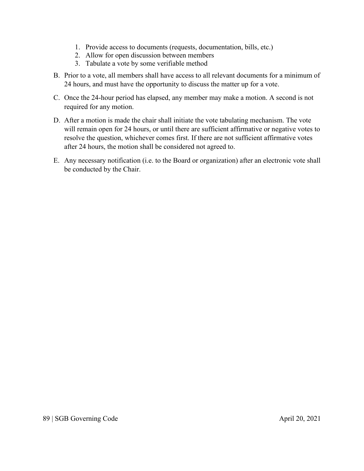- 1. Provide access to documents (requests, documentation, bills, etc.)
- 2. Allow for open discussion between members
- 3. Tabulate a vote by some verifiable method
- B. Prior to a vote, all members shall have access to all relevant documents for a minimum of 24 hours, and must have the opportunity to discuss the matter up for a vote.
- C. Once the 24-hour period has elapsed, any member may make a motion. A second is not required for any motion.
- D. After a motion is made the chair shall initiate the vote tabulating mechanism. The vote will remain open for 24 hours, or until there are sufficient affirmative or negative votes to resolve the question, whichever comes first. If there are not sufficient affirmative votes after 24 hours, the motion shall be considered not agreed to.
- E. Any necessary notification (i.e. to the Board or organization) after an electronic vote shall be conducted by the Chair.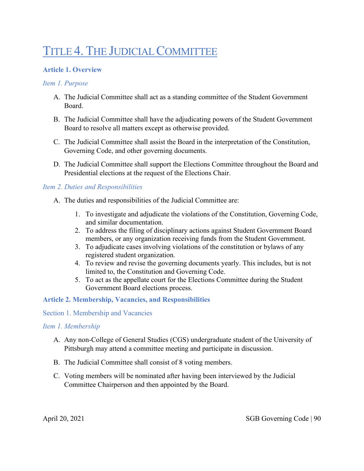# TITLE 4. THE JUDICIAL COMMITTEE

## **Article 1. Overview**

## *Item 1. Purpose*

- A. The Judicial Committee shall act as a standing committee of the Student Government Board.
- B. The Judicial Committee shall have the adjudicating powers of the Student Government Board to resolve all matters except as otherwise provided.
- C. The Judicial Committee shall assist the Board in the interpretation of the Constitution, Governing Code, and other governing documents.
- D. The Judicial Committee shall support the Elections Committee throughout the Board and Presidential elections at the request of the Elections Chair.

## *Item 2. Duties and Responsibilities*

- A. The duties and responsibilities of the Judicial Committee are:
	- 1. To investigate and adjudicate the violations of the Constitution, Governing Code, and similar documentation.
	- 2. To address the filing of disciplinary actions against Student Government Board members, or any organization receiving funds from the Student Government.
	- 3. To adjudicate cases involving violations of the constitution or bylaws of any registered student organization.
	- 4. To review and revise the governing documents yearly. This includes, but is not limited to, the Constitution and Governing Code.
	- 5. To act as the appellate court for the Elections Committee during the Student Government Board elections process.

## **Article 2. Membership, Vacancies, and Responsibilities**

#### Section 1. Membership and Vacancies

#### *Item 1. Membership*

- A. Any non-College of General Studies (CGS) undergraduate student of the University of Pittsburgh may attend a committee meeting and participate in discussion.
- B. The Judicial Committee shall consist of 8 voting members.
- C. Voting members will be nominated after having been interviewed by the Judicial Committee Chairperson and then appointed by the Board.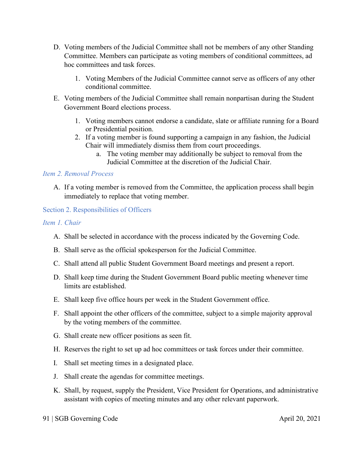- D. Voting members of the Judicial Committee shall not be members of any other Standing Committee. Members can participate as voting members of conditional committees, ad hoc committees and task forces.
	- 1. Voting Members of the Judicial Committee cannot serve as officers of any other conditional committee.
- E. Voting members of the Judicial Committee shall remain nonpartisan during the Student Government Board elections process.
	- 1. Voting members cannot endorse a candidate, slate or affiliate running for a Board or Presidential position.
	- 2. If a voting member is found supporting a campaign in any fashion, the Judicial Chair will immediately dismiss them from court proceedings.
		- a. The voting member may additionally be subject to removal from the Judicial Committee at the discretion of the Judicial Chair.

## *Item 2. Removal Process*

A. If a voting member is removed from the Committee, the application process shall begin immediately to replace that voting member.

## Section 2. Responsibilities of Officers

## *Item 1. Chair*

- A. Shall be selected in accordance with the process indicated by the Governing Code.
- B. Shall serve as the official spokesperson for the Judicial Committee.
- C. Shall attend all public Student Government Board meetings and present a report.
- D. Shall keep time during the Student Government Board public meeting whenever time limits are established.
- E. Shall keep five office hours per week in the Student Government office.
- F. Shall appoint the other officers of the committee, subject to a simple majority approval by the voting members of the committee.
- G. Shall create new officer positions as seen fit.
- H. Reserves the right to set up ad hoc committees or task forces under their committee.
- I. Shall set meeting times in a designated place.
- J. Shall create the agendas for committee meetings.
- K. Shall, by request, supply the President, Vice President for Operations, and administrative assistant with copies of meeting minutes and any other relevant paperwork.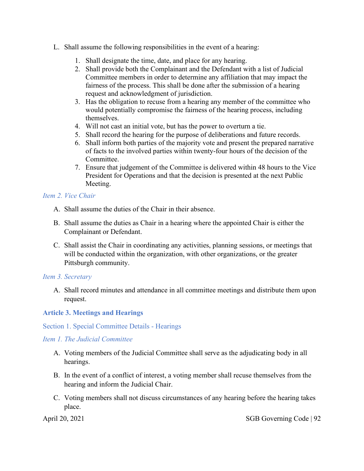- L. Shall assume the following responsibilities in the event of a hearing:
	- 1. Shall designate the time, date, and place for any hearing.
	- 2. Shall provide both the Complainant and the Defendant with a list of Judicial Committee members in order to determine any affiliation that may impact the fairness of the process. This shall be done after the submission of a hearing request and acknowledgment of jurisdiction.
	- 3. Has the obligation to recuse from a hearing any member of the committee who would potentially compromise the fairness of the hearing process, including themselves.
	- 4. Will not cast an initial vote, but has the power to overturn a tie.
	- 5. Shall record the hearing for the purpose of deliberations and future records.
	- 6. Shall inform both parties of the majority vote and present the prepared narrative of facts to the involved parties within twenty-four hours of the decision of the Committee.
	- 7. Ensure that judgement of the Committee is delivered within 48 hours to the Vice President for Operations and that the decision is presented at the next Public Meeting.

## *Item 2. Vice Chair*

- A. Shall assume the duties of the Chair in their absence.
- B. Shall assume the duties as Chair in a hearing where the appointed Chair is either the Complainant or Defendant.
- C. Shall assist the Chair in coordinating any activities, planning sessions, or meetings that will be conducted within the organization, with other organizations, or the greater Pittsburgh community.

## *Item 3. Secretary*

A. Shall record minutes and attendance in all committee meetings and distribute them upon request.

## **Article 3. Meetings and Hearings**

## Section 1. Special Committee Details - Hearings

## *Item 1. The Judicial Committee*

- A. Voting members of the Judicial Committee shall serve as the adjudicating body in all hearings.
- B. In the event of a conflict of interest, a voting member shall recuse themselves from the hearing and inform the Judicial Chair.
- C. Voting members shall not discuss circumstances of any hearing before the hearing takes place.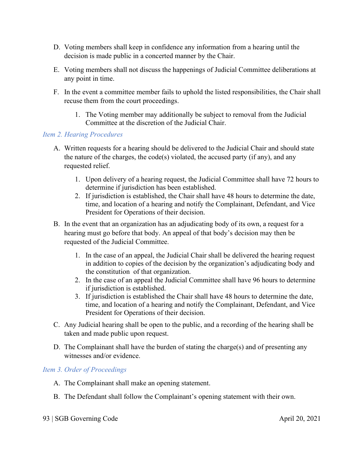- D. Voting members shall keep in confidence any information from a hearing until the decision is made public in a concerted manner by the Chair.
- E. Voting members shall not discuss the happenings of Judicial Committee deliberations at any point in time.
- F. In the event a committee member fails to uphold the listed responsibilities, the Chair shall recuse them from the court proceedings.
	- 1. The Voting member may additionally be subject to removal from the Judicial Committee at the discretion of the Judicial Chair.

## *Item 2. Hearing Procedures*

- A. Written requests for a hearing should be delivered to the Judicial Chair and should state the nature of the charges, the code(s) violated, the accused party (if any), and any requested relief.
	- 1. Upon delivery of a hearing request, the Judicial Committee shall have 72 hours to determine if jurisdiction has been established.
	- 2. If jurisdiction is established, the Chair shall have 48 hours to determine the date, time, and location of a hearing and notify the Complainant, Defendant, and Vice President for Operations of their decision.
- B. In the event that an organization has an adjudicating body of its own, a request for a hearing must go before that body. An appeal of that body's decision may then be requested of the Judicial Committee.
	- 1. In the case of an appeal, the Judicial Chair shall be delivered the hearing request in addition to copies of the decision by the organization's adjudicating body and the constitution of that organization.
	- 2. In the case of an appeal the Judicial Committee shall have 96 hours to determine if jurisdiction is established.
	- 3. If jurisdiction is established the Chair shall have 48 hours to determine the date, time, and location of a hearing and notify the Complainant, Defendant, and Vice President for Operations of their decision.
- C. Any Judicial hearing shall be open to the public, and a recording of the hearing shall be taken and made public upon request.
- D. The Complainant shall have the burden of stating the charge(s) and of presenting any witnesses and/or evidence.

## *Item 3. Order of Proceedings*

- A. The Complainant shall make an opening statement.
- B. The Defendant shall follow the Complainant's opening statement with their own.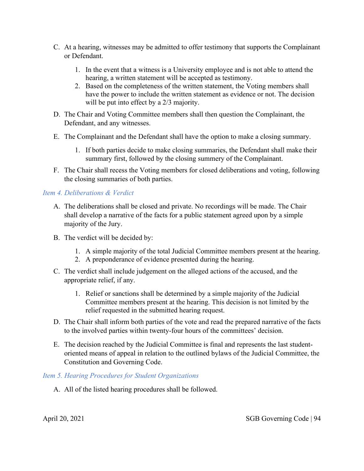- C. At a hearing, witnesses may be admitted to offer testimony that supports the Complainant or Defendant.
	- 1. In the event that a witness is a University employee and is not able to attend the hearing, a written statement will be accepted as testimony.
	- 2. Based on the completeness of the written statement, the Voting members shall have the power to include the written statement as evidence or not. The decision will be put into effect by a 2/3 majority.
- D. The Chair and Voting Committee members shall then question the Complainant, the Defendant, and any witnesses.
- E. The Complainant and the Defendant shall have the option to make a closing summary.
	- 1. If both parties decide to make closing summaries, the Defendant shall make their summary first, followed by the closing summery of the Complainant.
- F. The Chair shall recess the Voting members for closed deliberations and voting, following the closing summaries of both parties.

## *Item 4. Deliberations & Verdict*

- A. The deliberations shall be closed and private. No recordings will be made. The Chair shall develop a narrative of the facts for a public statement agreed upon by a simple majority of the Jury.
- B. The verdict will be decided by:
	- 1. A simple majority of the total Judicial Committee members present at the hearing.
	- 2. A preponderance of evidence presented during the hearing.
- C. The verdict shall include judgement on the alleged actions of the accused, and the appropriate relief, if any.
	- 1. Relief or sanctions shall be determined by a simple majority of the Judicial Committee members present at the hearing. This decision is not limited by the relief requested in the submitted hearing request.
- D. The Chair shall inform both parties of the vote and read the prepared narrative of the facts to the involved parties within twenty-four hours of the committees' decision.
- E. The decision reached by the Judicial Committee is final and represents the last studentoriented means of appeal in relation to the outlined bylaws of the Judicial Committee, the Constitution and Governing Code.

## *Item 5. Hearing Procedures for Student Organizations*

A. All of the listed hearing procedures shall be followed.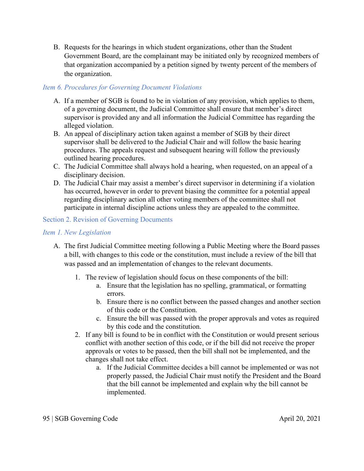B. Requests for the hearings in which student organizations, other than the Student Government Board, are the complainant may be initiated only by recognized members of that organization accompanied by a petition signed by twenty percent of the members of the organization.

## *Item 6. Procedures for Governing Document Violations*

- A. If a member of SGB is found to be in violation of any provision, which applies to them, of a governing document, the Judicial Committee shall ensure that member's direct supervisor is provided any and all information the Judicial Committee has regarding the alleged violation.
- B. An appeal of disciplinary action taken against a member of SGB by their direct supervisor shall be delivered to the Judicial Chair and will follow the basic hearing procedures. The appeals request and subsequent hearing will follow the previously outlined hearing procedures.
- C. The Judicial Committee shall always hold a hearing, when requested, on an appeal of a disciplinary decision.
- D. The Judicial Chair may assist a member's direct supervisor in determining if a violation has occurred, however in order to prevent biasing the committee for a potential appeal regarding disciplinary action all other voting members of the committee shall not participate in internal discipline actions unless they are appealed to the committee.

## Section 2. Revision of Governing Documents

## *Item 1. New Legislation*

- A. The first Judicial Committee meeting following a Public Meeting where the Board passes a bill, with changes to this code or the constitution, must include a review of the bill that was passed and an implementation of changes to the relevant documents.
	- 1. The review of legislation should focus on these components of the bill:
		- a. Ensure that the legislation has no spelling, grammatical, or formatting errors.
		- b. Ensure there is no conflict between the passed changes and another section of this code or the Constitution.
		- c. Ensure the bill was passed with the proper approvals and votes as required by this code and the constitution.
	- 2. If any bill is found to be in conflict with the Constitution or would present serious conflict with another section of this code, or if the bill did not receive the proper approvals or votes to be passed, then the bill shall not be implemented, and the changes shall not take effect.
		- a. If the Judicial Committee decides a bill cannot be implemented or was not properly passed, the Judicial Chair must notify the President and the Board that the bill cannot be implemented and explain why the bill cannot be implemented.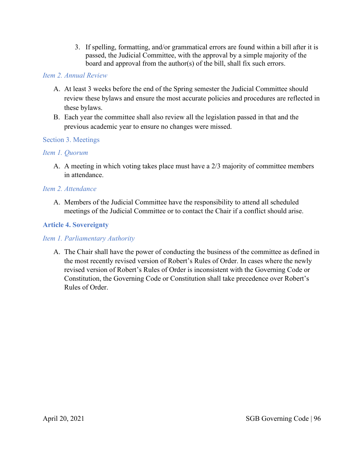3. If spelling, formatting, and/or grammatical errors are found within a bill after it is passed, the Judicial Committee, with the approval by a simple majority of the board and approval from the author(s) of the bill, shall fix such errors.

## *Item 2. Annual Review*

- A. At least 3 weeks before the end of the Spring semester the Judicial Committee should review these bylaws and ensure the most accurate policies and procedures are reflected in these bylaws.
- B. Each year the committee shall also review all the legislation passed in that and the previous academic year to ensure no changes were missed.

## Section 3. Meetings

## *Item 1. Quorum*

A. A meeting in which voting takes place must have a 2/3 majority of committee members in attendance.

## *Item 2. Attendance*

A. Members of the Judicial Committee have the responsibility to attend all scheduled meetings of the Judicial Committee or to contact the Chair if a conflict should arise.

## **Article 4. Sovereignty**

## *Item 1. Parliamentary Authority*

A. The Chair shall have the power of conducting the business of the committee as defined in the most recently revised version of Robert's Rules of Order. In cases where the newly revised version of Robert's Rules of Order is inconsistent with the Governing Code or Constitution, the Governing Code or Constitution shall take precedence over Robert's Rules of Order.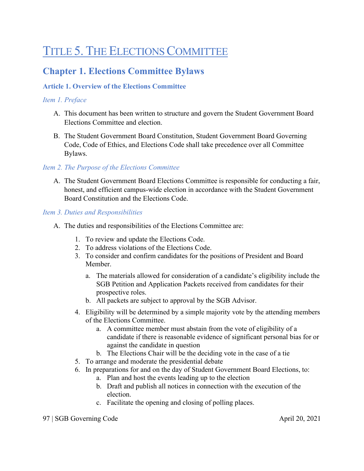# TITLE 5. THE ELECTIONS COMMITTEE

# **Chapter 1. Elections Committee Bylaws**

## **Article 1. Overview of the Elections Committee**

## *Item 1. Preface*

- A. This document has been written to structure and govern the Student Government Board Elections Committee and election.
- B. The Student Government Board Constitution, Student Government Board Governing Code, Code of Ethics, and Elections Code shall take precedence over all Committee Bylaws.

## *Item 2. The Purpose of the Elections Committee*

A. The Student Government Board Elections Committee is responsible for conducting a fair, honest, and efficient campus-wide election in accordance with the Student Government Board Constitution and the Elections Code.

## *Item 3. Duties and Responsibilities*

- A. The duties and responsibilities of the Elections Committee are:
	- 1. To review and update the Elections Code.
	- 2. To address violations of the Elections Code.
	- 3. To consider and confirm candidates for the positions of President and Board Member.
		- a. The materials allowed for consideration of a candidate's eligibility include the SGB Petition and Application Packets received from candidates for their prospective roles.
		- b. All packets are subject to approval by the SGB Advisor.
	- 4. Eligibility will be determined by a simple majority vote by the attending members of the Elections Committee.
		- a. A committee member must abstain from the vote of eligibility of a candidate if there is reasonable evidence of significant personal bias for or against the candidate in question
		- b. The Elections Chair will be the deciding vote in the case of a tie
	- 5. To arrange and moderate the presidential debate
	- 6. In preparations for and on the day of Student Government Board Elections, to:
		- a. Plan and host the events leading up to the election
		- b. Draft and publish all notices in connection with the execution of the election.
		- c. Facilitate the opening and closing of polling places.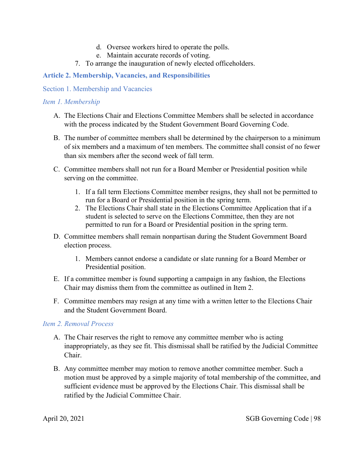- d. Oversee workers hired to operate the polls.
- e. Maintain accurate records of voting.
- 7. To arrange the inauguration of newly elected officeholders.

## **Article 2. Membership, Vacancies, and Responsibilities**

Section 1. Membership and Vacancies

## *Item 1. Membership*

- A. The Elections Chair and Elections Committee Members shall be selected in accordance with the process indicated by the Student Government Board Governing Code.
- B. The number of committee members shall be determined by the chairperson to a minimum of six members and a maximum of ten members. The committee shall consist of no fewer than six members after the second week of fall term.
- C. Committee members shall not run for a Board Member or Presidential position while serving on the committee.
	- 1. If a fall term Elections Committee member resigns, they shall not be permitted to run for a Board or Presidential position in the spring term.
	- 2. The Elections Chair shall state in the Elections Committee Application that if a student is selected to serve on the Elections Committee, then they are not permitted to run for a Board or Presidential position in the spring term.
- D. Committee members shall remain nonpartisan during the Student Government Board election process.
	- 1. Members cannot endorse a candidate or slate running for a Board Member or Presidential position.
- E. If a committee member is found supporting a campaign in any fashion, the Elections Chair may dismiss them from the committee as outlined in Item 2.
- F. Committee members may resign at any time with a written letter to the Elections Chair and the Student Government Board.

## *Item 2. Removal Process*

- A. The Chair reserves the right to remove any committee member who is acting inappropriately, as they see fit. This dismissal shall be ratified by the Judicial Committee Chair.
- B. Any committee member may motion to remove another committee member. Such a motion must be approved by a simple majority of total membership of the committee, and sufficient evidence must be approved by the Elections Chair. This dismissal shall be ratified by the Judicial Committee Chair.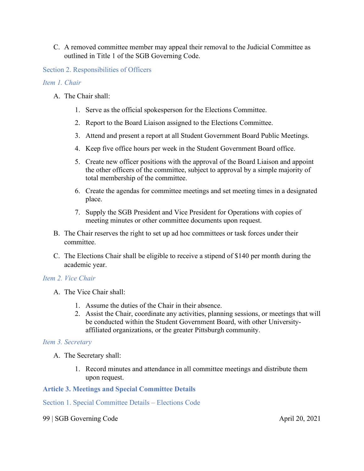C. A removed committee member may appeal their removal to the Judicial Committee as outlined in Title 1 of the SGB Governing Code.

Section 2. Responsibilities of Officers

## *Item 1. Chair*

- A. The Chair shall:
	- 1. Serve as the official spokesperson for the Elections Committee.
	- 2. Report to the Board Liaison assigned to the Elections Committee.
	- 3. Attend and present a report at all Student Government Board Public Meetings.
	- 4. Keep five office hours per week in the Student Government Board office.
	- 5. Create new officer positions with the approval of the Board Liaison and appoint the other officers of the committee, subject to approval by a simple majority of total membership of the committee.
	- 6. Create the agendas for committee meetings and set meeting times in a designated place.
	- 7. Supply the SGB President and Vice President for Operations with copies of meeting minutes or other committee documents upon request.
- B. The Chair reserves the right to set up ad hoc committees or task forces under their committee.
- C. The Elections Chair shall be eligible to receive a stipend of \$140 per month during the academic year.

## *Item 2. Vice Chair*

- A. The Vice Chair shall:
	- 1. Assume the duties of the Chair in their absence.
	- 2. Assist the Chair, coordinate any activities, planning sessions, or meetings that will be conducted within the Student Government Board, with other Universityaffiliated organizations, or the greater Pittsburgh community.

## *Item 3. Secretary*

- A. The Secretary shall:
	- 1. Record minutes and attendance in all committee meetings and distribute them upon request.

## **Article 3. Meetings and Special Committee Details**

Section 1. Special Committee Details – Elections Code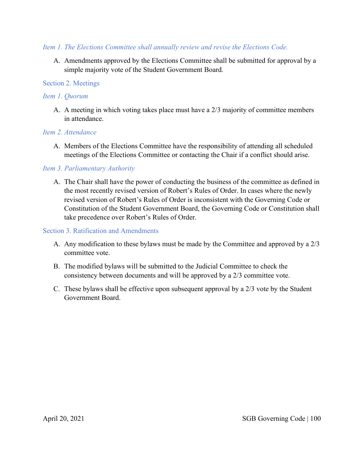## *Item 1. The Elections Committee shall annually review and revise the Elections Code.*

A. Amendments approved by the Elections Committee shall be submitted for approval by a simple majority vote of the Student Government Board.

### Section 2. Meetings

## *Item 1. Quorum*

A. A meeting in which voting takes place must have a 2/3 majority of committee members in attendance.

## *Item 2. Attendance*

A. Members of the Elections Committee have the responsibility of attending all scheduled meetings of the Elections Committee or contacting the Chair if a conflict should arise.

## *Item 3. Parliamentary Authority*

A. The Chair shall have the power of conducting the business of the committee as defined in the most recently revised version of Robert's Rules of Order. In cases where the newly revised version of Robert's Rules of Order is inconsistent with the Governing Code or Constitution of the Student Government Board, the Governing Code or Constitution shall take precedence over Robert's Rules of Order.

## Section 3. Ratification and Amendments

- A. Any modification to these bylaws must be made by the Committee and approved by a 2/3 committee vote.
- B. The modified bylaws will be submitted to the Judicial Committee to check the consistency between documents and will be approved by a 2/3 committee vote.
- C. These bylaws shall be effective upon subsequent approval by a 2/3 vote by the Student Government Board.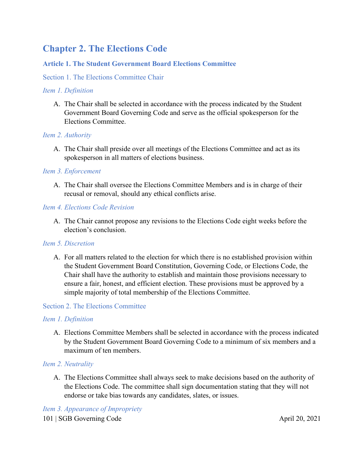# **Chapter 2. The Elections Code**

## **Article 1. The Student Government Board Elections Committee**

## Section 1. The Elections Committee Chair

### *Item 1. Definition*

A. The Chair shall be selected in accordance with the process indicated by the Student Government Board Governing Code and serve as the official spokesperson for the Elections Committee.

## *Item 2. Authority*

A. The Chair shall preside over all meetings of the Elections Committee and act as its spokesperson in all matters of elections business.

## *Item 3. Enforcement*

A. The Chair shall oversee the Elections Committee Members and is in charge of their recusal or removal, should any ethical conflicts arise.

## *Item 4. Elections Code Revision*

A. The Chair cannot propose any revisions to the Elections Code eight weeks before the election's conclusion.

#### *Item 5. Discretion*

A. For all matters related to the election for which there is no established provision within the Student Government Board Constitution, Governing Code, or Elections Code, the Chair shall have the authority to establish and maintain those provisions necessary to ensure a fair, honest, and efficient election. These provisions must be approved by a simple majority of total membership of the Elections Committee.

## Section 2. The Elections Committee

## *Item 1. Definition*

A. Elections Committee Members shall be selected in accordance with the process indicated by the Student Government Board Governing Code to a minimum of six members and a maximum of ten members.

## *Item 2. Neutrality*

A. The Elections Committee shall always seek to make decisions based on the authority of the Elections Code. The committee shall sign documentation stating that they will not endorse or take bias towards any candidates, slates, or issues.

101 | SGB Governing Code April 20, 2021 *Item 3. Appearance of Impropriety*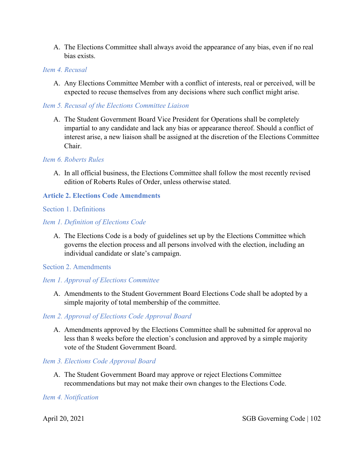A. The Elections Committee shall always avoid the appearance of any bias, even if no real bias exists.

## *Item 4. Recusal*

A. Any Elections Committee Member with a conflict of interests, real or perceived, will be expected to recuse themselves from any decisions where such conflict might arise.

## *Item 5. Recusal of the Elections Committee Liaison*

A. The Student Government Board Vice President for Operations shall be completely impartial to any candidate and lack any bias or appearance thereof. Should a conflict of interest arise, a new liaison shall be assigned at the discretion of the Elections Committee Chair.

#### *Item 6. Roberts Rules*

A. In all official business, the Elections Committee shall follow the most recently revised edition of Roberts Rules of Order, unless otherwise stated.

## **Article 2. Elections Code Amendments**

## Section 1. Definitions

## *Item 1. Definition of Elections Code*

A. The Elections Code is a body of guidelines set up by the Elections Committee which governs the election process and all persons involved with the election, including an individual candidate or slate's campaign.

#### Section 2. Amendments

#### *Item 1. Approval of Elections Committee*

A. Amendments to the Student Government Board Elections Code shall be adopted by a simple majority of total membership of the committee.

#### *Item 2. Approval of Elections Code Approval Board*

A. Amendments approved by the Elections Committee shall be submitted for approval no less than 8 weeks before the election's conclusion and approved by a simple majority vote of the Student Government Board.

#### *Item 3. Elections Code Approval Board*

A. The Student Government Board may approve or reject Elections Committee recommendations but may not make their own changes to the Elections Code.

#### *Item 4. Notification*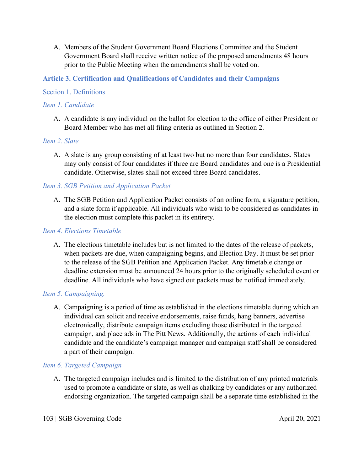A. Members of the Student Government Board Elections Committee and the Student Government Board shall receive written notice of the proposed amendments 48 hours prior to the Public Meeting when the amendments shall be voted on.

## **Article 3. Certification and Qualifications of Candidates and their Campaigns**

## Section 1. Definitions

## *Item 1. Candidate*

A. A candidate is any individual on the ballot for election to the office of either President or Board Member who has met all filing criteria as outlined in Section 2.

## *Item 2. Slate*

A. A slate is any group consisting of at least two but no more than four candidates. Slates may only consist of four candidates if three are Board candidates and one is a Presidential candidate. Otherwise, slates shall not exceed three Board candidates.

## *Item 3. SGB Petition and Application Packet*

A. The SGB Petition and Application Packet consists of an online form, a signature petition, and a slate form if applicable. All individuals who wish to be considered as candidates in the election must complete this packet in its entirety.

#### *Item 4. Elections Timetable*

A. The elections timetable includes but is not limited to the dates of the release of packets, when packets are due, when campaigning begins, and Election Day. It must be set prior to the release of the SGB Petition and Application Packet. Any timetable change or deadline extension must be announced 24 hours prior to the originally scheduled event or deadline. All individuals who have signed out packets must be notified immediately.

## *Item 5. Campaigning.*

A. Campaigning is a period of time as established in the elections timetable during which an individual can solicit and receive endorsements, raise funds, hang banners, advertise electronically, distribute campaign items excluding those distributed in the targeted campaign, and place ads in The Pitt News. Additionally, the actions of each individual candidate and the candidate's campaign manager and campaign staff shall be considered a part of their campaign.

#### *Item 6. Targeted Campaign*

A. The targeted campaign includes and is limited to the distribution of any printed materials used to promote a candidate or slate, as well as chalking by candidates or any authorized endorsing organization. The targeted campaign shall be a separate time established in the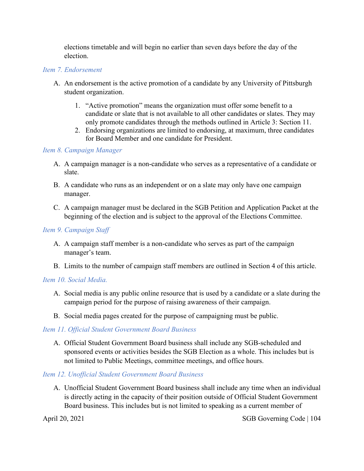elections timetable and will begin no earlier than seven days before the day of the election.

## *Item 7. Endorsement*

- A. An endorsement is the active promotion of a candidate by any University of Pittsburgh student organization.
	- 1. "Active promotion" means the organization must offer some benefit to a candidate or slate that is not available to all other candidates or slates. They may only promote candidates through the methods outlined in Article 3: Section 11.
	- 2. Endorsing organizations are limited to endorsing, at maximum, three candidates for Board Member and one candidate for President.

## *Item 8. Campaign Manager*

- A. A campaign manager is a non-candidate who serves as a representative of a candidate or slate.
- B. A candidate who runs as an independent or on a slate may only have one campaign manager.
- C. A campaign manager must be declared in the SGB Petition and Application Packet at the beginning of the election and is subject to the approval of the Elections Committee.

## *Item 9. Campaign Staff*

- A. A campaign staff member is a non-candidate who serves as part of the campaign manager's team.
- B. Limits to the number of campaign staff members are outlined in Section 4 of this article.

## *Item 10. Social Media.*

- A. Social media is any public online resource that is used by a candidate or a slate during the campaign period for the purpose of raising awareness of their campaign.
- B. Social media pages created for the purpose of campaigning must be public.

## *Item 11. Official Student Government Board Business*

A. Official Student Government Board business shall include any SGB-scheduled and sponsored events or activities besides the SGB Election as a whole. This includes but is not limited to Public Meetings, committee meetings, and office hours.

## *Item 12. Unofficial Student Government Board Business*

A. Unofficial Student Government Board business shall include any time when an individual is directly acting in the capacity of their position outside of Official Student Government Board business. This includes but is not limited to speaking as a current member of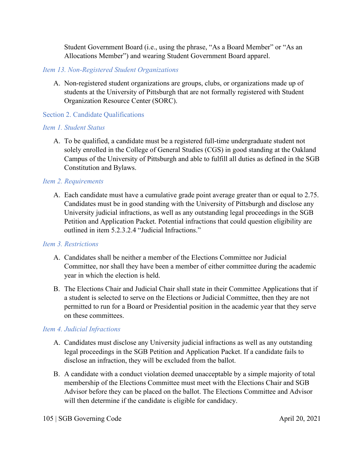Student Government Board (i.e., using the phrase, "As a Board Member" or "As an Allocations Member") and wearing Student Government Board apparel.

## *Item 13. Non-Registered Student Organizations*

A. Non-registered student organizations are groups, clubs, or organizations made up of students at the University of Pittsburgh that are not formally registered with Student Organization Resource Center (SORC).

## Section 2. Candidate Qualifications

## *Item 1. Student Status*

A. To be qualified, a candidate must be a registered full-time undergraduate student not solely enrolled in the College of General Studies (CGS) in good standing at the Oakland Campus of the University of Pittsburgh and able to fulfill all duties as defined in the SGB Constitution and Bylaws.

## *Item 2. Requirements*

A. Each candidate must have a cumulative grade point average greater than or equal to 2.75. Candidates must be in good standing with the University of Pittsburgh and disclose any University judicial infractions, as well as any outstanding legal proceedings in the SGB Petition and Application Packet. Potential infractions that could question eligibility are outlined in item 5.2.3.2.4 "Judicial Infractions."

## *Item 3. Restrictions*

- A. Candidates shall be neither a member of the Elections Committee nor Judicial Committee, nor shall they have been a member of either committee during the academic year in which the election is held.
- B. The Elections Chair and Judicial Chair shall state in their Committee Applications that if a student is selected to serve on the Elections or Judicial Committee, then they are not permitted to run for a Board or Presidential position in the academic year that they serve on these committees.

## *Item 4. Judicial Infractions*

- A. Candidates must disclose any University judicial infractions as well as any outstanding legal proceedings in the SGB Petition and Application Packet. If a candidate fails to disclose an infraction, they will be excluded from the ballot.
- B. A candidate with a conduct violation deemed unacceptable by a simple majority of total membership of the Elections Committee must meet with the Elections Chair and SGB Advisor before they can be placed on the ballot. The Elections Committee and Advisor will then determine if the candidate is eligible for candidacy.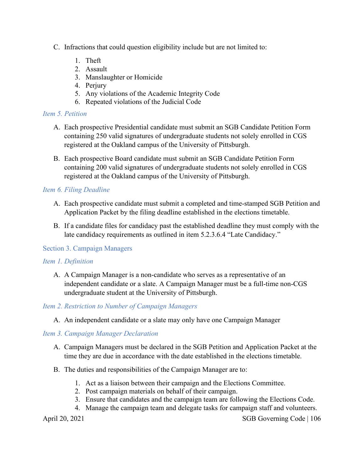- C. Infractions that could question eligibility include but are not limited to:
	- 1. Theft
	- 2. Assault
	- 3. Manslaughter or Homicide
	- 4. Perjury
	- 5. Any violations of the Academic Integrity Code
	- 6. Repeated violations of the Judicial Code

#### *Item 5. Petition*

- A. Each prospective Presidential candidate must submit an SGB Candidate Petition Form containing 250 valid signatures of undergraduate students not solely enrolled in CGS registered at the Oakland campus of the University of Pittsburgh.
- B. Each prospective Board candidate must submit an SGB Candidate Petition Form containing 200 valid signatures of undergraduate students not solely enrolled in CGS registered at the Oakland campus of the University of Pittsburgh.

## *Item 6. Filing Deadline*

- A. Each prospective candidate must submit a completed and time-stamped SGB Petition and Application Packet by the filing deadline established in the elections timetable.
- B. If a candidate files for candidacy past the established deadline they must comply with the late candidacy requirements as outlined in item 5.2.3.6.4 "Late Candidacy."

#### Section 3. Campaign Managers

#### *Item 1. Definition*

A. A Campaign Manager is a non-candidate who serves as a representative of an independent candidate or a slate. A Campaign Manager must be a full-time non-CGS undergraduate student at the University of Pittsburgh.

#### *Item 2. Restriction to Number of Campaign Managers*

A. An independent candidate or a slate may only have one Campaign Manager

#### *Item 3. Campaign Manager Declaration*

- A. Campaign Managers must be declared in the SGB Petition and Application Packet at the time they are due in accordance with the date established in the elections timetable.
- B. The duties and responsibilities of the Campaign Manager are to:
	- 1. Act as a liaison between their campaign and the Elections Committee.
	- 2. Post campaign materials on behalf of their campaign.
	- 3. Ensure that candidates and the campaign team are following the Elections Code.
	- 4. Manage the campaign team and delegate tasks for campaign staff and volunteers.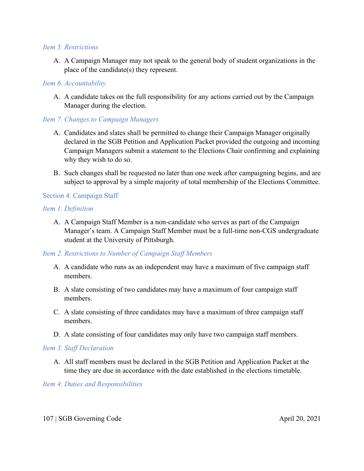#### *Item 5. Restrictions*

A. A Campaign Manager may not speak to the general body of student organizations in the place of the candidate(s) they represent.

## *Item 6. Accountability*

A. A candidate takes on the full responsibility for any actions carried out by the Campaign Manager during the election.

## *Item 7. Changes to Campaign Managers*

- A. Candidates and slates shall be permitted to change their Campaign Manager originally declared in the SGB Petition and Application Packet provided the outgoing and incoming Campaign Managers submit a statement to the Elections Chair confirming and explaining why they wish to do so.
- B. Such changes shall be requested no later than one week after campaigning begins, and are subject to approval by a simple majority of total membership of the Elections Committee.

## Section 4. Campaign Staff

#### *Item 1. Definition*

A. A Campaign Staff Member is a non-candidate who serves as part of the Campaign Manager's team. A Campaign Staff Member must be a full-time non-CGS undergraduate student at the University of Pittsburgh.

## *Item 2. Restrictions to Number of Campaign Staff Members*

- A. A candidate who runs as an independent may have a maximum of five campaign staff members.
- B. A slate consisting of two candidates may have a maximum of four campaign staff members.
- C. A slate consisting of three candidates may have a maximum of three campaign staff members.
- D. A slate consisting of four candidates may only have two campaign staff members.

#### *Item 3. Staff Declaration*

A. All staff members must be declared in the SGB Petition and Application Packet at the time they are due in accordance with the date established in the elections timetable.

*Item 4. Duties and Responsibilities*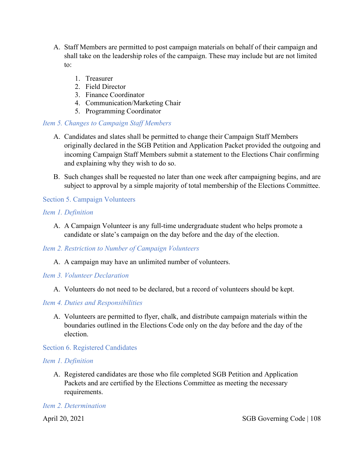- A. Staff Members are permitted to post campaign materials on behalf of their campaign and shall take on the leadership roles of the campaign. These may include but are not limited to:
	- 1. Treasurer
	- 2. Field Director
	- 3. Finance Coordinator
	- 4. Communication/Marketing Chair
	- 5. Programming Coordinator

## *Item 5. Changes to Campaign Staff Members*

- A. Candidates and slates shall be permitted to change their Campaign Staff Members originally declared in the SGB Petition and Application Packet provided the outgoing and incoming Campaign Staff Members submit a statement to the Elections Chair confirming and explaining why they wish to do so.
- B. Such changes shall be requested no later than one week after campaigning begins, and are subject to approval by a simple majority of total membership of the Elections Committee.

## Section 5. Campaign Volunteers

## *Item 1. Definition*

A. A Campaign Volunteer is any full-time undergraduate student who helps promote a candidate or slate's campaign on the day before and the day of the election.

## *Item 2. Restriction to Number of Campaign Volunteers*

A. A campaign may have an unlimited number of volunteers.

#### *Item 3. Volunteer Declaration*

A. Volunteers do not need to be declared, but a record of volunteers should be kept.

## *Item 4. Duties and Responsibilities*

A. Volunteers are permitted to flyer, chalk, and distribute campaign materials within the boundaries outlined in the Elections Code only on the day before and the day of the election.

#### Section 6. Registered Candidates

## *Item 1. Definition*

A. Registered candidates are those who file completed SGB Petition and Application Packets and are certified by the Elections Committee as meeting the necessary requirements.

## *Item 2. Determination*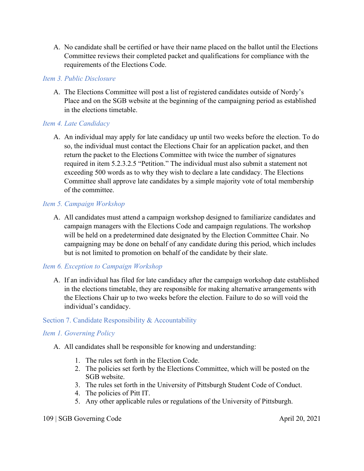A. No candidate shall be certified or have their name placed on the ballot until the Elections Committee reviews their completed packet and qualifications for compliance with the requirements of the Elections Code.

# *Item 3. Public Disclosure*

A. The Elections Committee will post a list of registered candidates outside of Nordy's Place and on the SGB website at the beginning of the campaigning period as established in the elections timetable.

# *Item 4. Late Candidacy*

A. An individual may apply for late candidacy up until two weeks before the election. To do so, the individual must contact the Elections Chair for an application packet, and then return the packet to the Elections Committee with twice the number of signatures required in item 5.2.3.2.5 "Petition." The individual must also submit a statement not exceeding 500 words as to why they wish to declare a late candidacy. The Elections Committee shall approve late candidates by a simple majority vote of total membership of the committee.

# *Item 5. Campaign Workshop*

A. All candidates must attend a campaign workshop designed to familiarize candidates and campaign managers with the Elections Code and campaign regulations. The workshop will be held on a predetermined date designated by the Election Committee Chair. No campaigning may be done on behalf of any candidate during this period, which includes but is not limited to promotion on behalf of the candidate by their slate.

# *Item 6. Exception to Campaign Workshop*

A. If an individual has filed for late candidacy after the campaign workshop date established in the elections timetable, they are responsible for making alternative arrangements with the Elections Chair up to two weeks before the election. Failure to do so will void the individual's candidacy.

# Section 7. Candidate Responsibility & Accountability

# *Item 1. Governing Policy*

- A. All candidates shall be responsible for knowing and understanding:
	- 1. The rules set forth in the Election Code.
	- 2. The policies set forth by the Elections Committee, which will be posted on the SGB website.
	- 3. The rules set forth in the University of Pittsburgh Student Code of Conduct.
	- 4. The policies of Pitt IT.
	- 5. Any other applicable rules or regulations of the University of Pittsburgh.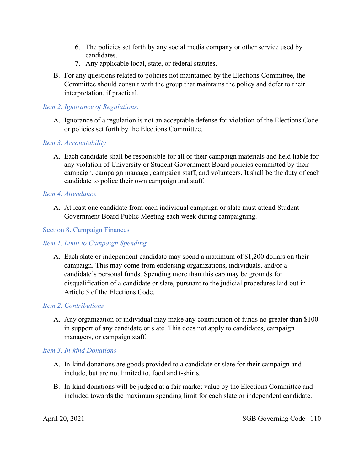- 6. The policies set forth by any social media company or other service used by candidates.
- 7. Any applicable local, state, or federal statutes.
- B. For any questions related to policies not maintained by the Elections Committee, the Committee should consult with the group that maintains the policy and defer to their interpretation, if practical.

# *Item 2. Ignorance of Regulations.*

A. Ignorance of a regulation is not an acceptable defense for violation of the Elections Code or policies set forth by the Elections Committee.

# *Item 3. Accountability*

A. Each candidate shall be responsible for all of their campaign materials and held liable for any violation of University or Student Government Board policies committed by their campaign, campaign manager, campaign staff, and volunteers. It shall be the duty of each candidate to police their own campaign and staff.

# *Item 4. Attendance*

A. At least one candidate from each individual campaign or slate must attend Student Government Board Public Meeting each week during campaigning.

# Section 8. Campaign Finances

# *Item 1. Limit to Campaign Spending*

A. Each slate or independent candidate may spend a maximum of \$1,200 dollars on their campaign. This may come from endorsing organizations, individuals, and/or a candidate's personal funds. Spending more than this cap may be grounds for disqualification of a candidate or slate, pursuant to the judicial procedures laid out in Article 5 of the Elections Code.

# *Item 2. Contributions*

A. Any organization or individual may make any contribution of funds no greater than \$100 in support of any candidate or slate. This does not apply to candidates, campaign managers, or campaign staff.

# *Item 3. In-kind Donations*

- A. In-kind donations are goods provided to a candidate or slate for their campaign and include, but are not limited to, food and t-shirts.
- B. In-kind donations will be judged at a fair market value by the Elections Committee and included towards the maximum spending limit for each slate or independent candidate.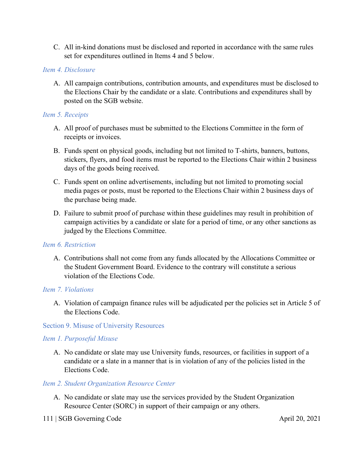C. All in-kind donations must be disclosed and reported in accordance with the same rules set for expenditures outlined in Items 4 and 5 below.

# *Item 4. Disclosure*

A. All campaign contributions, contribution amounts, and expenditures must be disclosed to the Elections Chair by the candidate or a slate. Contributions and expenditures shall by posted on the SGB website.

#### *Item 5. Receipts*

- A. All proof of purchases must be submitted to the Elections Committee in the form of receipts or invoices.
- B. Funds spent on physical goods, including but not limited to T-shirts, banners, buttons, stickers, flyers, and food items must be reported to the Elections Chair within 2 business days of the goods being received.
- C. Funds spent on online advertisements, including but not limited to promoting social media pages or posts, must be reported to the Elections Chair within 2 business days of the purchase being made.
- D. Failure to submit proof of purchase within these guidelines may result in prohibition of campaign activities by a candidate or slate for a period of time, or any other sanctions as judged by the Elections Committee.

#### *Item 6. Restriction*

A. Contributions shall not come from any funds allocated by the Allocations Committee or the Student Government Board. Evidence to the contrary will constitute a serious violation of the Elections Code.

#### *Item 7. Violations*

A. Violation of campaign finance rules will be adjudicated per the policies set in Article 5 of the Elections Code.

#### Section 9. Misuse of University Resources

# *Item 1. Purposeful Misuse*

A. No candidate or slate may use University funds, resources, or facilities in support of a candidate or a slate in a manner that is in violation of any of the policies listed in the Elections Code.

#### *Item 2. Student Organization Resource Center*

A. No candidate or slate may use the services provided by the Student Organization Resource Center (SORC) in support of their campaign or any others.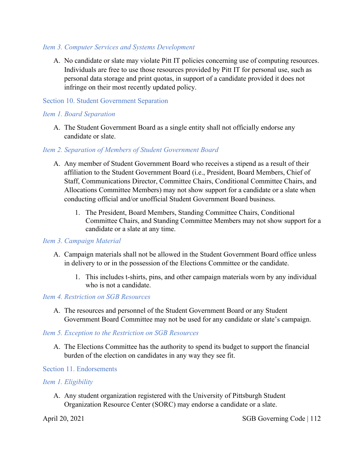#### *Item 3. Computer Services and Systems Development*

A. No candidate or slate may violate Pitt IT policies concerning use of computing resources. Individuals are free to use those resources provided by Pitt IT for personal use, such as personal data storage and print quotas, in support of a candidate provided it does not infringe on their most recently updated policy.

#### Section 10. Student Government Separation

#### *Item 1. Board Separation*

A. The Student Government Board as a single entity shall not officially endorse any candidate or slate.

#### *Item 2. Separation of Members of Student Government Board*

- A. Any member of Student Government Board who receives a stipend as a result of their affiliation to the Student Government Board (i.e., President, Board Members, Chief of Staff, Communications Director, Committee Chairs, Conditional Committee Chairs, and Allocations Committee Members) may not show support for a candidate or a slate when conducting official and/or unofficial Student Government Board business.
	- 1. The President, Board Members, Standing Committee Chairs, Conditional Committee Chairs, and Standing Committee Members may not show support for a candidate or a slate at any time.

#### *Item 3. Campaign Material*

- A. Campaign materials shall not be allowed in the Student Government Board office unless in delivery to or in the possession of the Elections Committee or the candidate.
	- 1. This includes t-shirts, pins, and other campaign materials worn by any individual who is not a candidate.

#### *Item 4. Restriction on SGB Resources*

A. The resources and personnel of the Student Government Board or any Student Government Board Committee may not be used for any candidate or slate's campaign.

# *Item 5. Exception to the Restriction on SGB Resources*

A. The Elections Committee has the authority to spend its budget to support the financial burden of the election on candidates in any way they see fit.

# Section 11. Endorsements

# *Item 1. Eligibility*

A. Any student organization registered with the University of Pittsburgh Student Organization Resource Center (SORC) may endorse a candidate or a slate.

April 20, 2021 SGB Governing Code | 112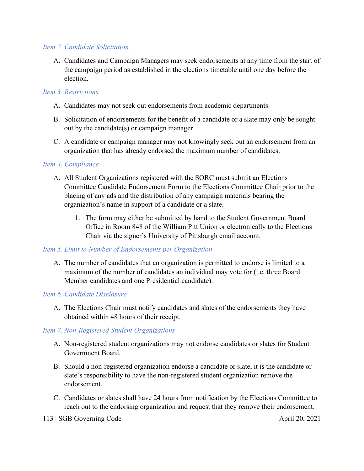# *Item 2. Candidate Solicitation*

A. Candidates and Campaign Managers may seek endorsements at any time from the start of the campaign period as established in the elections timetable until one day before the election.

#### *Item 3. Restrictions*

- A. Candidates may not seek out endorsements from academic departments.
- B. Solicitation of endorsements for the benefit of a candidate or a slate may only be sought out by the candidate(s) or campaign manager.
- C. A candidate or campaign manager may not knowingly seek out an endorsement from an organization that has already endorsed the maximum number of candidates.

#### *Item 4. Compliance*

- A. All Student Organizations registered with the SORC must submit an Elections Committee Candidate Endorsement Form to the Elections Committee Chair prior to the placing of any ads and the distribution of any campaign materials bearing the organization's name in support of a candidate or a slate.
	- 1. The form may either be submitted by hand to the Student Government Board Office in Room 848 of the William Pitt Union or electronically to the Elections Chair via the signer's University of Pittsburgh email account.

#### *Item 5. Limit to Number of Endorsements per Organization*

A. The number of candidates that an organization is permitted to endorse is limited to a maximum of the number of candidates an individual may vote for (i.e. three Board Member candidates and one Presidential candidate).

# *Item 6. Candidate Disclosure*

A. The Elections Chair must notify candidates and slates of the endorsements they have obtained within 48 hours of their receipt.

# *Item 7. Non-Registered Student Organizations*

- A. Non-registered student organizations may not endorse candidates or slates for Student Government Board.
- B. Should a non-registered organization endorse a candidate or slate, it is the candidate or slate's responsibility to have the non-registered student organization remove the endorsement.
- C. Candidates or slates shall have 24 hours from notification by the Elections Committee to reach out to the endorsing organization and request that they remove their endorsement.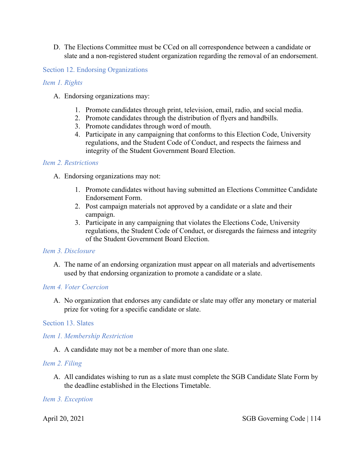D. The Elections Committee must be CCed on all correspondence between a candidate or slate and a non-registered student organization regarding the removal of an endorsement.

#### Section 12. Endorsing Organizations

#### *Item 1. Rights*

- A. Endorsing organizations may:
	- 1. Promote candidates through print, television, email, radio, and social media.
	- 2. Promote candidates through the distribution of flyers and handbills.
	- 3. Promote candidates through word of mouth.
	- 4. Participate in any campaigning that conforms to this Election Code, University regulations, and the Student Code of Conduct, and respects the fairness and integrity of the Student Government Board Election.

#### *Item 2. Restrictions*

- A. Endorsing organizations may not:
	- 1. Promote candidates without having submitted an Elections Committee Candidate Endorsement Form.
	- 2. Post campaign materials not approved by a candidate or a slate and their campaign.
	- 3. Participate in any campaigning that violates the Elections Code, University regulations, the Student Code of Conduct, or disregards the fairness and integrity of the Student Government Board Election.

#### *Item 3. Disclosure*

A. The name of an endorsing organization must appear on all materials and advertisements used by that endorsing organization to promote a candidate or a slate.

#### *Item 4. Voter Coercion*

A. No organization that endorses any candidate or slate may offer any monetary or material prize for voting for a specific candidate or slate.

# Section 13. Slates

# *Item 1. Membership Restriction*

A. A candidate may not be a member of more than one slate.

#### *Item 2. Filing*

A. All candidates wishing to run as a slate must complete the SGB Candidate Slate Form by the deadline established in the Elections Timetable.

#### *Item 3. Exception*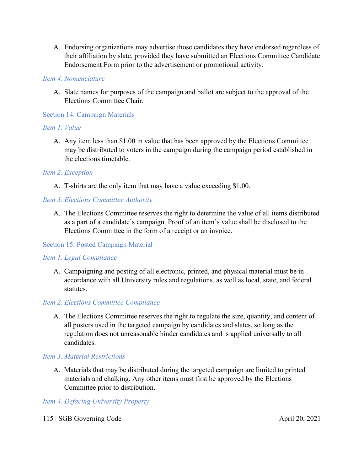A. Endorsing organizations may advertise those candidates they have endorsed regardless of their affiliation by slate, provided they have submitted an Elections Committee Candidate Endorsement Form prior to the advertisement or promotional activity.

#### *Item 4. Nomenclature*

A. Slate names for purposes of the campaign and ballot are subject to the approval of the Elections Committee Chair.

# Section 14. Campaign Materials

#### *Item 1. Value*

A. Any item less than \$1.00 in value that has been approved by the Elections Committee may be distributed to voters in the campaign during the campaign period established in the elections timetable.

#### *Item 2. Exception*

A. T-shirts are the only item that may have a value exceeding \$1.00.

#### *Item 3. Elections Committee Authority*

A. The Elections Committee reserves the right to determine the value of all items distributed as a part of a candidate's campaign. Proof of an item's value shall be disclosed to the Elections Committee in the form of a receipt or an invoice.

#### Section 15. Posted Campaign Material

#### *Item 1. Legal Compliance*

A. Campaigning and posting of all electronic, printed, and physical material must be in accordance with all University rules and regulations, as well as local, state, and federal statutes.

#### *Item 2. Elections Committee Compliance*

A. The Elections Committee reserves the right to regulate the size, quantity, and content of all posters used in the targeted campaign by candidates and slates, so long as the regulation does not unreasonable hinder candidates and is applied universally to all candidates.

# *Item 3. Material Restrictions*

A. Materials that may be distributed during the targeted campaign are limited to printed materials and chalking. Any other items must first be approved by the Elections Committee prior to distribution.

*Item 4. Defacing University Property*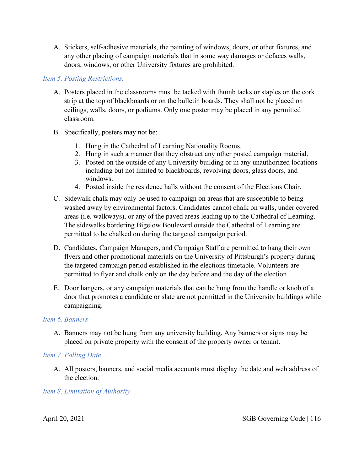A. Stickers, self-adhesive materials, the painting of windows, doors, or other fixtures, and any other placing of campaign materials that in some way damages or defaces walls, doors, windows, or other University fixtures are prohibited.

# *Item 5. Posting Restrictions.*

- A. Posters placed in the classrooms must be tacked with thumb tacks or staples on the cork strip at the top of blackboards or on the bulletin boards. They shall not be placed on ceilings, walls, doors, or podiums. Only one poster may be placed in any permitted classroom.
- B. Specifically, posters may not be:
	- 1. Hung in the Cathedral of Learning Nationality Rooms.
	- 2. Hung in such a manner that they obstruct any other posted campaign material.
	- 3. Posted on the outside of any University building or in any unauthorized locations including but not limited to blackboards, revolving doors, glass doors, and windows.
	- 4. Posted inside the residence halls without the consent of the Elections Chair.
- C. Sidewalk chalk may only be used to campaign on areas that are susceptible to being washed away by environmental factors. Candidates cannot chalk on walls, under covered areas (i.e. walkways), or any of the paved areas leading up to the Cathedral of Learning. The sidewalks bordering Bigelow Boulevard outside the Cathedral of Learning are permitted to be chalked on during the targeted campaign period.
- D. Candidates, Campaign Managers, and Campaign Staff are permitted to hang their own flyers and other promotional materials on the University of Pittsburgh's property during the targeted campaign period established in the elections timetable. Volunteers are permitted to flyer and chalk only on the day before and the day of the election
- E. Door hangers, or any campaign materials that can be hung from the handle or knob of a door that promotes a candidate or slate are not permitted in the University buildings while campaigning.

# *Item 6. Banners*

A. Banners may not be hung from any university building. Any banners or signs may be placed on private property with the consent of the property owner or tenant.

# *Item 7. Polling Date*

A. All posters, banners, and social media accounts must display the date and web address of the election.

# *Item 8. Limitation of Authority*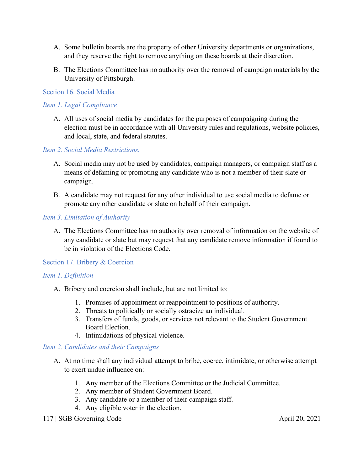- A. Some bulletin boards are the property of other University departments or organizations, and they reserve the right to remove anything on these boards at their discretion.
- B. The Elections Committee has no authority over the removal of campaign materials by the University of Pittsburgh.

# Section 16. Social Media

#### *Item 1. Legal Compliance*

A. All uses of social media by candidates for the purposes of campaigning during the election must be in accordance with all University rules and regulations, website policies, and local, state, and federal statutes.

*Item 2. Social Media Restrictions.*

- A. Social media may not be used by candidates, campaign managers, or campaign staff as a means of defaming or promoting any candidate who is not a member of their slate or campaign.
- B. A candidate may not request for any other individual to use social media to defame or promote any other candidate or slate on behalf of their campaign.

#### *Item 3. Limitation of Authority*

A. The Elections Committee has no authority over removal of information on the website of any candidate or slate but may request that any candidate remove information if found to be in violation of the Elections Code.

#### Section 17. Bribery & Coercion

# *Item 1. Definition*

- A. Bribery and coercion shall include, but are not limited to:
	- 1. Promises of appointment or reappointment to positions of authority.
	- 2. Threats to politically or socially ostracize an individual.
	- 3. Transfers of funds, goods, or services not relevant to the Student Government Board Election.
	- 4. Intimidations of physical violence.

#### *Item 2. Candidates and their Campaigns*

- A. At no time shall any individual attempt to bribe, coerce, intimidate, or otherwise attempt to exert undue influence on:
	- 1. Any member of the Elections Committee or the Judicial Committee.
	- 2. Any member of Student Government Board.
	- 3. Any candidate or a member of their campaign staff.
	- 4. Any eligible voter in the election.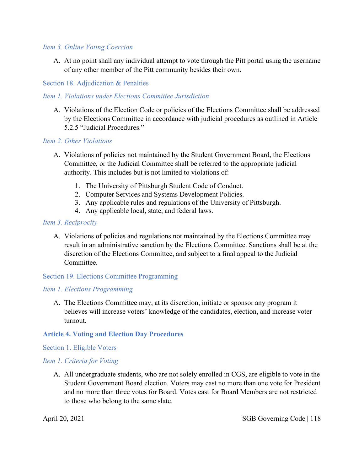#### *Item 3. Online Voting Coercion*

A. At no point shall any individual attempt to vote through the Pitt portal using the username of any other member of the Pitt community besides their own.

Section 18. Adjudication & Penalties

# *Item 1. Violations under Elections Committee Jurisdiction*

A. Violations of the Election Code or policies of the Elections Committee shall be addressed by the Elections Committee in accordance with judicial procedures as outlined in Article 5.2.5 "Judicial Procedures."

#### *Item 2. Other Violations*

- A. Violations of policies not maintained by the Student Government Board, the Elections Committee, or the Judicial Committee shall be referred to the appropriate judicial authority. This includes but is not limited to violations of:
	- 1. The University of Pittsburgh Student Code of Conduct.
	- 2. Computer Services and Systems Development Policies.
	- 3. Any applicable rules and regulations of the University of Pittsburgh.
	- 4. Any applicable local, state, and federal laws.

#### *Item 3. Reciprocity*

A. Violations of policies and regulations not maintained by the Elections Committee may result in an administrative sanction by the Elections Committee. Sanctions shall be at the discretion of the Elections Committee, and subject to a final appeal to the Judicial Committee.

# Section 19. Elections Committee Programming

# *Item 1. Elections Programming*

A. The Elections Committee may, at its discretion, initiate or sponsor any program it believes will increase voters' knowledge of the candidates, election, and increase voter turnout.

#### **Article 4. Voting and Election Day Procedures**

#### Section 1. Eligible Voters

# *Item 1. Criteria for Voting*

A. All undergraduate students, who are not solely enrolled in CGS, are eligible to vote in the Student Government Board election. Voters may cast no more than one vote for President and no more than three votes for Board. Votes cast for Board Members are not restricted to those who belong to the same slate.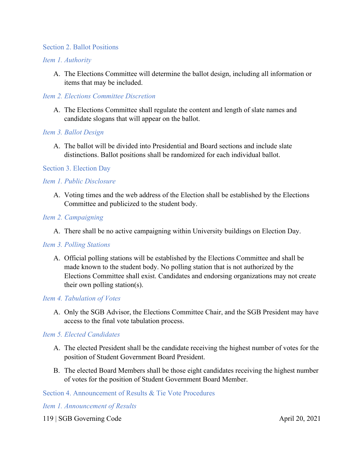#### Section 2. Ballot Positions

#### *Item 1. Authority*

A. The Elections Committee will determine the ballot design, including all information or items that may be included.

# *Item 2. Elections Committee Discretion*

A. The Elections Committee shall regulate the content and length of slate names and candidate slogans that will appear on the ballot.

#### *Item 3. Ballot Design*

A. The ballot will be divided into Presidential and Board sections and include slate distinctions. Ballot positions shall be randomized for each individual ballot.

# Section 3. Election Day

#### *Item 1. Public Disclosure*

A. Voting times and the web address of the Election shall be established by the Elections Committee and publicized to the student body.

#### *Item 2. Campaigning*

A. There shall be no active campaigning within University buildings on Election Day.

#### *Item 3. Polling Stations*

A. Official polling stations will be established by the Elections Committee and shall be made known to the student body. No polling station that is not authorized by the Elections Committee shall exist. Candidates and endorsing organizations may not create their own polling station(s).

#### *Item 4. Tabulation of Votes*

A. Only the SGB Advisor, the Elections Committee Chair, and the SGB President may have access to the final vote tabulation process.

#### *Item 5. Elected Candidates*

- A. The elected President shall be the candidate receiving the highest number of votes for the position of Student Government Board President.
- B. The elected Board Members shall be those eight candidates receiving the highest number of votes for the position of Student Government Board Member.

# Section 4. Announcement of Results & Tie Vote Procedures

#### *Item 1. Announcement of Results*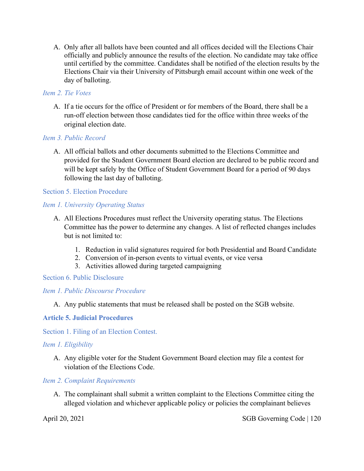A. Only after all ballots have been counted and all offices decided will the Elections Chair officially and publicly announce the results of the election. No candidate may take office until certified by the committee. Candidates shall be notified of the election results by the Elections Chair via their University of Pittsburgh email account within one week of the day of balloting.

# *Item 2. Tie Votes*

A. If a tie occurs for the office of President or for members of the Board, there shall be a run-off election between those candidates tied for the office within three weeks of the original election date.

# *Item 3. Public Record*

A. All official ballots and other documents submitted to the Elections Committee and provided for the Student Government Board election are declared to be public record and will be kept safely by the Office of Student Government Board for a period of 90 days following the last day of balloting.

# Section 5. Election Procedure

#### *Item 1. University Operating Status*

- A. All Elections Procedures must reflect the University operating status. The Elections Committee has the power to determine any changes. A list of reflected changes includes but is not limited to:
	- 1. Reduction in valid signatures required for both Presidential and Board Candidate
	- 2. Conversion of in-person events to virtual events, or vice versa
	- 3. Activities allowed during targeted campaigning

# Section 6. Public Disclosure

# *Item 1. Public Discourse Procedure*

A. Any public statements that must be released shall be posted on the SGB website.

# **Article 5. Judicial Procedures**

Section 1. Filing of an Election Contest.

# *Item 1. Eligibility*

A. Any eligible voter for the Student Government Board election may file a contest for violation of the Elections Code.

#### *Item 2. Complaint Requirements*

A. The complainant shall submit a written complaint to the Elections Committee citing the alleged violation and whichever applicable policy or policies the complainant believes

April 20, 2021 SGB Governing Code | 120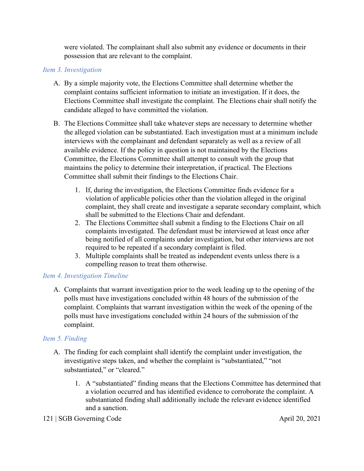were violated. The complainant shall also submit any evidence or documents in their possession that are relevant to the complaint.

# *Item 3. Investigation*

- A. By a simple majority vote, the Elections Committee shall determine whether the complaint contains sufficient information to initiate an investigation. If it does, the Elections Committee shall investigate the complaint. The Elections chair shall notify the candidate alleged to have committed the violation.
- B. The Elections Committee shall take whatever steps are necessary to determine whether the alleged violation can be substantiated. Each investigation must at a minimum include interviews with the complainant and defendant separately as well as a review of all available evidence. If the policy in question is not maintained by the Elections Committee, the Elections Committee shall attempt to consult with the group that maintains the policy to determine their interpretation, if practical. The Elections Committee shall submit their findings to the Elections Chair.
	- 1. If, during the investigation, the Elections Committee finds evidence for a violation of applicable policies other than the violation alleged in the original complaint, they shall create and investigate a separate secondary complaint, which shall be submitted to the Elections Chair and defendant.
	- 2. The Elections Committee shall submit a finding to the Elections Chair on all complaints investigated. The defendant must be interviewed at least once after being notified of all complaints under investigation, but other interviews are not required to be repeated if a secondary complaint is filed.
	- 3. Multiple complaints shall be treated as independent events unless there is a compelling reason to treat them otherwise.

# *Item 4. Investigation Timeline*

A. Complaints that warrant investigation prior to the week leading up to the opening of the polls must have investigations concluded within 48 hours of the submission of the complaint. Complaints that warrant investigation within the week of the opening of the polls must have investigations concluded within 24 hours of the submission of the complaint.

# *Item 5. Finding*

- A. The finding for each complaint shall identify the complaint under investigation, the investigative steps taken, and whether the complaint is "substantiated," "not substantiated," or "cleared."
	- 1. A "substantiated" finding means that the Elections Committee has determined that a violation occurred and has identified evidence to corroborate the complaint. A substantiated finding shall additionally include the relevant evidence identified and a sanction.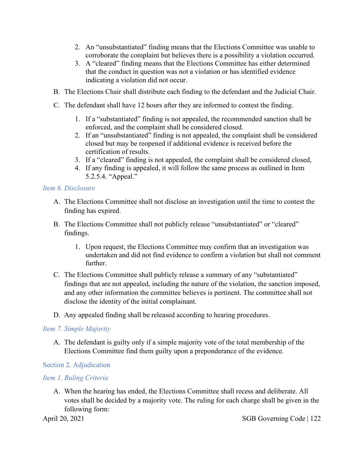- 2. An "unsubstantiated" finding means that the Elections Committee was unable to corroborate the complaint but believes there is a possibility a violation occurred.
- 3. A "cleared" finding means that the Elections Committee has either determined that the conduct in question was not a violation or has identified evidence indicating a violation did not occur.
- B. The Elections Chair shall distribute each finding to the defendant and the Judicial Chair.
- C. The defendant shall have 12 hours after they are informed to contest the finding.
	- 1. If a "substantiated" finding is not appealed, the recommended sanction shall be enforced, and the complaint shall be considered closed.
	- 2. If an "unsubstantiated" finding is not appealed, the complaint shall be considered closed but may be reopened if additional evidence is received before the certification of results.
	- 3. If a "cleared" finding is not appealed, the complaint shall be considered closed,
	- 4. If any finding is appealed, it will follow the same process as outlined in Item 5.2.5.4. "Appeal."

# *Item 6. Disclosure*

- A. The Elections Committee shall not disclose an investigation until the time to contest the finding has expired.
- B. The Elections Committee shall not publicly release "unsubstantiated" or "cleared" findings.
	- 1. Upon request, the Elections Committee may confirm that an investigation was undertaken and did not find evidence to confirm a violation but shall not comment further.
- C. The Elections Committee shall publicly release a summary of any "substantiated" findings that are not appealed, including the nature of the violation, the sanction imposed, and any other information the committee believes is pertinent. The committee shall not disclose the identity of the initial complainant.
- D. Any appealed finding shall be released according to hearing procedures.

# *Item 7. Simple Majority*

A. The defendant is guilty only if a simple majority vote of the total membership of the Elections Committee find them guilty upon a preponderance of the evidence.

# Section 2. Adjudication

# *Item 1. Ruling Criteria*

A. When the hearing has ended, the Elections Committee shall recess and deliberate. All votes shall be decided by a majority vote. The ruling for each charge shall be given in the following form: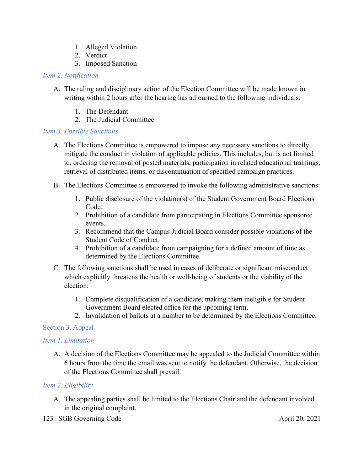- 1. Alleged Violation
- 2. Verdict
- 3. Imposed Sanction

# *Item 2. Notification*

- A. The ruling and disciplinary action of the Election Committee will be made known in writing within 2 hours after the hearing has adjourned to the following individuals:
	- 1. The Defendant
	- 2. The Judicial Committee

# *Item 3. Possible Sanctions*

- A. The Elections Committee is empowered to impose any necessary sanctions to directly mitigate the conduct in violation of applicable policies. This includes, but is not limited to, ordering the removal of posted materials, participation in related educational trainings, retrieval of distributed items, or discontinuation of specified campaign practices.
- B. The Elections Committee is empowered to invoke the following administrative sanctions:
	- 1. Public disclosure of the violation(s) of the Student Government Board Elections Code.
	- 2. Prohibition of a candidate from participating in Elections Committee sponsored events.
	- 3. Recommend that the Campus Judicial Board consider possible violations of the Student Code of Conduct.
	- 4. Prohibition of a candidate from campaigning for a defined amount of time as determined by the Elections Committee.
- C. The following sanctions shall be used in cases of deliberate or significant misconduct which explicitly threatens the health or well-being of students or the viability of the election:
	- 1. Complete disqualification of a candidate; making them ineligible for Student Government Board elected office for the upcoming term.
	- 2. Invalidation of ballots at a number to be determined by the Elections Committee.

# Section 3. Appeal

# *Item 1. Limitation*

A. A decision of the Elections Committee may be appealed to the Judicial Committee within 6 hours from the time the email was sent to notify the defendant. Otherwise, the decision of the Elections Committee shall prevail.

# *Item 2. Eligibility*

- A. The appealing parties shall be limited to the Elections Chair and the defendant involved in the original complaint.
- 123 | SGB Governing Code April 20, 2021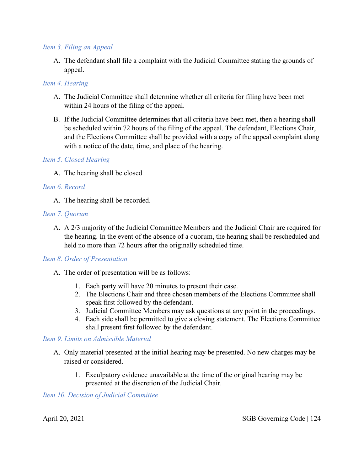#### *Item 3. Filing an Appeal*

A. The defendant shall file a complaint with the Judicial Committee stating the grounds of appeal.

# *Item 4. Hearing*

- A. The Judicial Committee shall determine whether all criteria for filing have been met within 24 hours of the filing of the appeal.
- B. If the Judicial Committee determines that all criteria have been met, then a hearing shall be scheduled within 72 hours of the filing of the appeal. The defendant, Elections Chair, and the Elections Committee shall be provided with a copy of the appeal complaint along with a notice of the date, time, and place of the hearing.

# *Item 5. Closed Hearing*

A. The hearing shall be closed

# *Item 6. Record*

A. The hearing shall be recorded.

# *Item 7. Quorum*

A. A 2/3 majority of the Judicial Committee Members and the Judicial Chair are required for the hearing. In the event of the absence of a quorum, the hearing shall be rescheduled and held no more than 72 hours after the originally scheduled time.

# *Item 8. Order of Presentation*

- A. The order of presentation will be as follows:
	- 1. Each party will have 20 minutes to present their case.
	- 2. The Elections Chair and three chosen members of the Elections Committee shall speak first followed by the defendant.
	- 3. Judicial Committee Members may ask questions at any point in the proceedings.
	- 4. Each side shall be permitted to give a closing statement. The Elections Committee shall present first followed by the defendant.

# *Item 9. Limits on Admissible Material*

- A. Only material presented at the initial hearing may be presented. No new charges may be raised or considered.
	- 1. Exculpatory evidence unavailable at the time of the original hearing may be presented at the discretion of the Judicial Chair.

#### *Item 10. Decision of Judicial Committee*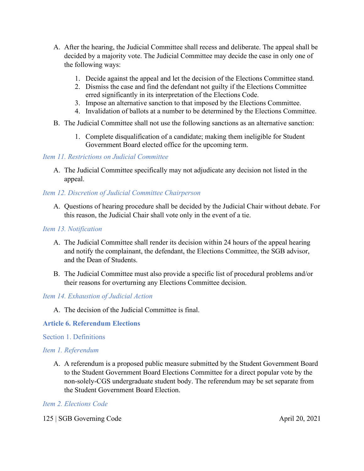- A. After the hearing, the Judicial Committee shall recess and deliberate. The appeal shall be decided by a majority vote. The Judicial Committee may decide the case in only one of the following ways:
	- 1. Decide against the appeal and let the decision of the Elections Committee stand.
	- 2. Dismiss the case and find the defendant not guilty if the Elections Committee erred significantly in its interpretation of the Elections Code.
	- 3. Impose an alternative sanction to that imposed by the Elections Committee.
	- 4. Invalidation of ballots at a number to be determined by the Elections Committee.
- B. The Judicial Committee shall not use the following sanctions as an alternative sanction:
	- 1. Complete disqualification of a candidate; making them ineligible for Student Government Board elected office for the upcoming term.

# *Item 11. Restrictions on Judicial Committee*

A. The Judicial Committee specifically may not adjudicate any decision not listed in the appeal.

# *Item 12. Discretion of Judicial Committee Chairperson*

A. Questions of hearing procedure shall be decided by the Judicial Chair without debate. For this reason, the Judicial Chair shall vote only in the event of a tie.

# *Item 13. Notification*

- A. The Judicial Committee shall render its decision within 24 hours of the appeal hearing and notify the complainant, the defendant, the Elections Committee, the SGB advisor, and the Dean of Students.
- B. The Judicial Committee must also provide a specific list of procedural problems and/or their reasons for overturning any Elections Committee decision.

# *Item 14. Exhaustion of Judicial Action*

A. The decision of the Judicial Committee is final.

# **Article 6. Referendum Elections**

# Section 1. Definitions

# *Item 1. Referendum*

A. A referendum is a proposed public measure submitted by the Student Government Board to the Student Government Board Elections Committee for a direct popular vote by the non-solely-CGS undergraduate student body. The referendum may be set separate from the Student Government Board Election.

# *Item 2. Elections Code*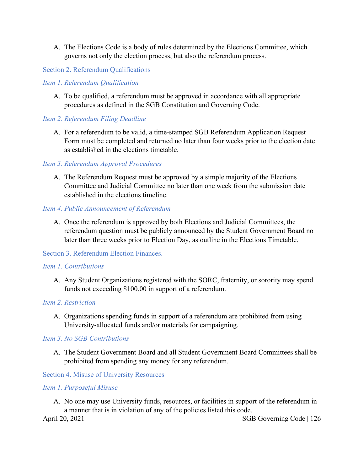A. The Elections Code is a body of rules determined by the Elections Committee, which governs not only the election process, but also the referendum process.

#### Section 2. Referendum Qualifications

#### *Item 1. Referendum Qualification*

A. To be qualified, a referendum must be approved in accordance with all appropriate procedures as defined in the SGB Constitution and Governing Code.

#### *Item 2. Referendum Filing Deadline*

A. For a referendum to be valid, a time-stamped SGB Referendum Application Request Form must be completed and returned no later than four weeks prior to the election date as established in the elections timetable.

#### *Item 3. Referendum Approval Procedures*

A. The Referendum Request must be approved by a simple majority of the Elections Committee and Judicial Committee no later than one week from the submission date established in the elections timeline.

#### *Item 4. Public Announcement of Referendum*

A. Once the referendum is approved by both Elections and Judicial Committees, the referendum question must be publicly announced by the Student Government Board no later than three weeks prior to Election Day, as outline in the Elections Timetable.

# Section 3. Referendum Election Finances.

#### *Item 1. Contributions*

A. Any Student Organizations registered with the SORC, fraternity, or sorority may spend funds not exceeding \$100.00 in support of a referendum.

#### *Item 2. Restriction*

A. Organizations spending funds in support of a referendum are prohibited from using University-allocated funds and/or materials for campaigning.

#### *Item 3. No SGB Contributions*

A. The Student Government Board and all Student Government Board Committees shall be prohibited from spending any money for any referendum.

Section 4. Misuse of University Resources

# *Item 1. Purposeful Misuse*

A. No one may use University funds, resources, or facilities in support of the referendum in a manner that is in violation of any of the policies listed this code.

April 20, 2021 SGB Governing Code | 126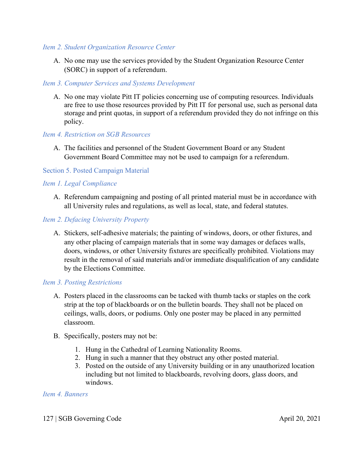#### *Item 2. Student Organization Resource Center*

A. No one may use the services provided by the Student Organization Resource Center (SORC) in support of a referendum.

# *Item 3. Computer Services and Systems Development*

A. No one may violate Pitt IT policies concerning use of computing resources. Individuals are free to use those resources provided by Pitt IT for personal use, such as personal data storage and print quotas, in support of a referendum provided they do not infringe on this policy.

# *Item 4. Restriction on SGB Resources*

A. The facilities and personnel of the Student Government Board or any Student Government Board Committee may not be used to campaign for a referendum.

# Section 5. Posted Campaign Material

# *Item 1. Legal Compliance*

A. Referendum campaigning and posting of all printed material must be in accordance with all University rules and regulations, as well as local, state, and federal statutes.

# *Item 2. Defacing University Property*

A. Stickers, self-adhesive materials; the painting of windows, doors, or other fixtures, and any other placing of campaign materials that in some way damages or defaces walls, doors, windows, or other University fixtures are specifically prohibited. Violations may result in the removal of said materials and/or immediate disqualification of any candidate by the Elections Committee.

# *Item 3. Posting Restrictions*

- A. Posters placed in the classrooms can be tacked with thumb tacks or staples on the cork strip at the top of blackboards or on the bulletin boards. They shall not be placed on ceilings, walls, doors, or podiums. Only one poster may be placed in any permitted classroom.
- B. Specifically, posters may not be:
	- 1. Hung in the Cathedral of Learning Nationality Rooms.
	- 2. Hung in such a manner that they obstruct any other posted material.
	- 3. Posted on the outside of any University building or in any unauthorized location including but not limited to blackboards, revolving doors, glass doors, and windows.

# *Item 4. Banners*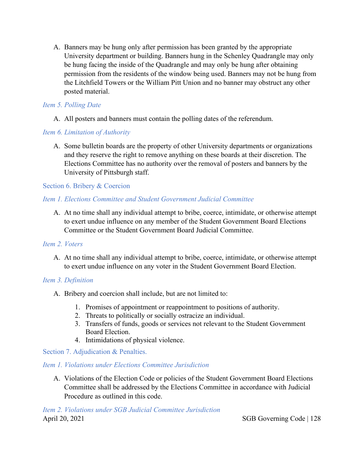A. Banners may be hung only after permission has been granted by the appropriate University department or building. Banners hung in the Schenley Quadrangle may only be hung facing the inside of the Quadrangle and may only be hung after obtaining permission from the residents of the window being used. Banners may not be hung from the Litchfield Towers or the William Pitt Union and no banner may obstruct any other posted material.

# *Item 5. Polling Date*

A. All posters and banners must contain the polling dates of the referendum.

# *Item 6. Limitation of Authority*

A. Some bulletin boards are the property of other University departments or organizations and they reserve the right to remove anything on these boards at their discretion. The Elections Committee has no authority over the removal of posters and banners by the University of Pittsburgh staff.

# Section 6. Bribery & Coercion

# *Item 1. Elections Committee and Student Government Judicial Committee*

A. At no time shall any individual attempt to bribe, coerce, intimidate, or otherwise attempt to exert undue influence on any member of the Student Government Board Elections Committee or the Student Government Board Judicial Committee.

# *Item 2. Voters*

A. At no time shall any individual attempt to bribe, coerce, intimidate, or otherwise attempt to exert undue influence on any voter in the Student Government Board Election.

# *Item 3. Definition*

- A. Bribery and coercion shall include, but are not limited to:
	- 1. Promises of appointment or reappointment to positions of authority.
	- 2. Threats to politically or socially ostracize an individual.
	- 3. Transfers of funds, goods or services not relevant to the Student Government Board Election.
	- 4. Intimidations of physical violence.

# Section 7. Adjudication & Penalties.

# *Item 1. Violations under Elections Committee Jurisdiction*

A. Violations of the Election Code or policies of the Student Government Board Elections Committee shall be addressed by the Elections Committee in accordance with Judicial Procedure as outlined in this code.

April 20, 2021 SGB Governing Code | 128 *Item 2. Violations under SGB Judicial Committee Jurisdiction*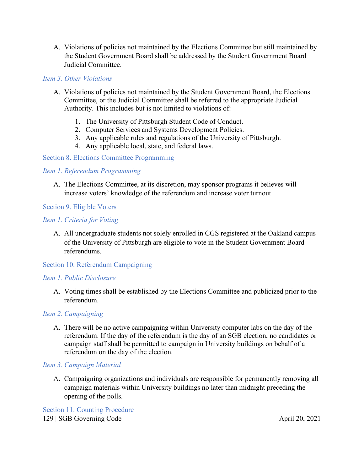A. Violations of policies not maintained by the Elections Committee but still maintained by the Student Government Board shall be addressed by the Student Government Board Judicial Committee.

#### *Item 3. Other Violations*

- A. Violations of policies not maintained by the Student Government Board, the Elections Committee, or the Judicial Committee shall be referred to the appropriate Judicial Authority. This includes but is not limited to violations of:
	- 1. The University of Pittsburgh Student Code of Conduct.
	- 2. Computer Services and Systems Development Policies.
	- 3. Any applicable rules and regulations of the University of Pittsburgh.
	- 4. Any applicable local, state, and federal laws.

#### Section 8. Elections Committee Programming

#### *Item 1. Referendum Programming*

A. The Elections Committee, at its discretion, may sponsor programs it believes will increase voters' knowledge of the referendum and increase voter turnout.

#### Section 9. Eligible Voters

#### *Item 1. Criteria for Voting*

A. All undergraduate students not solely enrolled in CGS registered at the Oakland campus of the University of Pittsburgh are eligible to vote in the Student Government Board referendums.

# Section 10. Referendum Campaigning

# *Item 1. Public Disclosure*

A. Voting times shall be established by the Elections Committee and publicized prior to the referendum.

# *Item 2. Campaigning*

A. There will be no active campaigning within University computer labs on the day of the referendum. If the day of the referendum is the day of an SGB election, no candidates or campaign staff shall be permitted to campaign in University buildings on behalf of a referendum on the day of the election.

# *Item 3. Campaign Material*

A. Campaigning organizations and individuals are responsible for permanently removing all campaign materials within University buildings no later than midnight preceding the opening of the polls.

129 | SGB Governing Code April 20, 2021 Section 11. Counting Procedure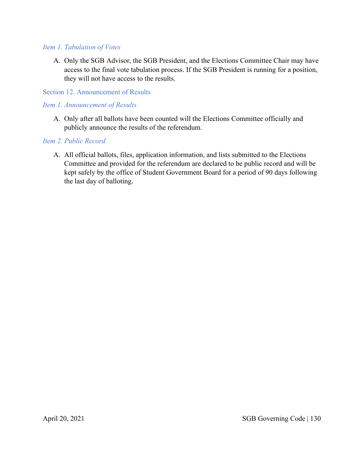#### *Item 1. Tabulation of Votes*

A. Only the SGB Advisor, the SGB President, and the Elections Committee Chair may have access to the final vote tabulation process. If the SGB President is running for a position, they will not have access to the results.

#### Section 12. Announcement of Results

#### *Item 1. Announcement of Results*

A. Only after all ballots have been counted will the Elections Committee officially and publicly announce the results of the referendum.

# *Item 2. Public Record*

A. All official ballots, files, application information, and lists submitted to the Elections Committee and provided for the referendum are declared to be public record and will be kept safely by the office of Student Government Board for a period of 90 days following the last day of balloting.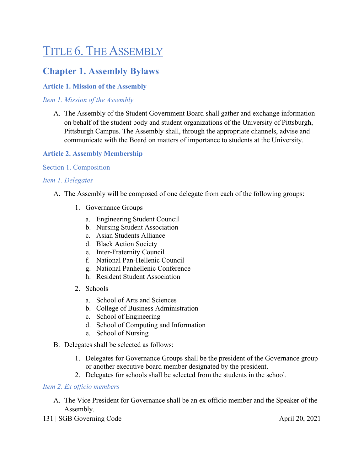# TITLE 6. THE ASSEMBLY

# **Chapter 1. Assembly Bylaws**

# **Article 1. Mission of the Assembly**

*Item 1. Mission of the Assembly*

A. The Assembly of the Student Government Board shall gather and exchange information on behalf of the student body and student organizations of the University of Pittsburgh, Pittsburgh Campus. The Assembly shall, through the appropriate channels, advise and communicate with the Board on matters of importance to students at the University.

# **Article 2. Assembly Membership**

#### Section 1. Composition

#### *Item 1. Delegates*

- A. The Assembly will be composed of one delegate from each of the following groups:
	- 1. Governance Groups
		- a. Engineering Student Council
		- b. Nursing Student Association
		- c. Asian Students Alliance
		- d. Black Action Society
		- e. Inter-Fraternity Council
		- f. National Pan-Hellenic Council
		- g. National Panhellenic Conference
		- h. Resident Student Association
	- 2. Schools
		- a. School of Arts and Sciences
		- b. College of Business Administration
		- c. School of Engineering
		- d. School of Computing and Information
		- e. School of Nursing
- B. Delegates shall be selected as follows:
	- 1. Delegates for Governance Groups shall be the president of the Governance group or another executive board member designated by the president.
	- 2. Delegates for schools shall be selected from the students in the school.

#### *Item 2. Ex officio members*

- A. The Vice President for Governance shall be an ex officio member and the Speaker of the Assembly.
- 131 | SGB Governing Code April 20, 2021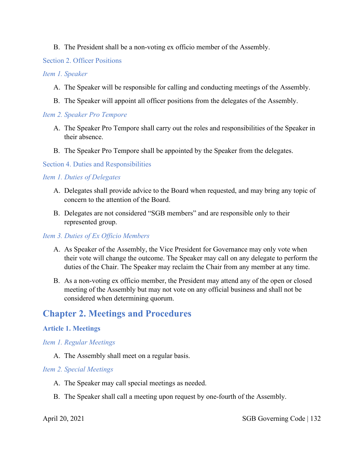# B. The President shall be a non-voting ex officio member of the Assembly.

# Section 2. Officer Positions

#### *Item 1. Speaker*

- A. The Speaker will be responsible for calling and conducting meetings of the Assembly.
- B. The Speaker will appoint all officer positions from the delegates of the Assembly.

# *Item 2. Speaker Pro Tempore*

- A. The Speaker Pro Tempore shall carry out the roles and responsibilities of the Speaker in their absence.
- B. The Speaker Pro Tempore shall be appointed by the Speaker from the delegates.

# Section 4. Duties and Responsibilities

# *Item 1. Duties of Delegates*

- A. Delegates shall provide advice to the Board when requested, and may bring any topic of concern to the attention of the Board.
- B. Delegates are not considered "SGB members" and are responsible only to their represented group.

# *Item 3. Duties of Ex Officio Members*

- A. As Speaker of the Assembly, the Vice President for Governance may only vote when their vote will change the outcome. The Speaker may call on any delegate to perform the duties of the Chair. The Speaker may reclaim the Chair from any member at any time.
- B. As a non-voting ex officio member, the President may attend any of the open or closed meeting of the Assembly but may not vote on any official business and shall not be considered when determining quorum.

# **Chapter 2. Meetings and Procedures**

# **Article 1. Meetings**

# *Item 1. Regular Meetings*

A. The Assembly shall meet on a regular basis.

# *Item 2. Special Meetings*

- A. The Speaker may call special meetings as needed.
- B. The Speaker shall call a meeting upon request by one-fourth of the Assembly.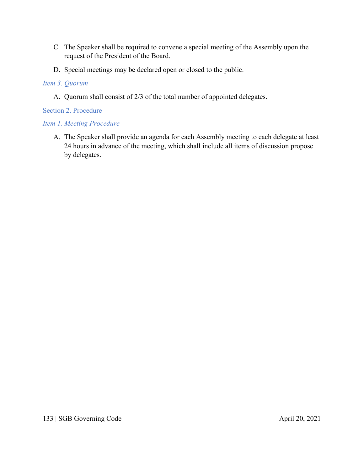- C. The Speaker shall be required to convene a special meeting of the Assembly upon the request of the President of the Board.
- D. Special meetings may be declared open or closed to the public.

# *Item 3. Quorum*

A. Quorum shall consist of 2/3 of the total number of appointed delegates.

Section 2. Procedure

# *Item 1. Meeting Procedure*

A. The Speaker shall provide an agenda for each Assembly meeting to each delegate at least 24 hours in advance of the meeting, which shall include all items of discussion propose by delegates.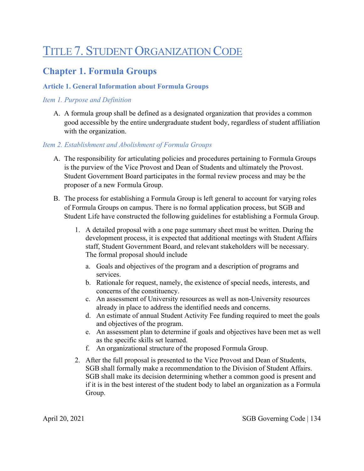# TITLE 7. STUDENT ORGANIZATION CODE

# **Chapter 1. Formula Groups**

# **Article 1. General Information about Formula Groups**

# *Item 1. Purpose and Definition*

A. A formula group shall be defined as a designated organization that provides a common good accessible by the entire undergraduate student body, regardless of student affiliation with the organization.

# *Item 2. Establishment and Abolishment of Formula Groups*

- A. The responsibility for articulating policies and procedures pertaining to Formula Groups is the purview of the Vice Provost and Dean of Students and ultimately the Provost. Student Government Board participates in the formal review process and may be the proposer of a new Formula Group.
- B. The process for establishing a Formula Group is left general to account for varying roles of Formula Groups on campus. There is no formal application process, but SGB and Student Life have constructed the following guidelines for establishing a Formula Group.
	- 1. A detailed proposal with a one page summary sheet must be written. During the development process, it is expected that additional meetings with Student Affairs staff, Student Government Board, and relevant stakeholders will be necessary. The formal proposal should include
		- a. Goals and objectives of the program and a description of programs and services.
		- b. Rationale for request, namely, the existence of special needs, interests, and concerns of the constituency.
		- c. An assessment of University resources as well as non-University resources already in place to address the identified needs and concerns.
		- d. An estimate of annual Student Activity Fee funding required to meet the goals and objectives of the program.
		- e. An assessment plan to determine if goals and objectives have been met as well as the specific skills set learned.
		- f. An organizational structure of the proposed Formula Group.
	- 2. After the full proposal is presented to the Vice Provost and Dean of Students, SGB shall formally make a recommendation to the Division of Student Affairs. SGB shall make its decision determining whether a common good is present and if it is in the best interest of the student body to label an organization as a Formula Group.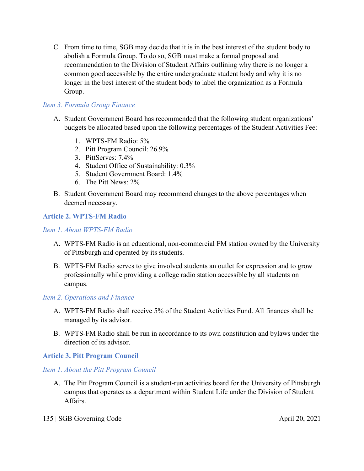C. From time to time, SGB may decide that it is in the best interest of the student body to abolish a Formula Group. To do so, SGB must make a formal proposal and recommendation to the Division of Student Affairs outlining why there is no longer a common good accessible by the entire undergraduate student body and why it is no longer in the best interest of the student body to label the organization as a Formula Group.

# *Item 3. Formula Group Finance*

- A. Student Government Board has recommended that the following student organizations' budgets be allocated based upon the following percentages of the Student Activities Fee:
	- 1. WPTS-FM Radio: 5%
	- 2. Pitt Program Council: 26.9%
	- 3. PittServes: 7.4%
	- 4. Student Office of Sustainability: 0.3%
	- 5. Student Government Board: 1.4%
	- 6. The Pitt News: 2%
- B. Student Government Board may recommend changes to the above percentages when deemed necessary.

# **Article 2. WPTS-FM Radio**

# *Item 1. About WPTS-FM Radio*

- A. WPTS-FM Radio is an educational, non-commercial FM station owned by the University of Pittsburgh and operated by its students.
- B. WPTS-FM Radio serves to give involved students an outlet for expression and to grow professionally while providing a college radio station accessible by all students on campus.

# *Item 2. Operations and Finance*

- A. WPTS-FM Radio shall receive 5% of the Student Activities Fund. All finances shall be managed by its advisor.
- B. WPTS-FM Radio shall be run in accordance to its own constitution and bylaws under the direction of its advisor.

# **Article 3. Pitt Program Council**

# *Item 1. About the Pitt Program Council*

A. The Pitt Program Council is a student-run activities board for the University of Pittsburgh campus that operates as a department within Student Life under the Division of Student Affairs.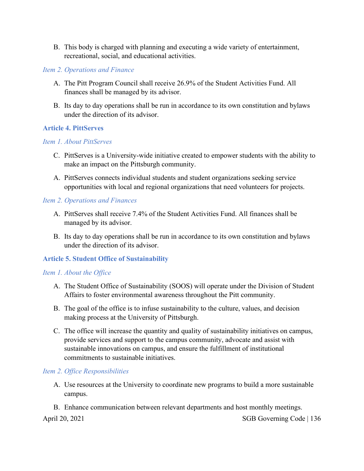B. This body is charged with planning and executing a wide variety of entertainment, recreational, social, and educational activities.

#### *Item 2. Operations and Finance*

- A. The Pitt Program Council shall receive 26.9% of the Student Activities Fund. All finances shall be managed by its advisor.
- B. Its day to day operations shall be run in accordance to its own constitution and bylaws under the direction of its advisor.

#### **Article 4. PittServes**

# *Item 1. About PittServes*

- C. PittServes is a University-wide initiative created to empower students with the ability to make an impact on the Pittsburgh community.
- A. PittServes connects individual students and student organizations seeking service opportunities with local and regional organizations that need volunteers for projects.

#### *Item 2. Operations and Finances*

- A. PittServes shall receive 7.4% of the Student Activities Fund. All finances shall be managed by its advisor.
- B. Its day to day operations shall be run in accordance to its own constitution and bylaws under the direction of its advisor.

# **Article 5. Student Office of Sustainability**

#### *Item 1. About the Office*

- A. The Student Office of Sustainability (SOOS) will operate under the Division of Student Affairs to foster environmental awareness throughout the Pitt community.
- B. The goal of the office is to infuse sustainability to the culture, values, and decision making process at the University of Pittsburgh.
- C. The office will increase the quantity and quality of sustainability initiatives on campus, provide services and support to the campus community, advocate and assist with sustainable innovations on campus, and ensure the fulfillment of institutional commitments to sustainable initiatives.

#### *Item 2. Office Responsibilities*

- A. Use resources at the University to coordinate new programs to build a more sustainable campus.
- B. Enhance communication between relevant departments and host monthly meetings.

April 20, 2021 SGB Governing Code | 136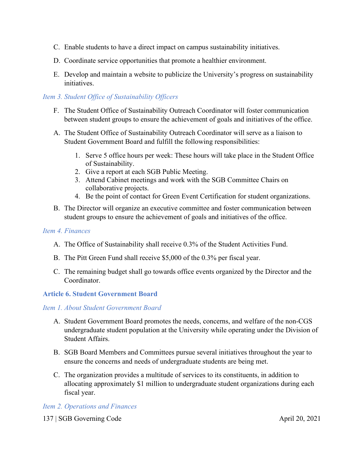- C. Enable students to have a direct impact on campus sustainability initiatives.
- D. Coordinate service opportunities that promote a healthier environment.
- E. Develop and maintain a website to publicize the University's progress on sustainability initiatives.

# *Item 3. Student Office of Sustainability Officers*

- F. The Student Office of Sustainability Outreach Coordinator will foster communication between student groups to ensure the achievement of goals and initiatives of the office.
- A. The Student Office of Sustainability Outreach Coordinator will serve as a liaison to Student Government Board and fulfill the following responsibilities:
	- 1. Serve 5 office hours per week: These hours will take place in the Student Office of Sustainability.
	- 2. Give a report at each SGB Public Meeting.
	- 3. Attend Cabinet meetings and work with the SGB Committee Chairs on collaborative projects.
	- 4. Be the point of contact for Green Event Certification for student organizations.
- B. The Director will organize an executive committee and foster communication between student groups to ensure the achievement of goals and initiatives of the office.

# *Item 4. Finances*

- A. The Office of Sustainability shall receive 0.3% of the Student Activities Fund.
- B. The Pitt Green Fund shall receive \$5,000 of the 0.3% per fiscal year.
- C. The remaining budget shall go towards office events organized by the Director and the Coordinator.

# **Article 6. Student Government Board**

# *Item 1. About Student Government Board*

- A. Student Government Board promotes the needs, concerns, and welfare of the non-CGS undergraduate student population at the University while operating under the Division of Student Affairs.
- B. SGB Board Members and Committees pursue several initiatives throughout the year to ensure the concerns and needs of undergraduate students are being met.
- C. The organization provides a multitude of services to its constituents, in addition to allocating approximately \$1 million to undergraduate student organizations during each fiscal year.

# *Item 2. Operations and Finances*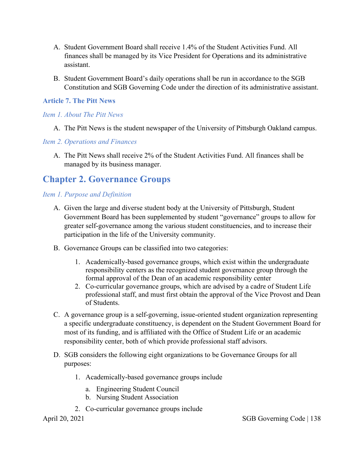- A. Student Government Board shall receive 1.4% of the Student Activities Fund. All finances shall be managed by its Vice President for Operations and its administrative assistant.
- B. Student Government Board's daily operations shall be run in accordance to the SGB Constitution and SGB Governing Code under the direction of its administrative assistant.

# **Article 7. The Pitt News**

#### *Item 1. About The Pitt News*

A. The Pitt News is the student newspaper of the University of Pittsburgh Oakland campus.

#### *Item 2. Operations and Finances*

A. The Pitt News shall receive 2% of the Student Activities Fund. All finances shall be managed by its business manager.

# **Chapter 2. Governance Groups**

# *Item 1. Purpose and Definition*

- A. Given the large and diverse student body at the University of Pittsburgh, Student Government Board has been supplemented by student "governance" groups to allow for greater self-governance among the various student constituencies, and to increase their participation in the life of the University community.
- B. Governance Groups can be classified into two categories:
	- 1. Academically-based governance groups, which exist within the undergraduate responsibility centers as the recognized student governance group through the formal approval of the Dean of an academic responsibility center
	- 2. Co-curricular governance groups, which are advised by a cadre of Student Life professional staff, and must first obtain the approval of the Vice Provost and Dean of Students.
- C. A governance group is a self-governing, issue-oriented student organization representing a specific undergraduate constituency, is dependent on the Student Government Board for most of its funding, and is affiliated with the Office of Student Life or an academic responsibility center, both of which provide professional staff advisors.
- D. SGB considers the following eight organizations to be Governance Groups for all purposes:
	- 1. Academically-based governance groups include
		- a. Engineering Student Council
		- b. Nursing Student Association
	- 2. Co-curricular governance groups include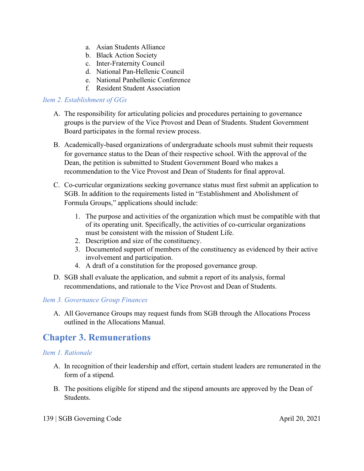- a. Asian Students Alliance
- b. Black Action Society
- c. Inter-Fraternity Council
- d. National Pan-Hellenic Council
- e. National Panhellenic Conference
- f. Resident Student Association

#### *Item 2. Establishment of GGs*

- A. The responsibility for articulating policies and procedures pertaining to governance groups is the purview of the Vice Provost and Dean of Students. Student Government Board participates in the formal review process.
- B. Academically-based organizations of undergraduate schools must submit their requests for governance status to the Dean of their respective school. With the approval of the Dean, the petition is submitted to Student Government Board who makes a recommendation to the Vice Provost and Dean of Students for final approval.
- C. Co-curricular organizations seeking governance status must first submit an application to SGB. In addition to the requirements listed in "Establishment and Abolishment of Formula Groups," applications should include:
	- 1. The purpose and activities of the organization which must be compatible with that of its operating unit. Specifically, the activities of co-curricular organizations must be consistent with the mission of Student Life.
	- 2. Description and size of the constituency.
	- 3. Documented support of members of the constituency as evidenced by their active involvement and participation.
	- 4. A draft of a constitution for the proposed governance group.
- D. SGB shall evaluate the application, and submit a report of its analysis, formal recommendations, and rationale to the Vice Provost and Dean of Students.

# *Item 3. Governance Group Finances*

A. All Governance Groups may request funds from SGB through the Allocations Process outlined in the Allocations Manual.

# **Chapter 3. Remunerations**

# *Item 1. Rationale*

- A. In recognition of their leadership and effort, certain student leaders are remunerated in the form of a stipend.
- B. The positions eligible for stipend and the stipend amounts are approved by the Dean of Students.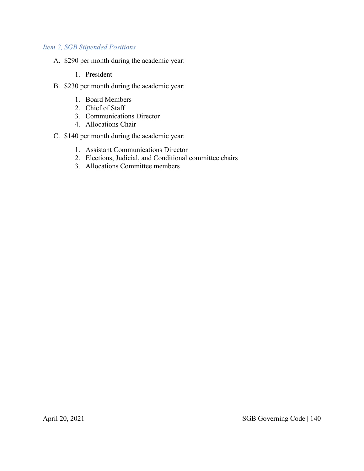# *Item 2, SGB Stipended Positions*

- A. \$290 per month during the academic year:
	- 1. President
- B. \$230 per month during the academic year:
	- 1. Board Members
	- 2. Chief of Staff
	- 3. Communications Director
	- 4. Allocations Chair
- C. \$140 per month during the academic year:
	- 1. Assistant Communications Director
	- 2. Elections, Judicial, and Conditional committee chairs
	- 3. Allocations Committee members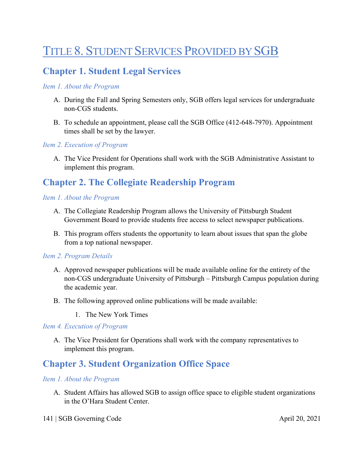# TITLE 8. STUDENT SERVICES PROVIDED BY SGB

# **Chapter 1. Student Legal Services**

# *Item 1. About the Program*

- A. During the Fall and Spring Semesters only, SGB offers legal services for undergraduate non-CGS students.
- B. To schedule an appointment, please call the SGB Office (412-648-7970). Appointment times shall be set by the lawyer.

#### *Item 2. Execution of Program*

A. The Vice President for Operations shall work with the SGB Administrative Assistant to implement this program.

# **Chapter 2. The Collegiate Readership Program**

#### *Item 1. About the Program*

- A. The Collegiate Readership Program allows the University of Pittsburgh Student Government Board to provide students free access to select newspaper publications.
- B. This program offers students the opportunity to learn about issues that span the globe from a top national newspaper.

#### *Item 2. Program Details*

- A. Approved newspaper publications will be made available online for the entirety of the non-CGS undergraduate University of Pittsburgh – Pittsburgh Campus population during the academic year.
- B. The following approved online publications will be made available:
	- 1. The New York Times

#### *Item 4. Execution of Program*

A. The Vice President for Operations shall work with the company representatives to implement this program.

# **Chapter 3. Student Organization Office Space**

#### *Item 1. About the Program*

A. Student Affairs has allowed SGB to assign office space to eligible student organizations in the O'Hara Student Center.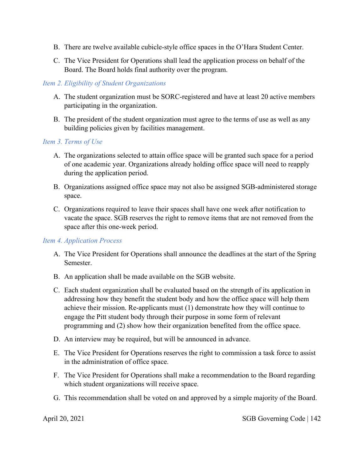- B. There are twelve available cubicle-style office spaces in the O'Hara Student Center.
- C. The Vice President for Operations shall lead the application process on behalf of the Board. The Board holds final authority over the program.

# *Item 2. Eligibility of Student Organizations*

- A. The student organization must be SORC-registered and have at least 20 active members participating in the organization.
- B. The president of the student organization must agree to the terms of use as well as any building policies given by facilities management.

# *Item 3. Terms of Use*

- A. The organizations selected to attain office space will be granted such space for a period of one academic year. Organizations already holding office space will need to reapply during the application period.
- B. Organizations assigned office space may not also be assigned SGB-administered storage space.
- C. Organizations required to leave their spaces shall have one week after notification to vacate the space. SGB reserves the right to remove items that are not removed from the space after this one-week period.

# *Item 4. Application Process*

- A. The Vice President for Operations shall announce the deadlines at the start of the Spring Semester.
- B. An application shall be made available on the SGB website.
- C. Each student organization shall be evaluated based on the strength of its application in addressing how they benefit the student body and how the office space will help them achieve their mission. Re-applicants must (1) demonstrate how they will continue to engage the Pitt student body through their purpose in some form of relevant programming and (2) show how their organization benefited from the office space.
- D. An interview may be required, but will be announced in advance.
- E. The Vice President for Operations reserves the right to commission a task force to assist in the administration of office space.
- F. The Vice President for Operations shall make a recommendation to the Board regarding which student organizations will receive space.
- G. This recommendation shall be voted on and approved by a simple majority of the Board.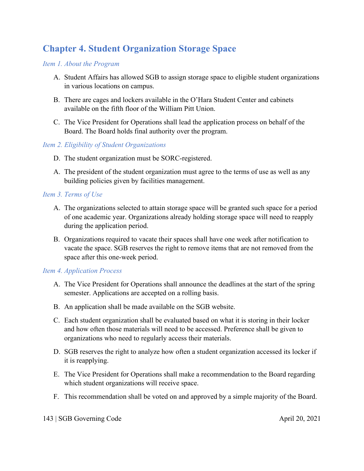# **Chapter 4. Student Organization Storage Space**

# *Item 1. About the Program*

- A. Student Affairs has allowed SGB to assign storage space to eligible student organizations in various locations on campus.
- B. There are cages and lockers available in the O'Hara Student Center and cabinets available on the fifth floor of the William Pitt Union.
- C. The Vice President for Operations shall lead the application process on behalf of the Board. The Board holds final authority over the program.

# *Item 2. Eligibility of Student Organizations*

- D. The student organization must be SORC-registered.
- A. The president of the student organization must agree to the terms of use as well as any building policies given by facilities management.

# *Item 3. Terms of Use*

- A. The organizations selected to attain storage space will be granted such space for a period of one academic year. Organizations already holding storage space will need to reapply during the application period.
- B. Organizations required to vacate their spaces shall have one week after notification to vacate the space. SGB reserves the right to remove items that are not removed from the space after this one-week period.

# *Item 4. Application Process*

- A. The Vice President for Operations shall announce the deadlines at the start of the spring semester. Applications are accepted on a rolling basis.
- B. An application shall be made available on the SGB website.
- C. Each student organization shall be evaluated based on what it is storing in their locker and how often those materials will need to be accessed. Preference shall be given to organizations who need to regularly access their materials.
- D. SGB reserves the right to analyze how often a student organization accessed its locker if it is reapplying.
- E. The Vice President for Operations shall make a recommendation to the Board regarding which student organizations will receive space.
- F. This recommendation shall be voted on and approved by a simple majority of the Board.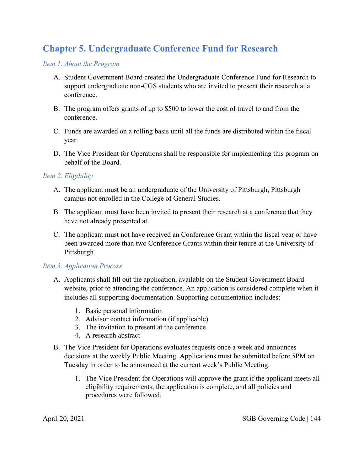# **Chapter 5. Undergraduate Conference Fund for Research**

# *Item 1. About the Program*

- A. Student Government Board created the Undergraduate Conference Fund for Research to support undergraduate non-CGS students who are invited to present their research at a conference.
- B. The program offers grants of up to \$500 to lower the cost of travel to and from the conference.
- C. Funds are awarded on a rolling basis until all the funds are distributed within the fiscal year.
- D. The Vice President for Operations shall be responsible for implementing this program on behalf of the Board.

# *Item 2. Eligibility*

- A. The applicant must be an undergraduate of the University of Pittsburgh, Pittsburgh campus not enrolled in the College of General Studies.
- B. The applicant must have been invited to present their research at a conference that they have not already presented at.
- C. The applicant must not have received an Conference Grant within the fiscal year or have been awarded more than two Conference Grants within their tenure at the University of Pittsburgh.

# *Item 3. Application Process*

- A. Applicants shall fill out the application, available on the Student Government Board website, prior to attending the conference. An application is considered complete when it includes all supporting documentation. Supporting documentation includes:
	- 1. Basic personal information
	- 2. Advisor contact information (if applicable)
	- 3. The invitation to present at the conference
	- 4. A research abstract
- B. The Vice President for Operations evaluates requests once a week and announces decisions at the weekly Public Meeting. Applications must be submitted before 5PM on Tuesday in order to be announced at the current week's Public Meeting.
	- 1. The Vice President for Operations will approve the grant if the applicant meets all eligibility requirements, the application is complete, and all policies and procedures were followed.